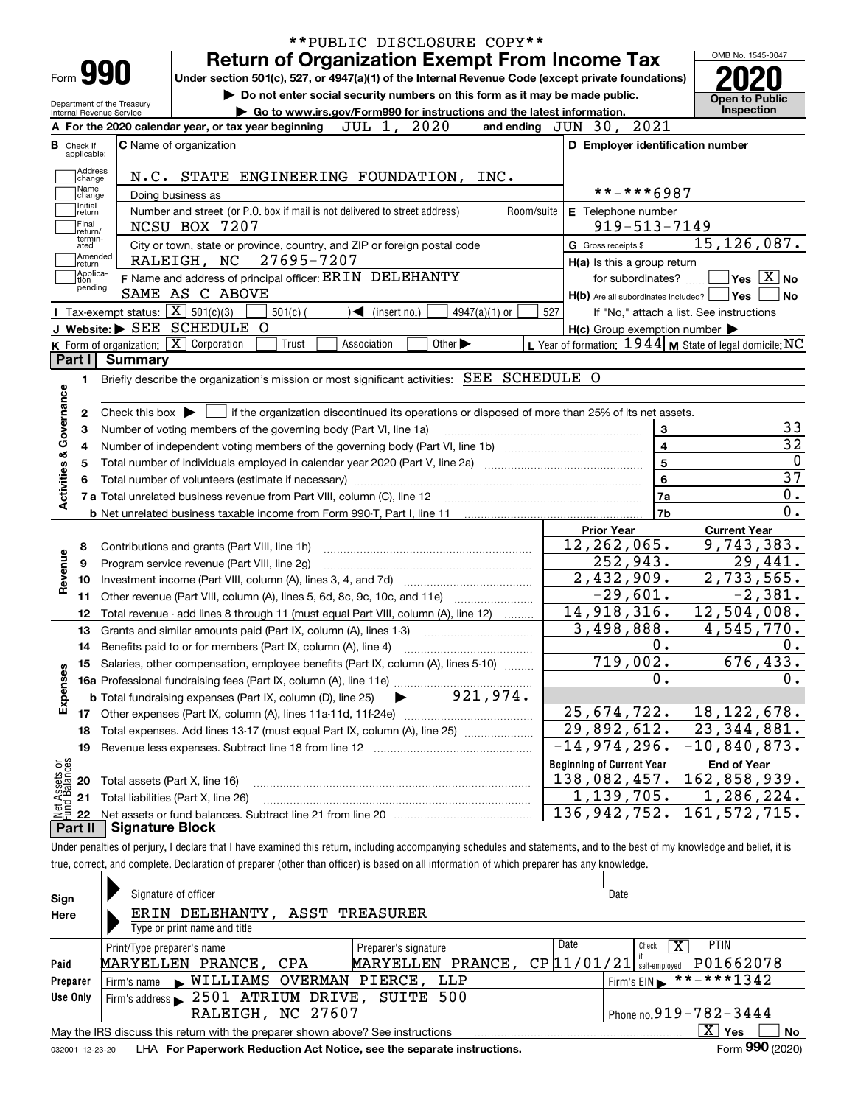|                                                                                        |                             |                            |                                                                                                                                                          | <b>Return of Organization Exempt From Income Tax</b> |                                   |                                                                             |                 |            |                                  |                                                           |                | OMB No. 1545-0047                                                                                                          |
|----------------------------------------------------------------------------------------|-----------------------------|----------------------------|----------------------------------------------------------------------------------------------------------------------------------------------------------|------------------------------------------------------|-----------------------------------|-----------------------------------------------------------------------------|-----------------|------------|----------------------------------|-----------------------------------------------------------|----------------|----------------------------------------------------------------------------------------------------------------------------|
|                                                                                        | Form 990                    |                            | Under section 501(c), 527, or 4947(a)(1) of the Internal Revenue Code (except private foundations)                                                       |                                                      |                                   |                                                                             |                 |            |                                  |                                                           |                |                                                                                                                            |
|                                                                                        |                             | Department of the Treasury |                                                                                                                                                          |                                                      |                                   | Do not enter social security numbers on this form as it may be made public. |                 |            |                                  |                                                           |                | <b>Open to Public</b>                                                                                                      |
|                                                                                        |                             | Internal Revenue Service   |                                                                                                                                                          |                                                      |                                   | Go to www.irs.gov/Form990 for instructions and the latest information.      |                 |            |                                  |                                                           |                | Inspection                                                                                                                 |
|                                                                                        |                             |                            | A For the 2020 calendar year, or tax year beginning                                                                                                      |                                                      | JUL 1, 2020                       |                                                                             |                 |            | and ending JUN 30, 2021          |                                                           |                |                                                                                                                            |
| в<br>Check if                                                                          | applicable:                 |                            | C Name of organization                                                                                                                                   |                                                      |                                   |                                                                             |                 |            |                                  | D Employer identification number                          |                |                                                                                                                            |
|                                                                                        | Address                     |                            |                                                                                                                                                          |                                                      |                                   |                                                                             |                 |            |                                  |                                                           |                |                                                                                                                            |
|                                                                                        | change<br>Name              |                            | N.C. STATE ENGINEERING FOUNDATION, INC.                                                                                                                  |                                                      |                                   |                                                                             |                 |            |                                  |                                                           |                |                                                                                                                            |
|                                                                                        | change<br>Initial           |                            | Doing business as                                                                                                                                        |                                                      |                                   |                                                                             |                 |            |                                  | **-***6987                                                |                |                                                                                                                            |
|                                                                                        | return                      |                            | Number and street (or P.O. box if mail is not delivered to street address)                                                                               |                                                      |                                   |                                                                             |                 | Room/suite |                                  | E Telephone number                                        |                |                                                                                                                            |
|                                                                                        | Final<br>return/<br>termin- |                            | NCSU BOX 7207                                                                                                                                            |                                                      |                                   |                                                                             |                 |            |                                  | $919 - 513 - 7149$                                        |                |                                                                                                                            |
|                                                                                        | ated                        |                            | City or town, state or province, country, and ZIP or foreign postal code                                                                                 |                                                      |                                   |                                                                             |                 |            | G Gross receipts \$              |                                                           |                | 15, 126, 087.                                                                                                              |
|                                                                                        | Amended<br> return          |                            | RALEIGH, NC                                                                                                                                              | 27695-7207                                           |                                   |                                                                             |                 |            |                                  | H(a) Is this a group return                               |                |                                                                                                                            |
|                                                                                        | Applica-<br>tion<br>pending |                            | F Name and address of principal officer: ERIN DELEHANTY                                                                                                  |                                                      |                                   |                                                                             |                 |            |                                  | for subordinates?                                         |                | $\blacksquare$ Yes $\lceil$ $\overline{\mathrm{X}}\rceil$ No                                                               |
|                                                                                        |                             |                            | SAME AS C ABOVE                                                                                                                                          |                                                      |                                   |                                                                             |                 |            |                                  | $H(b)$ Are all subordinates included? $\Box$ Yes          |                | No                                                                                                                         |
|                                                                                        |                             |                            | <b>I</b> Tax-exempt status: $\boxed{\mathbf{X}}$ 501(c)(3)                                                                                               | $501(c)$ (                                           | $\blacktriangleleft$ (insert no.) |                                                                             | $4947(a)(1)$ or | 527        |                                  | If "No," attach a list. See instructions                  |                |                                                                                                                            |
|                                                                                        |                             |                            | J Website: > SEE SCHEDULE O                                                                                                                              |                                                      |                                   |                                                                             |                 |            |                                  | $H(c)$ Group exemption number $\blacktriangleright$       |                |                                                                                                                            |
|                                                                                        |                             |                            | K Form of organization: $\boxed{\mathbf{X}}$ Corporation                                                                                                 | Trust                                                | Association                       | Other $\blacktriangleright$                                                 |                 |            |                                  | L Year of formation: $1944$ M State of legal domicile: NC |                |                                                                                                                            |
| Part I                                                                                 |                             | Summary                    | Briefly describe the organization's mission or most significant activities: SEE SCHEDULE O                                                               |                                                      |                                   |                                                                             |                 |            |                                  |                                                           |                |                                                                                                                            |
|                                                                                        | 2                           |                            | Check this box $\blacktriangleright$ $\Box$ if the organization discontinued its operations or disposed of more than 25% of its net assets.              |                                                      |                                   |                                                                             |                 |            |                                  |                                                           |                |                                                                                                                            |
|                                                                                        | з<br>4                      |                            | Number of voting members of the governing body (Part VI, line 1a)                                                                                        |                                                      |                                   |                                                                             |                 |            |                                  | 3<br>$\overline{4}$                                       |                |                                                                                                                            |
|                                                                                        |                             |                            | Total number of individuals employed in calendar year 2020 (Part V, line 2a) manufacture of individuals employed in calendar year 2020 (Part V, line 2a) |                                                      |                                   |                                                                             |                 |            |                                  | $\overline{5}$                                            |                |                                                                                                                            |
|                                                                                        |                             |                            |                                                                                                                                                          |                                                      |                                   |                                                                             |                 |            |                                  | $6\phantom{a}$                                            |                |                                                                                                                            |
|                                                                                        |                             |                            |                                                                                                                                                          |                                                      |                                   |                                                                             |                 |            |                                  | 7a                                                        |                |                                                                                                                            |
|                                                                                        |                             |                            |                                                                                                                                                          |                                                      |                                   |                                                                             |                 |            |                                  | 7b                                                        |                |                                                                                                                            |
|                                                                                        |                             |                            |                                                                                                                                                          |                                                      |                                   |                                                                             |                 |            | <b>Prior Year</b>                |                                                           |                | <b>Current Year</b>                                                                                                        |
|                                                                                        | 8                           |                            | Contributions and grants (Part VIII, line 1h)                                                                                                            |                                                      |                                   |                                                                             |                 |            |                                  | 12, 262, 065.                                             |                |                                                                                                                            |
|                                                                                        | 9                           |                            | Program service revenue (Part VIII, line 2g)                                                                                                             |                                                      |                                   |                                                                             |                 |            |                                  | 252,943.                                                  |                |                                                                                                                            |
|                                                                                        | 10                          |                            |                                                                                                                                                          |                                                      |                                   |                                                                             |                 |            |                                  | 2,432,909.                                                |                |                                                                                                                            |
|                                                                                        | 11                          |                            | Other revenue (Part VIII, column (A), lines 5, 6d, 8c, 9c, 10c, and 11e)                                                                                 |                                                      |                                   |                                                                             |                 |            |                                  | $-29,601.$                                                |                |                                                                                                                            |
|                                                                                        | 12                          |                            | Total revenue - add lines 8 through 11 (must equal Part VIII, column (A), line 12)                                                                       |                                                      |                                   |                                                                             |                 |            |                                  | 14,918,316.                                               |                |                                                                                                                            |
|                                                                                        | 13                          |                            | Grants and similar amounts paid (Part IX, column (A), lines 1-3)                                                                                         |                                                      |                                   |                                                                             |                 |            |                                  | 3,498,888.                                                |                |                                                                                                                            |
|                                                                                        | 14                          |                            | Benefits paid to or for members (Part IX, column (A), line 4)                                                                                            |                                                      |                                   |                                                                             |                 |            |                                  | 0.                                                        |                |                                                                                                                            |
|                                                                                        |                             |                            | 15 Salaries, other compensation, employee benefits (Part IX, column (A), lines 5-10)                                                                     |                                                      |                                   |                                                                             |                 |            |                                  | 719,002.                                                  |                |                                                                                                                            |
|                                                                                        |                             |                            |                                                                                                                                                          |                                                      |                                   |                                                                             |                 |            |                                  | 0.                                                        |                |                                                                                                                            |
|                                                                                        |                             |                            |                                                                                                                                                          |                                                      |                                   |                                                                             |                 |            |                                  |                                                           |                |                                                                                                                            |
|                                                                                        |                             |                            |                                                                                                                                                          |                                                      |                                   |                                                                             |                 |            |                                  | 25,674,722.                                               |                | 9,743,383.<br>29,441.<br>2,733,565.<br>$-2,381.$<br>$\overline{12,504}$ , 008.<br>4,545,770.<br>676, 433.<br>18, 122, 678. |
|                                                                                        | 18                          |                            | Total expenses. Add lines 13-17 (must equal Part IX, column (A), line 25)                                                                                |                                                      |                                   |                                                                             |                 |            |                                  | 29,892,612.                                               |                | $\overline{23}$ , 344, 881.                                                                                                |
|                                                                                        | 19                          |                            | Revenue less expenses. Subtract line 18 from line 12                                                                                                     |                                                      |                                   |                                                                             |                 |            | $-14,974,296.$                   |                                                           | $-10,840,873.$ |                                                                                                                            |
|                                                                                        |                             |                            |                                                                                                                                                          |                                                      |                                   |                                                                             |                 |            | <b>Beginning of Current Year</b> |                                                           |                | <b>End of Year</b>                                                                                                         |
|                                                                                        | 20                          |                            | Total assets (Part X, line 16)                                                                                                                           |                                                      |                                   |                                                                             |                 |            | 138,082,457.                     |                                                           | 162,858,939.   |                                                                                                                            |
| Activities & Governance<br>Revenue<br>Expenses<br>: Assets or<br>d Balances<br>是<br>全日 | 21<br>22                    |                            | Total liabilities (Part X, line 26)                                                                                                                      |                                                      |                                   |                                                                             |                 |            | 136, 942, 752.                   | 1,139,705.                                                | 161, 572, 715. | 1,286,224.                                                                                                                 |

| Sign            | Signature of officer                                                                                     | Date                                    |  |  |  |  |  |  |  |
|-----------------|----------------------------------------------------------------------------------------------------------|-----------------------------------------|--|--|--|--|--|--|--|
| Here            | ERIN DELEHANTY, ASST TREASURER                                                                           |                                         |  |  |  |  |  |  |  |
|                 | Type or print name and title                                                                             |                                         |  |  |  |  |  |  |  |
|                 | Preparer's signature<br>Print/Type preparer's name                                                       | Date<br><b>PTIN</b><br>x<br>Check       |  |  |  |  |  |  |  |
| Paid            | MARYELLEN PRANCE,<br>MARYELLEN PRANCE, CPA                                                               | P01662078<br>$CP$ [11/<br>self-emploved |  |  |  |  |  |  |  |
| Preparer        | Firm's name WILLIAMS OVERMAN PIERCE, LLP                                                                 | **-***1342<br>Firm's $EIN$              |  |  |  |  |  |  |  |
| Use Only        | Firm's address 2501 ATRIUM DRIVE, SUITE 500                                                              |                                         |  |  |  |  |  |  |  |
|                 | RALEIGH, NC 27607                                                                                        | Phone no. $919 - 782 - 3444$            |  |  |  |  |  |  |  |
|                 | x<br><b>No</b><br>Yes<br>May the IRS discuss this return with the preparer shown above? See instructions |                                         |  |  |  |  |  |  |  |
| 032001 12-23-20 | LHA For Paperwork Reduction Act Notice, see the separate instructions.                                   | Form 990 (2020)                         |  |  |  |  |  |  |  |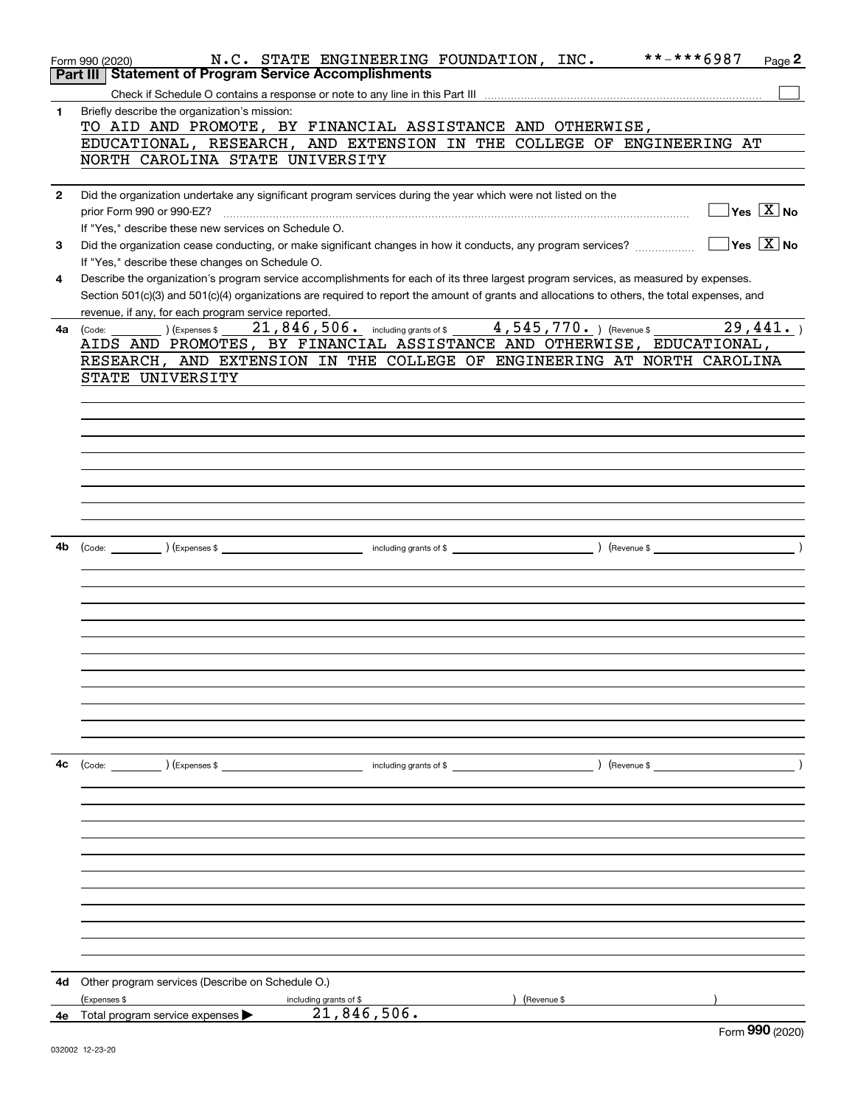|              | **-***6987<br>N.C. STATE ENGINEERING FOUNDATION, INC.<br>Page 2<br>Form 990 (2020)                                                           |
|--------------|----------------------------------------------------------------------------------------------------------------------------------------------|
|              | Part III Statement of Program Service Accomplishments                                                                                        |
|              |                                                                                                                                              |
| 1            | Briefly describe the organization's mission:                                                                                                 |
|              | TO AID AND PROMOTE, BY FINANCIAL ASSISTANCE AND OTHERWISE,                                                                                   |
|              | EDUCATIONAL, RESEARCH, AND EXTENSION IN THE COLLEGE OF ENGINEERING AT                                                                        |
|              | NORTH CAROLINA STATE UNIVERSITY                                                                                                              |
|              |                                                                                                                                              |
| $\mathbf{2}$ | Did the organization undertake any significant program services during the year which were not listed on the                                 |
|              | $\sqrt{}$ Yes $\sqrt{X}$ No<br>prior Form 990 or 990-EZ?                                                                                     |
|              |                                                                                                                                              |
|              | If "Yes," describe these new services on Schedule O.<br>$\Box$ Yes $\boxed{\text{X}}$ No                                                     |
| 3            | Did the organization cease conducting, or make significant changes in how it conducts, any program services?                                 |
|              | If "Yes," describe these changes on Schedule O.                                                                                              |
| 4            | Describe the organization's program service accomplishments for each of its three largest program services, as measured by expenses.         |
|              | Section 501(c)(3) and 501(c)(4) organizations are required to report the amount of grants and allocations to others, the total expenses, and |
|              | revenue, if any, for each program service reported.                                                                                          |
|              | $\hbox{(Expenses $21,846,506.}$ including grants of \$ $\hbox{(4,545,770.)}$ (Revenue \$ $\hbox{(29,441.)}$<br>4a (Code:                     |
|              | AIDS AND PROMOTES, BY FINANCIAL ASSISTANCE AND OTHERWISE, EDUCATIONAL,                                                                       |
|              | RESEARCH, AND EXTENSION IN THE COLLEGE OF ENGINEERING AT NORTH CAROLINA                                                                      |
|              | STATE UNIVERSITY                                                                                                                             |
|              |                                                                                                                                              |
|              |                                                                                                                                              |
|              |                                                                                                                                              |
|              |                                                                                                                                              |
|              |                                                                                                                                              |
|              |                                                                                                                                              |
|              |                                                                                                                                              |
|              |                                                                                                                                              |
|              |                                                                                                                                              |
|              |                                                                                                                                              |
| 4b           |                                                                                                                                              |
|              |                                                                                                                                              |
|              |                                                                                                                                              |
|              |                                                                                                                                              |
|              |                                                                                                                                              |
|              |                                                                                                                                              |
|              |                                                                                                                                              |
|              |                                                                                                                                              |
|              |                                                                                                                                              |
|              |                                                                                                                                              |
|              |                                                                                                                                              |
|              |                                                                                                                                              |
|              |                                                                                                                                              |
|              |                                                                                                                                              |
| 4c           | (Expenses \$<br>) (Revenue \$<br>(Code:<br>including grants of \$                                                                            |
|              |                                                                                                                                              |
|              |                                                                                                                                              |
|              |                                                                                                                                              |
|              |                                                                                                                                              |
|              |                                                                                                                                              |
|              |                                                                                                                                              |
|              |                                                                                                                                              |
|              |                                                                                                                                              |
|              |                                                                                                                                              |
|              |                                                                                                                                              |
|              |                                                                                                                                              |
|              |                                                                                                                                              |
| 4d           | Other program services (Describe on Schedule O.)                                                                                             |
|              |                                                                                                                                              |
|              | ) (Revenue \$<br>(Expenses \$<br>including grants of \$<br>21, 846, 506.                                                                     |
| 4е           | Total program service expenses<br>$F_{\text{arm}}$ 990 (2020)                                                                                |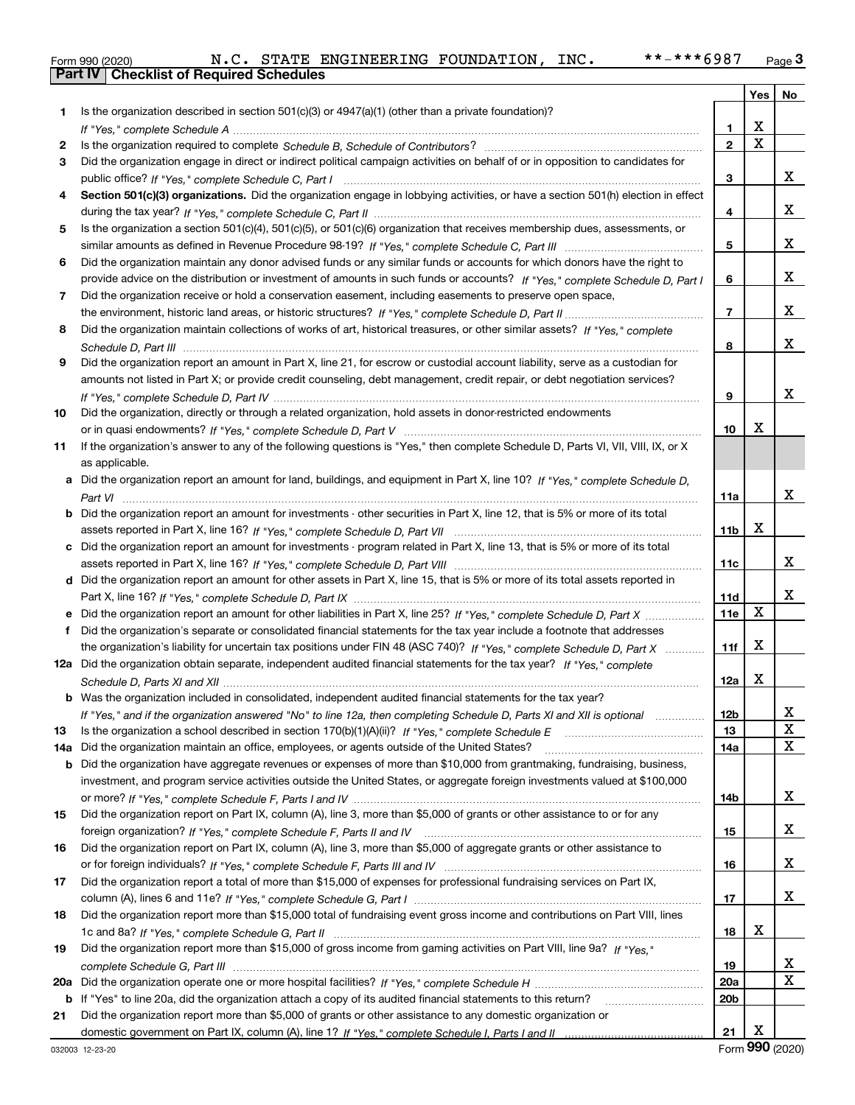|  | Form 990 (2020) |
|--|-----------------|

|     |                                                                                                                                                                                                                                                   |                 |                         | Yes   No                |
|-----|---------------------------------------------------------------------------------------------------------------------------------------------------------------------------------------------------------------------------------------------------|-----------------|-------------------------|-------------------------|
| 1   | Is the organization described in section $501(c)(3)$ or $4947(a)(1)$ (other than a private foundation)?                                                                                                                                           |                 |                         |                         |
|     |                                                                                                                                                                                                                                                   | 1               | х                       |                         |
| 2   |                                                                                                                                                                                                                                                   | $\overline{2}$  | $\overline{\mathbf{x}}$ |                         |
| 3   | Did the organization engage in direct or indirect political campaign activities on behalf of or in opposition to candidates for                                                                                                                   |                 |                         |                         |
|     |                                                                                                                                                                                                                                                   | 3               |                         | x                       |
| 4   | Section 501(c)(3) organizations. Did the organization engage in lobbying activities, or have a section 501(h) election in effect                                                                                                                  |                 |                         |                         |
|     |                                                                                                                                                                                                                                                   | 4               |                         | x                       |
| 5   | Is the organization a section 501(c)(4), 501(c)(5), or 501(c)(6) organization that receives membership dues, assessments, or                                                                                                                      |                 |                         |                         |
|     |                                                                                                                                                                                                                                                   | 5               |                         | x                       |
| 6   | Did the organization maintain any donor advised funds or any similar funds or accounts for which donors have the right to                                                                                                                         |                 |                         |                         |
|     | provide advice on the distribution or investment of amounts in such funds or accounts? If "Yes," complete Schedule D, Part I                                                                                                                      | 6               |                         | x                       |
| 7   | Did the organization receive or hold a conservation easement, including easements to preserve open space,                                                                                                                                         |                 |                         |                         |
|     |                                                                                                                                                                                                                                                   | $\overline{7}$  |                         | x                       |
| 8   | Did the organization maintain collections of works of art, historical treasures, or other similar assets? If "Yes," complete                                                                                                                      |                 |                         |                         |
|     |                                                                                                                                                                                                                                                   | 8               |                         | x                       |
| 9   | Did the organization report an amount in Part X, line 21, for escrow or custodial account liability, serve as a custodian for                                                                                                                     |                 |                         |                         |
|     | amounts not listed in Part X; or provide credit counseling, debt management, credit repair, or debt negotiation services?                                                                                                                         |                 |                         |                         |
|     |                                                                                                                                                                                                                                                   | 9               |                         | x                       |
| 10  | Did the organization, directly or through a related organization, hold assets in donor-restricted endowments                                                                                                                                      |                 |                         |                         |
|     |                                                                                                                                                                                                                                                   | 10              | х                       |                         |
| 11  | If the organization's answer to any of the following questions is "Yes," then complete Schedule D, Parts VI, VII, VIII, IX, or X                                                                                                                  |                 |                         |                         |
|     | as applicable.                                                                                                                                                                                                                                    |                 |                         |                         |
|     | a Did the organization report an amount for land, buildings, and equipment in Part X, line 10? If "Yes," complete Schedule D.                                                                                                                     |                 |                         |                         |
|     |                                                                                                                                                                                                                                                   | 11a             |                         | x                       |
|     | <b>b</b> Did the organization report an amount for investments - other securities in Part X, line 12, that is 5% or more of its total                                                                                                             |                 |                         |                         |
|     |                                                                                                                                                                                                                                                   | 11b             | x                       |                         |
|     | c Did the organization report an amount for investments - program related in Part X, line 13, that is 5% or more of its total                                                                                                                     |                 |                         |                         |
|     |                                                                                                                                                                                                                                                   | 11c             |                         | x                       |
|     | d Did the organization report an amount for other assets in Part X, line 15, that is 5% or more of its total assets reported in                                                                                                                   |                 |                         | x                       |
|     |                                                                                                                                                                                                                                                   | 11d             | X                       |                         |
|     |                                                                                                                                                                                                                                                   | <b>11e</b>      |                         |                         |
| f.  | Did the organization's separate or consolidated financial statements for the tax year include a footnote that addresses<br>the organization's liability for uncertain tax positions under FIN 48 (ASC 740)? If "Yes," complete Schedule D, Part X | 11f             | X                       |                         |
|     | 12a Did the organization obtain separate, independent audited financial statements for the tax year? If "Yes," complete                                                                                                                           |                 |                         |                         |
|     |                                                                                                                                                                                                                                                   | 12a             | x                       |                         |
|     | <b>b</b> Was the organization included in consolidated, independent audited financial statements for the tax year?                                                                                                                                |                 |                         |                         |
|     | If "Yes," and if the organization answered "No" to line 12a, then completing Schedule D, Parts XI and XII is optional                                                                                                                             | 12 <sub>b</sub> |                         | 43.                     |
| 13  |                                                                                                                                                                                                                                                   | 13              |                         | X                       |
| 14a | Did the organization maintain an office, employees, or agents outside of the United States?                                                                                                                                                       | 14a             |                         | X                       |
| b   | Did the organization have aggregate revenues or expenses of more than \$10,000 from grantmaking, fundraising, business,                                                                                                                           |                 |                         |                         |
|     | investment, and program service activities outside the United States, or aggregate foreign investments valued at \$100,000                                                                                                                        |                 |                         |                         |
|     |                                                                                                                                                                                                                                                   | 14b             |                         | x                       |
| 15  | Did the organization report on Part IX, column (A), line 3, more than \$5,000 of grants or other assistance to or for any                                                                                                                         |                 |                         |                         |
|     |                                                                                                                                                                                                                                                   | 15              |                         | X                       |
| 16  | Did the organization report on Part IX, column (A), line 3, more than \$5,000 of aggregate grants or other assistance to                                                                                                                          |                 |                         |                         |
|     |                                                                                                                                                                                                                                                   | 16              |                         | X                       |
| 17  | Did the organization report a total of more than \$15,000 of expenses for professional fundraising services on Part IX,                                                                                                                           |                 |                         |                         |
|     |                                                                                                                                                                                                                                                   | 17              |                         | X                       |
| 18  | Did the organization report more than \$15,000 total of fundraising event gross income and contributions on Part VIII, lines                                                                                                                      |                 |                         |                         |
|     |                                                                                                                                                                                                                                                   | 18              | х                       |                         |
| 19  | Did the organization report more than \$15,000 of gross income from gaming activities on Part VIII, line 9a? If "Yes."                                                                                                                            |                 |                         |                         |
|     |                                                                                                                                                                                                                                                   | 19              |                         | X                       |
| 20a |                                                                                                                                                                                                                                                   | 20a             |                         | $\overline{\mathbf{X}}$ |
|     | b If "Yes" to line 20a, did the organization attach a copy of its audited financial statements to this return?                                                                                                                                    | 20b             |                         |                         |
| 21  | Did the organization report more than \$5,000 of grants or other assistance to any domestic organization or                                                                                                                                       |                 |                         |                         |
|     |                                                                                                                                                                                                                                                   | 21              | х                       |                         |

Form (2020) **990**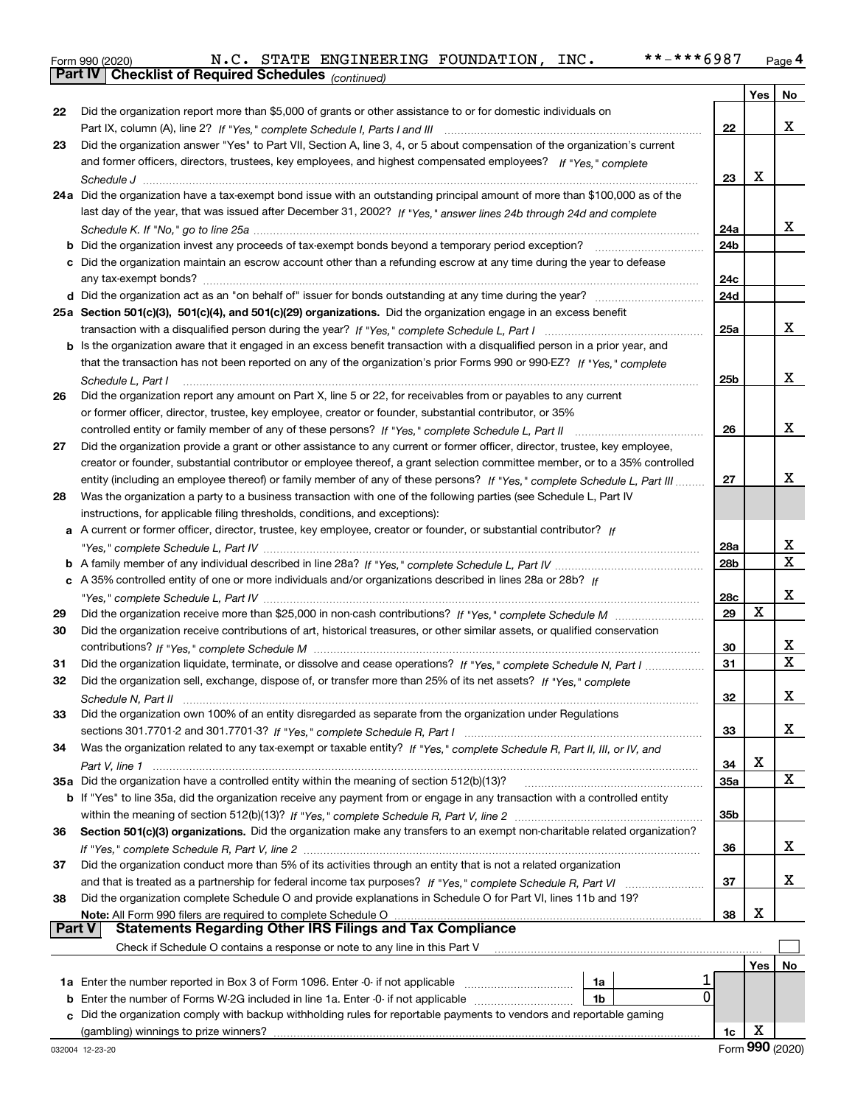|  | Form 990 (2020) |
|--|-----------------|
|  |                 |

*(continued)*

|               |                                                                                                                                                                                                                        |            | Yes         | No               |
|---------------|------------------------------------------------------------------------------------------------------------------------------------------------------------------------------------------------------------------------|------------|-------------|------------------|
| 22            | Did the organization report more than \$5,000 of grants or other assistance to or for domestic individuals on                                                                                                          |            |             |                  |
|               |                                                                                                                                                                                                                        | 22         |             | x                |
| 23            | Did the organization answer "Yes" to Part VII, Section A, line 3, 4, or 5 about compensation of the organization's current                                                                                             |            |             |                  |
|               | and former officers, directors, trustees, key employees, and highest compensated employees? If "Yes," complete                                                                                                         |            |             |                  |
|               |                                                                                                                                                                                                                        | 23         | X           |                  |
|               | 24a Did the organization have a tax-exempt bond issue with an outstanding principal amount of more than \$100,000 as of the                                                                                            |            |             |                  |
|               | last day of the year, that was issued after December 31, 2002? If "Yes," answer lines 24b through 24d and complete                                                                                                     |            |             |                  |
|               |                                                                                                                                                                                                                        | 24a        |             | x                |
|               | <b>b</b> Did the organization invest any proceeds of tax-exempt bonds beyond a temporary period exception?                                                                                                             | 24b        |             |                  |
|               | c Did the organization maintain an escrow account other than a refunding escrow at any time during the year to defease                                                                                                 |            |             |                  |
|               | any tax-exempt bonds?                                                                                                                                                                                                  | 24c        |             |                  |
|               |                                                                                                                                                                                                                        | 24d        |             |                  |
|               | 25a Section 501(c)(3), 501(c)(4), and 501(c)(29) organizations. Did the organization engage in an excess benefit                                                                                                       |            |             |                  |
|               |                                                                                                                                                                                                                        | 25a        |             | x                |
|               | b Is the organization aware that it engaged in an excess benefit transaction with a disqualified person in a prior year, and                                                                                           |            |             |                  |
|               | that the transaction has not been reported on any of the organization's prior Forms 990 or 990-EZ? If "Yes," complete                                                                                                  |            |             |                  |
|               | Schedule L, Part I                                                                                                                                                                                                     | 25b        |             | X                |
| 26            | Did the organization report any amount on Part X, line 5 or 22, for receivables from or payables to any current                                                                                                        |            |             |                  |
|               | or former officer, director, trustee, key employee, creator or founder, substantial contributor, or 35%                                                                                                                |            |             |                  |
|               | controlled entity or family member of any of these persons? If "Yes," complete Schedule L, Part II                                                                                                                     | 26         |             | x                |
| 27            | Did the organization provide a grant or other assistance to any current or former officer, director, trustee, key employee,                                                                                            |            |             |                  |
|               | creator or founder, substantial contributor or employee thereof, a grant selection committee member, or to a 35% controlled                                                                                            |            |             |                  |
|               | entity (including an employee thereof) or family member of any of these persons? If "Yes," complete Schedule L, Part III.                                                                                              | 27         |             | х                |
| 28            | Was the organization a party to a business transaction with one of the following parties (see Schedule L, Part IV                                                                                                      |            |             |                  |
|               | instructions, for applicable filing thresholds, conditions, and exceptions):                                                                                                                                           |            |             |                  |
|               | a A current or former officer, director, trustee, key employee, creator or founder, or substantial contributor? If                                                                                                     |            |             |                  |
|               |                                                                                                                                                                                                                        | 28a        |             | х<br>$\mathbf X$ |
|               |                                                                                                                                                                                                                        | 28b        |             |                  |
|               | c A 35% controlled entity of one or more individuals and/or organizations described in lines 28a or 28b? If                                                                                                            |            |             | х                |
|               |                                                                                                                                                                                                                        | 28c<br>29  | $\mathbf X$ |                  |
| 29<br>30      | Did the organization receive contributions of art, historical treasures, or other similar assets, or qualified conservation                                                                                            |            |             |                  |
|               |                                                                                                                                                                                                                        | 30         |             | х                |
| 31            | Did the organization liquidate, terminate, or dissolve and cease operations? If "Yes," complete Schedule N, Part I                                                                                                     | 31         |             | $\mathbf{x}$     |
| 32            | Did the organization sell, exchange, dispose of, or transfer more than 25% of its net assets? If "Yes," complete                                                                                                       |            |             |                  |
|               |                                                                                                                                                                                                                        | 32         |             | х                |
|               | Did the organization own 100% of an entity disregarded as separate from the organization under Regulations                                                                                                             |            |             |                  |
|               |                                                                                                                                                                                                                        | 33         |             | х                |
| 34            | Was the organization related to any tax-exempt or taxable entity? If "Yes," complete Schedule R, Part II, III, or IV, and                                                                                              |            |             |                  |
|               |                                                                                                                                                                                                                        | 34         | X           |                  |
|               | 35a Did the organization have a controlled entity within the meaning of section 512(b)(13)?                                                                                                                            | <b>35a</b> |             | X                |
|               | b If "Yes" to line 35a, did the organization receive any payment from or engage in any transaction with a controlled entity                                                                                            |            |             |                  |
|               |                                                                                                                                                                                                                        | 35b        |             |                  |
| 36            | Section 501(c)(3) organizations. Did the organization make any transfers to an exempt non-charitable related organization?                                                                                             |            |             |                  |
|               |                                                                                                                                                                                                                        | 36         |             | x                |
| 37            | Did the organization conduct more than 5% of its activities through an entity that is not a related organization                                                                                                       |            |             |                  |
|               |                                                                                                                                                                                                                        | 37         |             | x                |
| 38            | Did the organization complete Schedule O and provide explanations in Schedule O for Part VI, lines 11b and 19?                                                                                                         |            |             |                  |
|               |                                                                                                                                                                                                                        | 38         | X           |                  |
| <b>Part V</b> | <b>Statements Regarding Other IRS Filings and Tax Compliance</b>                                                                                                                                                       |            |             |                  |
|               | Check if Schedule O contains a response or note to any line in this Part V                                                                                                                                             |            |             |                  |
|               |                                                                                                                                                                                                                        |            | Yes         | No               |
|               | 1a<br>0                                                                                                                                                                                                                |            |             |                  |
|               | <b>b</b> Enter the number of Forms W-2G included in line 1a. Enter -0- if not applicable<br>1b<br>c Did the organization comply with backup withholding rules for reportable payments to vendors and reportable gaming |            |             |                  |
|               |                                                                                                                                                                                                                        | 1c         | X           |                  |
|               |                                                                                                                                                                                                                        |            |             |                  |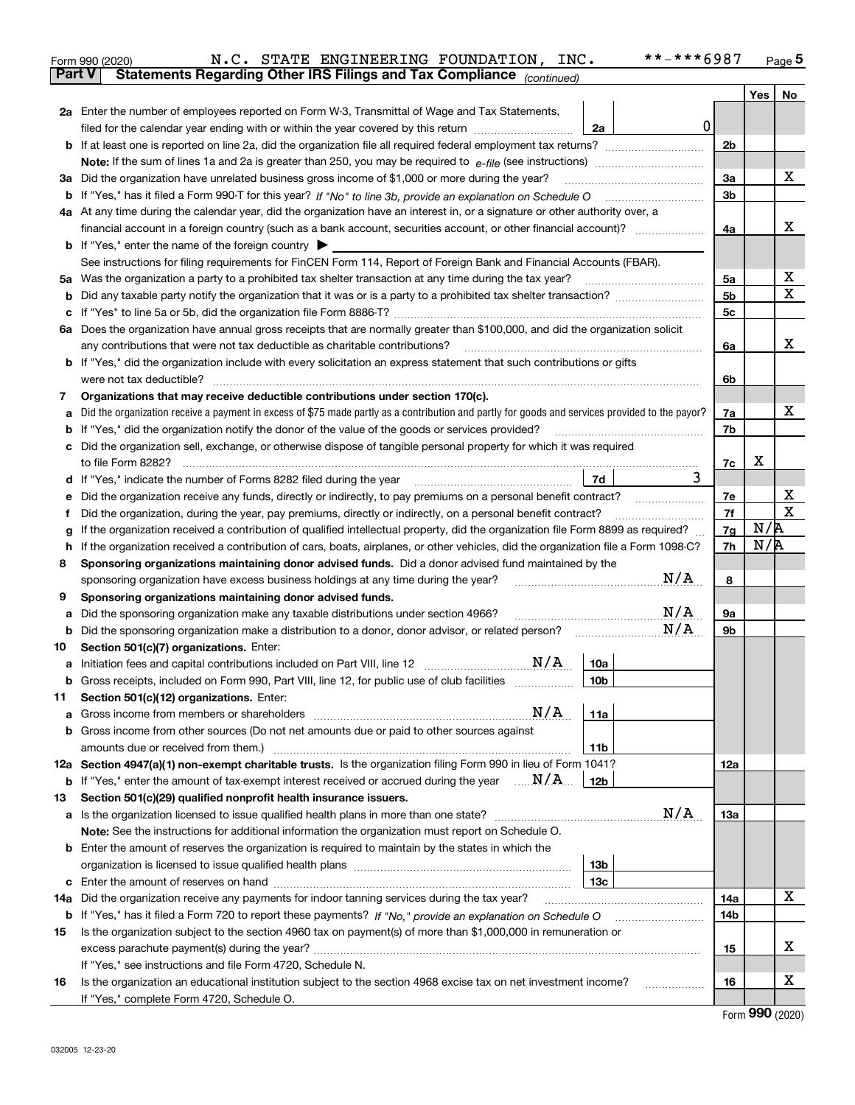|               | **-***6987<br>N.C. STATE ENGINEERING FOUNDATION, INC.<br>Form 990 (2020)                                                                              |                |            | Page 5 |
|---------------|-------------------------------------------------------------------------------------------------------------------------------------------------------|----------------|------------|--------|
| <b>Part V</b> | Statements Regarding Other IRS Filings and Tax Compliance (continued)                                                                                 |                |            |        |
|               |                                                                                                                                                       |                | <b>Yes</b> | No     |
|               | 2a Enter the number of employees reported on Form W-3, Transmittal of Wage and Tax Statements,                                                        |                |            |        |
|               | 0<br>filed for the calendar year ending with or within the year covered by this return<br>2a                                                          |                |            |        |
|               |                                                                                                                                                       | 2 <sub>b</sub> |            |        |
|               |                                                                                                                                                       |                |            |        |
|               | 3a Did the organization have unrelated business gross income of \$1,000 or more during the year?                                                      | За             |            | х      |
|               |                                                                                                                                                       | 3b             |            |        |
|               | 4a At any time during the calendar year, did the organization have an interest in, or a signature or other authority over, a                          |                |            |        |
|               | financial account in a foreign country (such as a bank account, securities account, or other financial account)?                                      | 4a             |            | х      |
|               | <b>b</b> If "Yes," enter the name of the foreign country $\blacktriangleright$                                                                        |                |            |        |
|               | See instructions for filing requirements for FinCEN Form 114, Report of Foreign Bank and Financial Accounts (FBAR).                                   |                |            |        |
|               |                                                                                                                                                       | 5a             |            | х      |
| b             |                                                                                                                                                       | 5b             |            | X      |
|               |                                                                                                                                                       | 5c             |            |        |
|               | 6a Does the organization have annual gross receipts that are normally greater than \$100,000, and did the organization solicit                        |                |            |        |
|               | any contributions that were not tax deductible as charitable contributions?                                                                           | 6a             |            | x      |
|               | <b>b</b> If "Yes," did the organization include with every solicitation an express statement that such contributions or gifts                         |                |            |        |
|               | were not tax deductible?                                                                                                                              | 6b             |            |        |
| 7             | Organizations that may receive deductible contributions under section 170(c).                                                                         |                |            |        |
| а             | Did the organization receive a payment in excess of \$75 made partly as a contribution and partly for goods and services provided to the payor?       | 7a             |            | x      |
|               | <b>b</b> If "Yes," did the organization notify the donor of the value of the goods or services provided?                                              | 7b             |            |        |
|               | c Did the organization sell, exchange, or otherwise dispose of tangible personal property for which it was required                                   |                |            |        |
|               | 3                                                                                                                                                     | 7c             | х          |        |
|               | 7d                                                                                                                                                    |                |            |        |
| е             | Did the organization receive any funds, directly or indirectly, to pay premiums on a personal benefit contract?                                       | 7e             |            | х<br>X |
| f             | Did the organization, during the year, pay premiums, directly or indirectly, on a personal benefit contract?                                          | 7f             | N/R        |        |
| g             | If the organization received a contribution of qualified intellectual property, did the organization file Form 8899 as required?                      | 7g             | N/R        |        |
| h.            | If the organization received a contribution of cars, boats, airplanes, or other vehicles, did the organization file a Form 1098-C?                    | 7h             |            |        |
| 8             | Sponsoring organizations maintaining donor advised funds. Did a donor advised fund maintained by the<br>N/A                                           |                |            |        |
|               | sponsoring organization have excess business holdings at any time during the year?                                                                    | 8              |            |        |
| 9             | Sponsoring organizations maintaining donor advised funds.<br>N/A                                                                                      |                |            |        |
| а             | Did the sponsoring organization make any taxable distributions under section 4966?<br>N/A                                                             | <b>9a</b>      |            |        |
|               | <b>b</b> Did the sponsoring organization make a distribution to a donor, donor advisor, or related person?<br>Section 501(c)(7) organizations. Enter: | 9b             |            |        |
| 10            |                                                                                                                                                       |                |            |        |
|               | 10a<br>Gross receipts, included on Form 990, Part VIII, line 12, for public use of club facilities<br>10 <sub>b</sub>                                 |                |            |        |
|               |                                                                                                                                                       |                |            |        |
| 11            | Section 501(c)(12) organizations. Enter:<br>$\mathrm{N}/\mathrm{A}$<br>11a<br><b>a</b> Gross income from members or shareholders                      |                |            |        |
|               | b Gross income from other sources (Do not net amounts due or paid to other sources against                                                            |                |            |        |
|               | 11b                                                                                                                                                   |                |            |        |
|               | 12a Section 4947(a)(1) non-exempt charitable trusts. Is the organization filing Form 990 in lieu of Form 1041?                                        | 12a            |            |        |
|               | <b>b</b> If "Yes," enter the amount of tax-exempt interest received or accrued during the year $\ldots \mathbf{N}/\mathbf{A}$<br>12b                  |                |            |        |
| 13            | Section 501(c)(29) qualified nonprofit health insurance issuers.                                                                                      |                |            |        |
|               | N/A<br><b>a</b> Is the organization licensed to issue qualified health plans in more than one state?                                                  | 13а            |            |        |
|               | Note: See the instructions for additional information the organization must report on Schedule O.                                                     |                |            |        |
|               | <b>b</b> Enter the amount of reserves the organization is required to maintain by the states in which the                                             |                |            |        |
|               | 13 <sub>b</sub>                                                                                                                                       |                |            |        |
|               | 13с                                                                                                                                                   |                |            |        |
| 14a           | Did the organization receive any payments for indoor tanning services during the tax year?                                                            | 14a            |            | X      |
|               | b If "Yes," has it filed a Form 720 to report these payments? If "No," provide an explanation on Schedule O                                           | 14b            |            |        |
| 15            | Is the organization subject to the section 4960 tax on payment(s) of more than \$1,000,000 in remuneration or                                         |                |            |        |
|               |                                                                                                                                                       | 15             |            | х      |
|               | If "Yes," see instructions and file Form 4720, Schedule N.                                                                                            |                |            |        |
| 16            | Is the organization an educational institution subject to the section 4968 excise tax on net investment income?                                       | 16             |            | x      |
|               | If "Yes," complete Form 4720, Schedule O.                                                                                                             |                |            |        |
|               |                                                                                                                                                       |                | റററ        |        |

| Form 990 (2020) |  |
|-----------------|--|
|-----------------|--|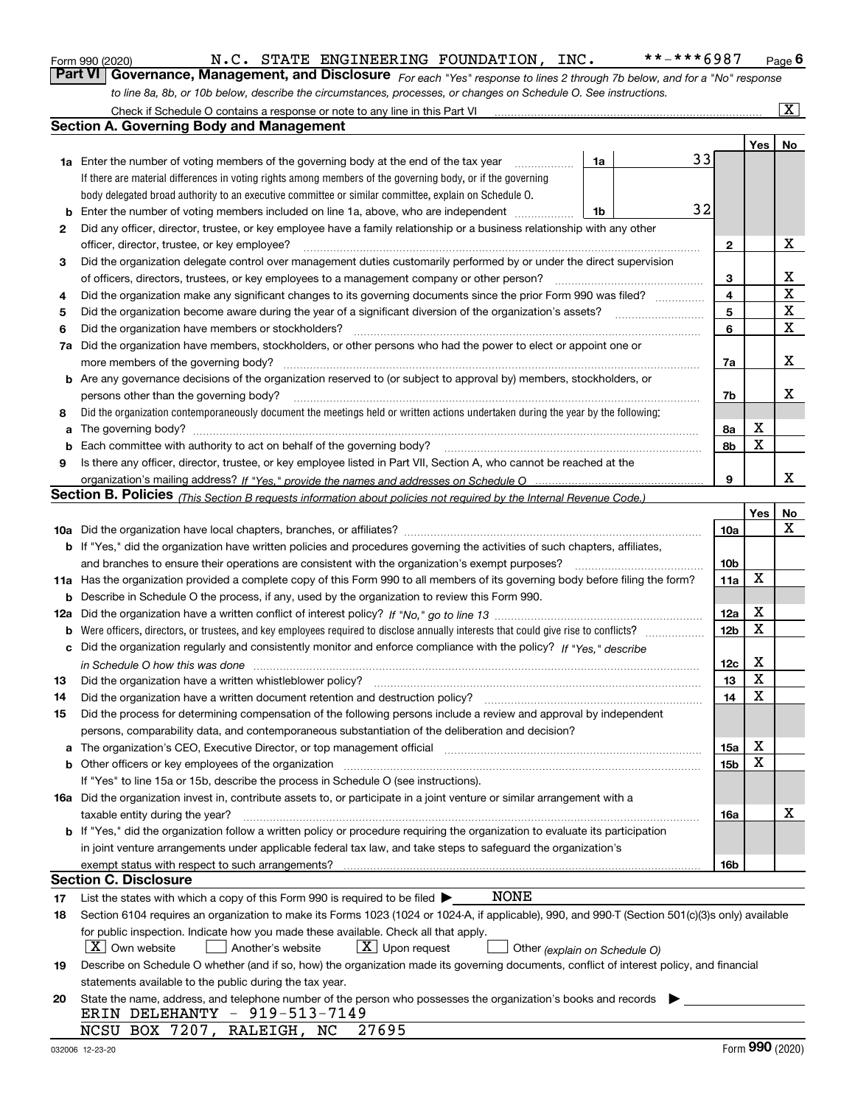|  | Form 990 (2020) |
|--|-----------------|
|  |                 |

*For each "Yes" response to lines 2 through 7b below, and for a "No" response to line 8a, 8b, or 10b below, describe the circumstances, processes, or changes on Schedule O. See instructions.* Form 990 (2020) **M.C. STATE ENGINEERING FOUNDATION, INC.** \*\*-\*\*\*6987 Page 6<br>**Part VI Governance, Management, and Disclosure** *For each "Yes" response to lines 2 through 7b below, and for a "No" response* 

|    | Check if Schedule O contains a response or note to any line in this Part VI                                                                                                                                 |                 |         | $\boxed{\text{X}}$ |
|----|-------------------------------------------------------------------------------------------------------------------------------------------------------------------------------------------------------------|-----------------|---------|--------------------|
|    | Section A. Governing Body and Management                                                                                                                                                                    |                 |         |                    |
|    |                                                                                                                                                                                                             |                 | Yes $ $ | No                 |
|    | 33<br>1a<br><b>1a</b> Enter the number of voting members of the governing body at the end of the tax year <i>manumum</i>                                                                                    |                 |         |                    |
|    | If there are material differences in voting rights among members of the governing body, or if the governing                                                                                                 |                 |         |                    |
|    | body delegated broad authority to an executive committee or similar committee, explain on Schedule O.                                                                                                       |                 |         |                    |
| b  | 32<br>Enter the number of voting members included on line 1a, above, who are independent<br>1b                                                                                                              |                 |         |                    |
| 2  | Did any officer, director, trustee, or key employee have a family relationship or a business relationship with any other                                                                                    |                 |         |                    |
|    | officer, director, trustee, or key employee?                                                                                                                                                                | 2               |         | х                  |
| 3  | Did the organization delegate control over management duties customarily performed by or under the direct supervision                                                                                       |                 |         |                    |
|    | of officers, directors, trustees, or key employees to a management company or other person?                                                                                                                 | 3               |         | х                  |
| 4  | Did the organization make any significant changes to its governing documents since the prior Form 990 was filed?                                                                                            | 4               |         | X                  |
| 5  | Did the organization become aware during the year of a significant diversion of the organization's assets?                                                                                                  | 5               |         | X                  |
| 6  | Did the organization have members or stockholders?                                                                                                                                                          | 6               |         | х                  |
| 7a | Did the organization have members, stockholders, or other persons who had the power to elect or appoint one or                                                                                              |                 |         |                    |
|    | more members of the governing body?                                                                                                                                                                         | 7a              |         | х                  |
|    | <b>b</b> Are any governance decisions of the organization reserved to (or subject to approval by) members, stockholders, or                                                                                 |                 |         |                    |
|    | persons other than the governing body?                                                                                                                                                                      | 7b              |         | x                  |
| 8  | Did the organization contemporaneously document the meetings held or written actions undertaken during the year by the following:                                                                           |                 |         |                    |
|    |                                                                                                                                                                                                             | 8a              | х       |                    |
| b  | Each committee with authority to act on behalf of the governing body?                                                                                                                                       | 8b              | X       |                    |
| 9  | Is there any officer, director, trustee, or key employee listed in Part VII, Section A, who cannot be reached at the                                                                                        |                 |         |                    |
|    |                                                                                                                                                                                                             | 9               |         | x                  |
|    | Section B. Policies <sub>(This Section B requests information about policies not required by the Internal Revenue Code.)</sub>                                                                              |                 |         |                    |
|    |                                                                                                                                                                                                             |                 | Yes     | No                 |
|    |                                                                                                                                                                                                             | <b>10a</b>      |         | x                  |
|    | b If "Yes," did the organization have written policies and procedures governing the activities of such chapters, affiliates,                                                                                |                 |         |                    |
|    | and branches to ensure their operations are consistent with the organization's exempt purposes?                                                                                                             | 10 <sub>b</sub> |         |                    |
|    | 11a Has the organization provided a complete copy of this Form 990 to all members of its governing body before filing the form?                                                                             | 11a             | x       |                    |
|    | <b>b</b> Describe in Schedule O the process, if any, used by the organization to review this Form 990.                                                                                                      |                 |         |                    |
|    |                                                                                                                                                                                                             | 12a             | х       |                    |
|    |                                                                                                                                                                                                             | 12 <sub>b</sub> | х       |                    |
|    | c Did the organization regularly and consistently monitor and enforce compliance with the policy? If "Yes," describe                                                                                        |                 |         |                    |
|    | in Schedule O how this was done measured and the control of the control of the state of the state of the state                                                                                              | 12c             | х       |                    |
| 13 | Did the organization have a written whistleblower policy?                                                                                                                                                   | 13              | х       |                    |
| 14 | Did the organization have a written document retention and destruction policy?                                                                                                                              | 14              | X       |                    |
| 15 | Did the process for determining compensation of the following persons include a review and approval by independent                                                                                          |                 |         |                    |
|    | persons, comparability data, and contemporaneous substantiation of the deliberation and decision?                                                                                                           |                 |         |                    |
|    | a The organization's CEO, Executive Director, or top management official manufacture content content content content of the state of the organization's CEO, Executive Director, or top management official | 15a             | х       |                    |
|    | b Other officers or key employees of the organization manufactured content to the organization manufactured by Other officers or key employees of the organization                                          | 15b             | х       |                    |
|    | If "Yes" to line 15a or 15b, describe the process in Schedule O (see instructions).                                                                                                                         |                 |         |                    |
|    | 16a Did the organization invest in, contribute assets to, or participate in a joint venture or similar arrangement with a                                                                                   |                 |         |                    |
|    | taxable entity during the year?                                                                                                                                                                             | 16a             |         | х                  |
|    | b If "Yes," did the organization follow a written policy or procedure requiring the organization to evaluate its participation                                                                              |                 |         |                    |
|    | in joint venture arrangements under applicable federal tax law, and take steps to safeguard the organization's                                                                                              |                 |         |                    |
|    |                                                                                                                                                                                                             | 16b             |         |                    |
|    | Section C. Disclosure                                                                                                                                                                                       |                 |         |                    |
| 17 | <b>NONE</b><br>List the states with which a copy of this Form 990 is required to be filed $\blacktriangleright$                                                                                             |                 |         |                    |
| 18 | Section 6104 requires an organization to make its Forms 1023 (1024 or 1024-A, if applicable), 990, and 990-T (Section 501(c)(3)s only) available                                                            |                 |         |                    |
|    | for public inspection. Indicate how you made these available. Check all that apply.                                                                                                                         |                 |         |                    |
|    | X   Own website<br>$\lfloor x \rfloor$ Upon request<br>Another's website<br>Other (explain on Schedule O)                                                                                                   |                 |         |                    |
| 19 | Describe on Schedule O whether (and if so, how) the organization made its governing documents, conflict of interest policy, and financial                                                                   |                 |         |                    |
|    | statements available to the public during the tax year.                                                                                                                                                     |                 |         |                    |
| 20 | State the name, address, and telephone number of the person who possesses the organization's books and records<br>ERIN DELEHANTY - 919-513-7149                                                             |                 |         |                    |
|    | NCSU BOX 7207, RALEIGH, NC<br>27695                                                                                                                                                                         |                 |         |                    |
|    |                                                                                                                                                                                                             |                 |         |                    |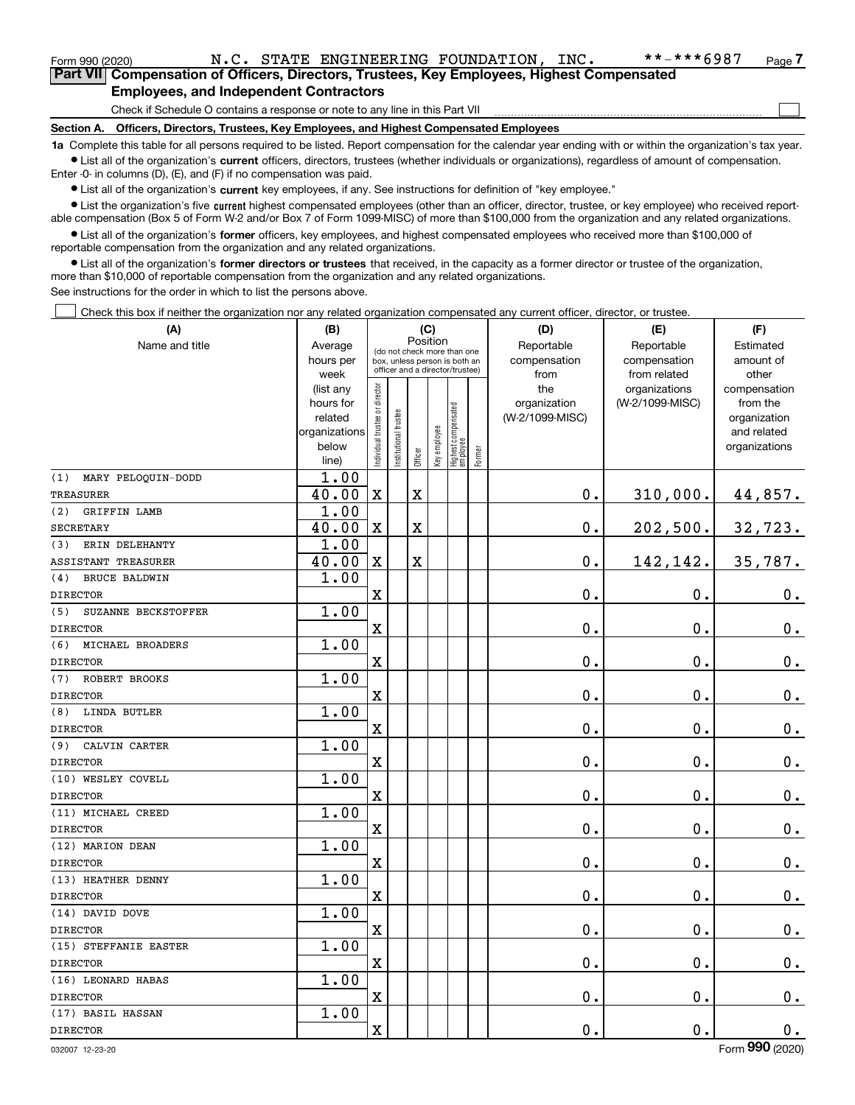| Form 990 (2020) |                                               |  | N.C. STATE ENGINEERING FOUNDATION, INC.                                                    | **-***6987 | Page 7 |
|-----------------|-----------------------------------------------|--|--------------------------------------------------------------------------------------------|------------|--------|
|                 |                                               |  | Part VII Compensation of Officers, Directors, Trustees, Key Employees, Highest Compensated |            |        |
|                 | <b>Employees, and Independent Contractors</b> |  |                                                                                            |            |        |

Check if Schedule O contains a response or note to any line in this Part VII

**Section A. Officers, Directors, Trustees, Key Employees, and Highest Compensated Employees**

**1a**  Complete this table for all persons required to be listed. Report compensation for the calendar year ending with or within the organization's tax year. **•** List all of the organization's current officers, directors, trustees (whether individuals or organizations), regardless of amount of compensation.

Enter -0- in columns (D), (E), and (F) if no compensation was paid.

 $\bullet$  List all of the organization's  $\,$ current key employees, if any. See instructions for definition of "key employee."

**•** List the organization's five current highest compensated employees (other than an officer, director, trustee, or key employee) who received reportable compensation (Box 5 of Form W-2 and/or Box 7 of Form 1099-MISC) of more than \$100,000 from the organization and any related organizations.

**•** List all of the organization's former officers, key employees, and highest compensated employees who received more than \$100,000 of reportable compensation from the organization and any related organizations.

**former directors or trustees**  ¥ List all of the organization's that received, in the capacity as a former director or trustee of the organization, more than \$10,000 of reportable compensation from the organization and any related organizations.

See instructions for the order in which to list the persons above.

Check this box if neither the organization nor any related organization compensated any current officer, director, or trustee.  $\mathcal{L}^{\text{max}}$ 

| (A)                         | (B)                    | (C)                           |                                                                  | (D)                     | (E)          | (F)                               |           |                 |                                  |                          |
|-----------------------------|------------------------|-------------------------------|------------------------------------------------------------------|-------------------------|--------------|-----------------------------------|-----------|-----------------|----------------------------------|--------------------------|
| Name and title              | Average                |                               | Position<br>(do not check more than one                          |                         | Reportable   | Reportable                        | Estimated |                 |                                  |                          |
|                             | hours per              |                               | box, unless person is both an<br>officer and a director/trustee) |                         | compensation | compensation                      | amount of |                 |                                  |                          |
|                             | week                   |                               |                                                                  |                         |              |                                   |           | from<br>the     | from related                     | other                    |
|                             | (list any<br>hours for |                               |                                                                  |                         |              |                                   |           | organization    | organizations<br>(W-2/1099-MISC) | compensation<br>from the |
|                             | related                |                               |                                                                  |                         |              |                                   |           | (W-2/1099-MISC) |                                  | organization             |
|                             | organizations          |                               |                                                                  |                         |              |                                   |           |                 |                                  | and related              |
|                             | below                  | ndividual trustee or director | nstitutional trustee                                             |                         | Key employee |                                   |           |                 |                                  | organizations            |
|                             | line)                  |                               |                                                                  | Officer                 |              | Highest compensated<br>  employee | Former    |                 |                                  |                          |
| MARY PELOQUIN-DODD<br>(1)   | 1.00                   |                               |                                                                  |                         |              |                                   |           |                 |                                  |                          |
| <b>TREASURER</b>            | 40.00                  | $\mathbf x$                   |                                                                  | $\overline{\mathbf{X}}$ |              |                                   |           | 0.              | 310,000.                         | 44,857.                  |
| (2)<br>GRIFFIN LAMB         | 1.00                   |                               |                                                                  |                         |              |                                   |           |                 |                                  |                          |
| <b>SECRETARY</b>            | 40.00                  | X                             |                                                                  | $\overline{\mathbf{X}}$ |              |                                   |           | 0.              | 202,500.                         | 32,723.                  |
| ERIN DELEHANTY<br>(3)       | 1.00                   |                               |                                                                  |                         |              |                                   |           |                 |                                  |                          |
| ASSISTANT TREASURER         | 40.00                  | $\mathbf X$                   |                                                                  | $\overline{\textbf{X}}$ |              |                                   |           | 0.              | 142,142.                         | 35,787.                  |
| (4)<br><b>BRUCE BALDWIN</b> | 1.00                   |                               |                                                                  |                         |              |                                   |           |                 |                                  |                          |
| <b>DIRECTOR</b>             |                        | X                             |                                                                  |                         |              |                                   |           | 0.              | 0.                               | $0_{.}$                  |
| (5)<br>SUZANNE BECKSTOFFER  | 1.00                   |                               |                                                                  |                         |              |                                   |           |                 |                                  |                          |
| <b>DIRECTOR</b>             |                        | $\rm X$                       |                                                                  |                         |              |                                   |           | 0.              | 0.                               | $0_{.}$                  |
| (6)<br>MICHAEL BROADERS     | 1.00                   |                               |                                                                  |                         |              |                                   |           |                 |                                  |                          |
| <b>DIRECTOR</b>             |                        | X                             |                                                                  |                         |              |                                   |           | 0.              | 0.                               | $\mathbf 0$ .            |
| ROBERT BROOKS<br>(7)        | 1.00                   |                               |                                                                  |                         |              |                                   |           |                 |                                  |                          |
| <b>DIRECTOR</b>             |                        | $\rm X$                       |                                                                  |                         |              |                                   |           | 0.              | $\mathbf 0$ .                    | $\mathbf 0$ .            |
| <b>LINDA BUTLER</b><br>(8)  | 1.00                   |                               |                                                                  |                         |              |                                   |           |                 |                                  |                          |
| <b>DIRECTOR</b>             |                        | $\overline{\textbf{X}}$       |                                                                  |                         |              |                                   |           | 0.              | 0.                               | 0.                       |
| (9) CALVIN CARTER           | 1.00                   |                               |                                                                  |                         |              |                                   |           |                 |                                  |                          |
| <b>DIRECTOR</b>             |                        | $\rm X$                       |                                                                  |                         |              |                                   |           | $0$ .           | $\mathbf 0$ .                    | $0_{.}$                  |
| (10) WESLEY COVELL          | 1.00                   |                               |                                                                  |                         |              |                                   |           |                 |                                  |                          |
| <b>DIRECTOR</b>             |                        | $\overline{\textbf{X}}$       |                                                                  |                         |              |                                   |           | 0.              | 0.                               | $\mathbf 0$ .            |
| (11) MICHAEL CREED          | 1.00                   |                               |                                                                  |                         |              |                                   |           |                 |                                  |                          |
| <b>DIRECTOR</b>             |                        | $\mathbf x$                   |                                                                  |                         |              |                                   |           | 0.              | $\mathbf 0$ .                    | $\mathbf 0$ .            |
| (12) MARION DEAN            | 1.00                   |                               |                                                                  |                         |              |                                   |           |                 |                                  |                          |
| <b>DIRECTOR</b>             |                        | X                             |                                                                  |                         |              |                                   |           | 0.              | $\mathbf 0$ .                    | $0_{.}$                  |
| (13) HEATHER DENNY          | 1.00                   |                               |                                                                  |                         |              |                                   |           |                 |                                  |                          |
| <b>DIRECTOR</b>             |                        | $\mathbf X$                   |                                                                  |                         |              |                                   |           | 0.              | 0.                               | $0_{.}$                  |
| (14) DAVID DOVE             | 1.00                   |                               |                                                                  |                         |              |                                   |           |                 |                                  |                          |
| <b>DIRECTOR</b>             |                        | X                             |                                                                  |                         |              |                                   |           | 0.              | 0.                               | $\mathbf 0$ .            |
| (15) STEFFANIE EASTER       | 1.00                   |                               |                                                                  |                         |              |                                   |           |                 |                                  |                          |
| <b>DIRECTOR</b>             |                        | $\rm X$                       |                                                                  |                         |              |                                   |           | 0.              | 0.                               | $\mathbf 0$ .            |
| (16) LEONARD HABAS          | 1.00                   |                               |                                                                  |                         |              |                                   |           |                 |                                  |                          |
| <b>DIRECTOR</b>             |                        | X                             |                                                                  |                         |              |                                   |           | 0.              | 0.                               | $\mathbf 0$ .            |
| (17) BASIL HASSAN           | 1.00                   |                               |                                                                  |                         |              |                                   |           |                 |                                  |                          |
| <b>DIRECTOR</b>             |                        | $\rm X$                       |                                                                  |                         |              |                                   |           | 0.              | 0.                               | $\mathbf 0$ .            |

 $\mathcal{L}^{\text{max}}$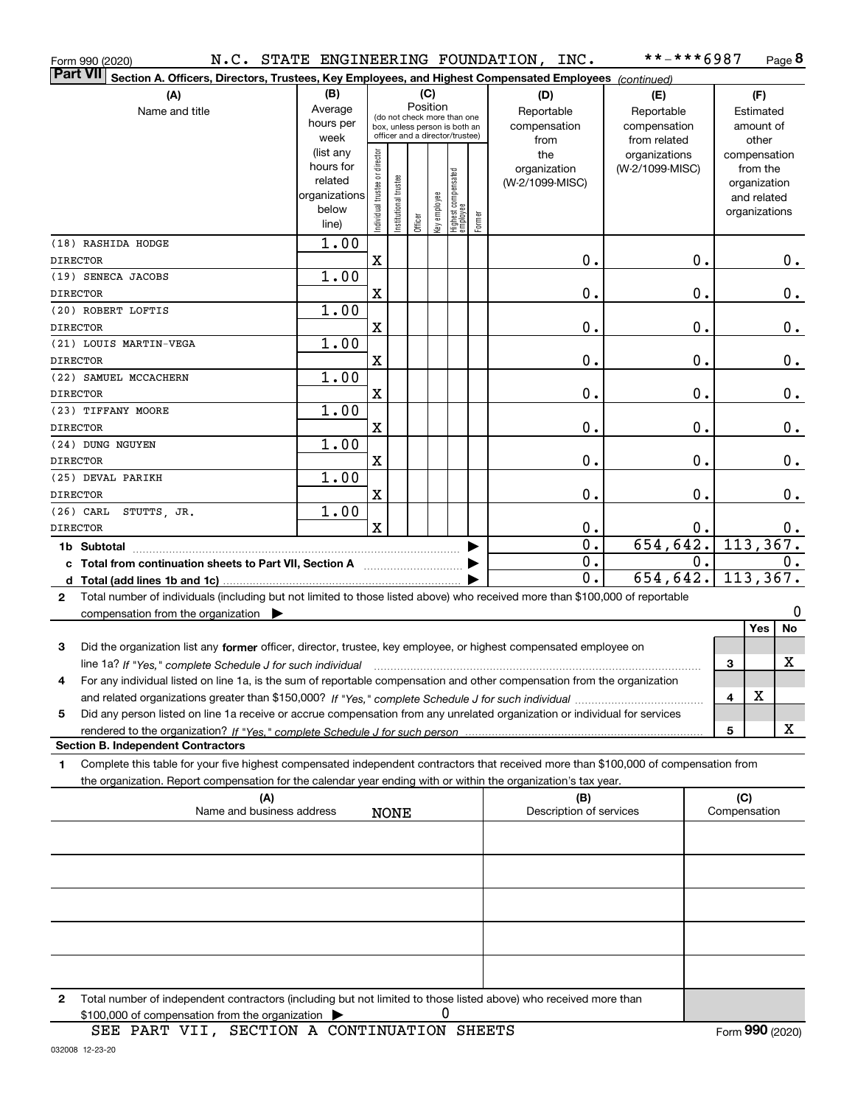| Form 990 (2020)                                                                                                                           |                      |                               |                       |          |              |                                   |        | N.C. STATE ENGINEERING FOUNDATION, INC.      | **-***6987      |                  |              | Page 8                      |
|-------------------------------------------------------------------------------------------------------------------------------------------|----------------------|-------------------------------|-----------------------|----------|--------------|-----------------------------------|--------|----------------------------------------------|-----------------|------------------|--------------|-----------------------------|
| Part VII<br>Section A. Officers, Directors, Trustees, Key Employees, and Highest Compensated Employees (continued)                        |                      |                               |                       |          |              |                                   |        |                                              |                 |                  |              |                             |
| (A)                                                                                                                                       | (B)                  |                               |                       | (C)      |              |                                   |        | (D)                                          | (E)             |                  |              | (F)                         |
| Name and title                                                                                                                            | Average              |                               |                       | Position |              | (do not check more than one       |        | Reportable                                   | Reportable      |                  |              | Estimated                   |
|                                                                                                                                           | hours per            |                               |                       |          |              | box, unless person is both an     |        | compensation                                 | compensation    |                  |              | amount of                   |
|                                                                                                                                           | week                 |                               |                       |          |              | officer and a director/trustee)   |        | from                                         | from related    |                  |              | other                       |
|                                                                                                                                           | (list any            |                               |                       |          |              |                                   |        | the                                          | organizations   |                  |              | compensation                |
|                                                                                                                                           | hours for<br>related |                               |                       |          |              |                                   |        | organization                                 | (W-2/1099-MISC) |                  |              | from the                    |
|                                                                                                                                           | organizations        |                               |                       |          |              |                                   |        | (W-2/1099-MISC)                              |                 |                  |              | organization<br>and related |
|                                                                                                                                           | below                | ndividual trustee or director | Institutional trustee |          |              |                                   |        |                                              |                 |                  |              | organizations               |
|                                                                                                                                           | line)                |                               |                       | Officer  | key employee | Highest compensated<br>  employee | Former |                                              |                 |                  |              |                             |
| (18) RASHIDA HODGE                                                                                                                        | 1.00                 |                               |                       |          |              |                                   |        |                                              |                 |                  |              |                             |
| <b>DIRECTOR</b>                                                                                                                           |                      | X                             |                       |          |              |                                   |        | 0.                                           |                 | 0.               |              | 0.                          |
| (19) SENECA JACOBS                                                                                                                        | 1.00                 |                               |                       |          |              |                                   |        |                                              |                 |                  |              |                             |
| <b>DIRECTOR</b>                                                                                                                           |                      | X                             |                       |          |              |                                   |        | 0.                                           |                 | 0.               |              | $\mathbf 0$ .               |
| (20) ROBERT LOFTIS                                                                                                                        | 1.00                 |                               |                       |          |              |                                   |        |                                              |                 |                  |              |                             |
| <b>DIRECTOR</b>                                                                                                                           |                      | X                             |                       |          |              |                                   |        | 0.                                           |                 | $\mathbf 0$ .    |              | $\mathbf 0$ .               |
| (21) LOUIS MARTIN-VEGA                                                                                                                    | 1.00                 |                               |                       |          |              |                                   |        |                                              |                 |                  |              |                             |
| <b>DIRECTOR</b>                                                                                                                           |                      | X                             |                       |          |              |                                   |        | 0.                                           |                 | $\mathbf 0$ .    |              | $\mathbf 0$ .               |
| (22) SAMUEL MCCACHERN                                                                                                                     | 1.00                 |                               |                       |          |              |                                   |        |                                              |                 |                  |              |                             |
| <b>DIRECTOR</b>                                                                                                                           |                      | X                             |                       |          |              |                                   |        | 0.                                           |                 | $\mathbf 0$ .    |              | $\mathbf 0$ .               |
| (23) TIFFANY MOORE                                                                                                                        | 1.00                 |                               |                       |          |              |                                   |        |                                              |                 |                  |              |                             |
| <b>DIRECTOR</b>                                                                                                                           |                      | $\mathbf X$                   |                       |          |              |                                   |        | 0.                                           |                 | $\mathbf 0$ .    |              | $\mathbf 0$ .               |
| (24) DUNG NGUYEN                                                                                                                          | 1.00                 |                               |                       |          |              |                                   |        |                                              |                 |                  |              |                             |
| <b>DIRECTOR</b>                                                                                                                           |                      | X                             |                       |          |              |                                   |        | 0.                                           |                 | $\mathbf 0$ .    |              | $\mathbf 0$ .               |
| (25) DEVAL PARIKH                                                                                                                         | 1.00                 |                               |                       |          |              |                                   |        |                                              |                 |                  |              |                             |
| <b>DIRECTOR</b>                                                                                                                           |                      | $\mathbf X$                   |                       |          |              |                                   |        | 0.                                           |                 | $\mathbf 0$ .    |              | $\mathbf 0$ .               |
| $(26)$ CARL<br>STUTTS, JR.                                                                                                                | 1.00                 |                               |                       |          |              |                                   |        |                                              |                 |                  |              |                             |
| <b>DIRECTOR</b>                                                                                                                           |                      | $\mathbf X$                   |                       |          |              |                                   |        | $\mathbf 0$ .<br>$\overline{\mathfrak{o}}$ . | 654, 642.       | 0.               |              | 0.<br>113, 367.             |
| 1b Subtotal                                                                                                                               |                      |                               |                       |          |              |                                   |        | $\overline{\mathfrak{o}}$ .                  |                 | $\overline{0}$ . |              | 0.                          |
| c Total from continuation sheets to Part VII, Section A                                                                                   |                      |                               |                       |          |              |                                   |        | $\overline{0}$ .                             | 654,642.        |                  |              | 113, 367.                   |
| d Total (add lines 1b and 1c)                                                                                                             |                      |                               |                       |          |              |                                   |        |                                              |                 |                  |              |                             |
| Total number of individuals (including but not limited to those listed above) who received more than \$100,000 of reportable<br>2         |                      |                               |                       |          |              |                                   |        |                                              |                 |                  |              | 0                           |
| compensation from the organization $\blacktriangleright$                                                                                  |                      |                               |                       |          |              |                                   |        |                                              |                 |                  |              | No<br>Yes                   |
| 3<br>Did the organization list any former officer, director, trustee, key employee, or highest compensated employee on                    |                      |                               |                       |          |              |                                   |        |                                              |                 |                  |              |                             |
|                                                                                                                                           |                      |                               |                       |          |              |                                   |        |                                              |                 |                  | 3            | X                           |
| For any individual listed on line 1a, is the sum of reportable compensation and other compensation from the organization<br>4             |                      |                               |                       |          |              |                                   |        |                                              |                 |                  |              |                             |
|                                                                                                                                           |                      |                               |                       |          |              |                                   |        |                                              |                 |                  | 4            | х                           |
| Did any person listed on line 1a receive or accrue compensation from any unrelated organization or individual for services<br>5           |                      |                               |                       |          |              |                                   |        |                                              |                 |                  |              |                             |
|                                                                                                                                           |                      |                               |                       |          |              |                                   |        |                                              |                 |                  | 5            | x                           |
| <b>Section B. Independent Contractors</b>                                                                                                 |                      |                               |                       |          |              |                                   |        |                                              |                 |                  |              |                             |
| Complete this table for your five highest compensated independent contractors that received more than \$100,000 of compensation from<br>1 |                      |                               |                       |          |              |                                   |        |                                              |                 |                  |              |                             |
| the organization. Report compensation for the calendar year ending with or within the organization's tax year.                            |                      |                               |                       |          |              |                                   |        |                                              |                 |                  |              |                             |
| (A)                                                                                                                                       |                      |                               |                       |          |              |                                   |        | (B)                                          |                 |                  | (C)          |                             |
| Name and business address                                                                                                                 |                      |                               | <b>NONE</b>           |          |              |                                   |        | Description of services                      |                 |                  | Compensation |                             |
|                                                                                                                                           |                      |                               |                       |          |              |                                   |        |                                              |                 |                  |              |                             |
|                                                                                                                                           |                      |                               |                       |          |              |                                   |        |                                              |                 |                  |              |                             |
|                                                                                                                                           |                      |                               |                       |          |              |                                   |        |                                              |                 |                  |              |                             |
|                                                                                                                                           |                      |                               |                       |          |              |                                   |        |                                              |                 |                  |              |                             |
|                                                                                                                                           |                      |                               |                       |          |              |                                   |        |                                              |                 |                  |              |                             |
|                                                                                                                                           |                      |                               |                       |          |              |                                   |        |                                              |                 |                  |              |                             |
|                                                                                                                                           |                      |                               |                       |          |              |                                   |        |                                              |                 |                  |              |                             |
| Total number of independent contractors (including but not limited to those listed above) who received more than<br>2                     |                      |                               |                       |          |              |                                   |        |                                              |                 |                  |              |                             |

0

\$100,000 of compensation from the organization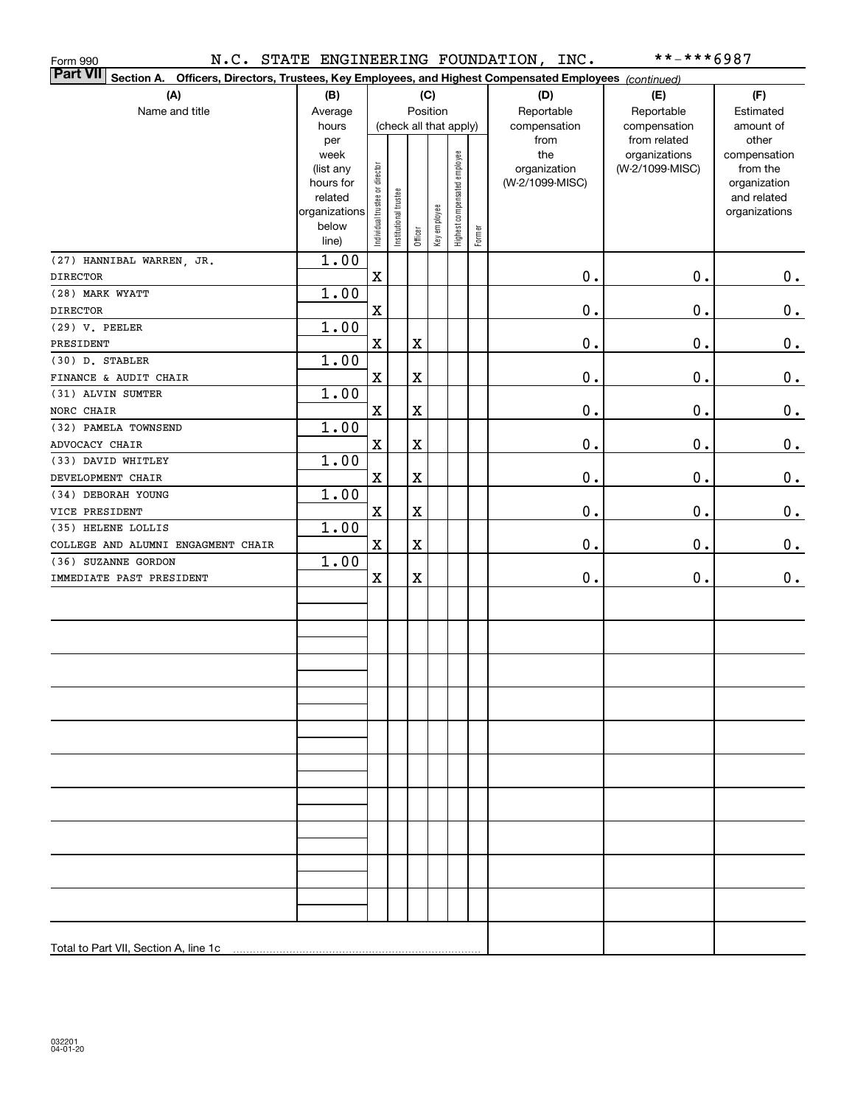| Form 990                                                                                                                  |                        |                                |                       |             |              |                              |        | N.C. STATE ENGINEERING FOUNDATION, INC. | **-***6987                       |                          |
|---------------------------------------------------------------------------------------------------------------------------|------------------------|--------------------------------|-----------------------|-------------|--------------|------------------------------|--------|-----------------------------------------|----------------------------------|--------------------------|
| <b>Part VII</b><br>Section A. Officers, Directors, Trustees, Key Employees, and Highest Compensated Employees (continued) |                        |                                |                       |             |              |                              |        |                                         |                                  |                          |
| (A)                                                                                                                       | (B)                    |                                |                       |             | (C)          |                              |        | (D)                                     | (E)                              | (F)                      |
| Name and title                                                                                                            | Average                |                                | Position              |             |              |                              |        | Reportable                              | Reportable                       | Estimated                |
|                                                                                                                           | hours                  |                                |                       |             |              | (check all that apply)       |        | compensation                            | compensation                     | amount of                |
|                                                                                                                           | per                    |                                |                       |             |              |                              |        | from                                    | from related                     | other                    |
|                                                                                                                           | week                   |                                |                       |             |              | Highest compensated employee |        | the<br>organization                     | organizations<br>(W-2/1099-MISC) | compensation<br>from the |
|                                                                                                                           | (list any<br>hours for |                                |                       |             |              |                              |        | (W-2/1099-MISC)                         |                                  | organization             |
|                                                                                                                           | related                |                                |                       |             |              |                              |        |                                         |                                  | and related              |
|                                                                                                                           | organizations          |                                |                       |             |              |                              |        |                                         |                                  | organizations            |
|                                                                                                                           | below                  | Individual trustee or director | Institutional trustee |             | Key employee |                              |        |                                         |                                  |                          |
|                                                                                                                           | line)                  |                                |                       | Officer     |              |                              | Former |                                         |                                  |                          |
| (27) HANNIBAL WARREN, JR.                                                                                                 | 1.00                   |                                |                       |             |              |                              |        |                                         |                                  |                          |
| <b>DIRECTOR</b>                                                                                                           |                        | $\mathbf x$                    |                       |             |              |                              |        | 0.                                      | $\mathbf 0$ .                    | 0.                       |
| (28) MARK WYATT                                                                                                           | 1.00                   |                                |                       |             |              |                              |        |                                         |                                  |                          |
| <b>DIRECTOR</b>                                                                                                           |                        | $\mathbf X$                    |                       |             |              |                              |        | $\mathbf 0$ .                           | $0$ .                            | 0.                       |
| (29) V. PEELER                                                                                                            | 1.00                   |                                |                       |             |              |                              |        |                                         |                                  |                          |
| PRESIDENT                                                                                                                 |                        | $\mathbf X$                    |                       | $\mathbf X$ |              |                              |        | $\mathbf 0$ .                           | $0$ .                            | 0.                       |
| (30) D. STABLER                                                                                                           | 1.00                   |                                |                       |             |              |                              |        |                                         |                                  |                          |
| FINANCE & AUDIT CHAIR                                                                                                     |                        | $\mathbf X$                    |                       | $\mathbf X$ |              |                              |        | $\mathbf 0$ .                           | $0$ .                            | 0.                       |
| (31) ALVIN SUMTER                                                                                                         | 1.00                   |                                |                       |             |              |                              |        |                                         |                                  |                          |
| NORC CHAIR                                                                                                                |                        | $\mathbf X$                    |                       | $\mathbf X$ |              |                              |        | $\mathbf 0$ .                           | $\mathbf 0$ .                    | 0.                       |
| (32) PAMELA TOWNSEND                                                                                                      | 1.00                   |                                |                       |             |              |                              |        |                                         |                                  |                          |
| ADVOCACY CHAIR                                                                                                            |                        | $\mathbf X$                    |                       | $\mathbf X$ |              |                              |        | $\mathbf 0$ .                           | 0.                               | 0.                       |
| (33) DAVID WHITLEY                                                                                                        | 1.00                   |                                |                       |             |              |                              |        |                                         |                                  |                          |
| DEVELOPMENT CHAIR                                                                                                         |                        | $\mathbf X$                    |                       | $\mathbf X$ |              |                              |        | $\mathbf 0$ .                           | 0.                               | 0.                       |
| (34) DEBORAH YOUNG                                                                                                        | 1.00                   |                                |                       |             |              |                              |        |                                         |                                  |                          |
| VICE PRESIDENT                                                                                                            |                        | $\mathbf X$                    |                       | $\rm X$     |              |                              |        | 0.                                      | 0.                               | 0.                       |
| (35) HELENE LOLLIS                                                                                                        | 1.00                   |                                |                       |             |              |                              |        |                                         |                                  |                          |
| COLLEGE AND ALUMNI ENGAGMENT CHAIR                                                                                        |                        | $\mathbf X$                    |                       | $\mathbf X$ |              |                              |        | 0.                                      | 0.                               | 0.                       |
| (36) SUZANNE GORDON                                                                                                       | 1.00                   |                                |                       |             |              |                              |        |                                         |                                  |                          |
| IMMEDIATE PAST PRESIDENT                                                                                                  |                        | $\mathbf X$                    |                       | $\mathbf X$ |              |                              |        | $\mathbf 0$ .                           | $\mathbf 0$ .                    | 0.                       |
|                                                                                                                           |                        |                                |                       |             |              |                              |        |                                         |                                  |                          |
|                                                                                                                           |                        |                                |                       |             |              |                              |        |                                         |                                  |                          |
|                                                                                                                           |                        |                                |                       |             |              |                              |        |                                         |                                  |                          |
|                                                                                                                           |                        |                                |                       |             |              |                              |        |                                         |                                  |                          |
|                                                                                                                           |                        |                                |                       |             |              |                              |        |                                         |                                  |                          |
|                                                                                                                           |                        |                                |                       |             |              |                              |        |                                         |                                  |                          |
|                                                                                                                           |                        |                                |                       |             |              |                              |        |                                         |                                  |                          |
|                                                                                                                           |                        |                                |                       |             |              |                              |        |                                         |                                  |                          |
|                                                                                                                           |                        |                                |                       |             |              |                              |        |                                         |                                  |                          |
|                                                                                                                           |                        |                                |                       |             |              |                              |        |                                         |                                  |                          |
|                                                                                                                           |                        |                                |                       |             |              |                              |        |                                         |                                  |                          |
|                                                                                                                           |                        |                                |                       |             |              |                              |        |                                         |                                  |                          |
|                                                                                                                           |                        |                                |                       |             |              |                              |        |                                         |                                  |                          |
|                                                                                                                           |                        |                                |                       |             |              |                              |        |                                         |                                  |                          |
|                                                                                                                           |                        |                                |                       |             |              |                              |        |                                         |                                  |                          |
|                                                                                                                           |                        |                                |                       |             |              |                              |        |                                         |                                  |                          |
|                                                                                                                           |                        |                                |                       |             |              |                              |        |                                         |                                  |                          |
|                                                                                                                           |                        |                                |                       |             |              |                              |        |                                         |                                  |                          |
|                                                                                                                           |                        |                                |                       |             |              |                              |        |                                         |                                  |                          |
|                                                                                                                           |                        |                                |                       |             |              |                              |        |                                         |                                  |                          |
| Total to Part VII, Section A, line 1c                                                                                     |                        |                                |                       |             |              |                              |        |                                         |                                  |                          |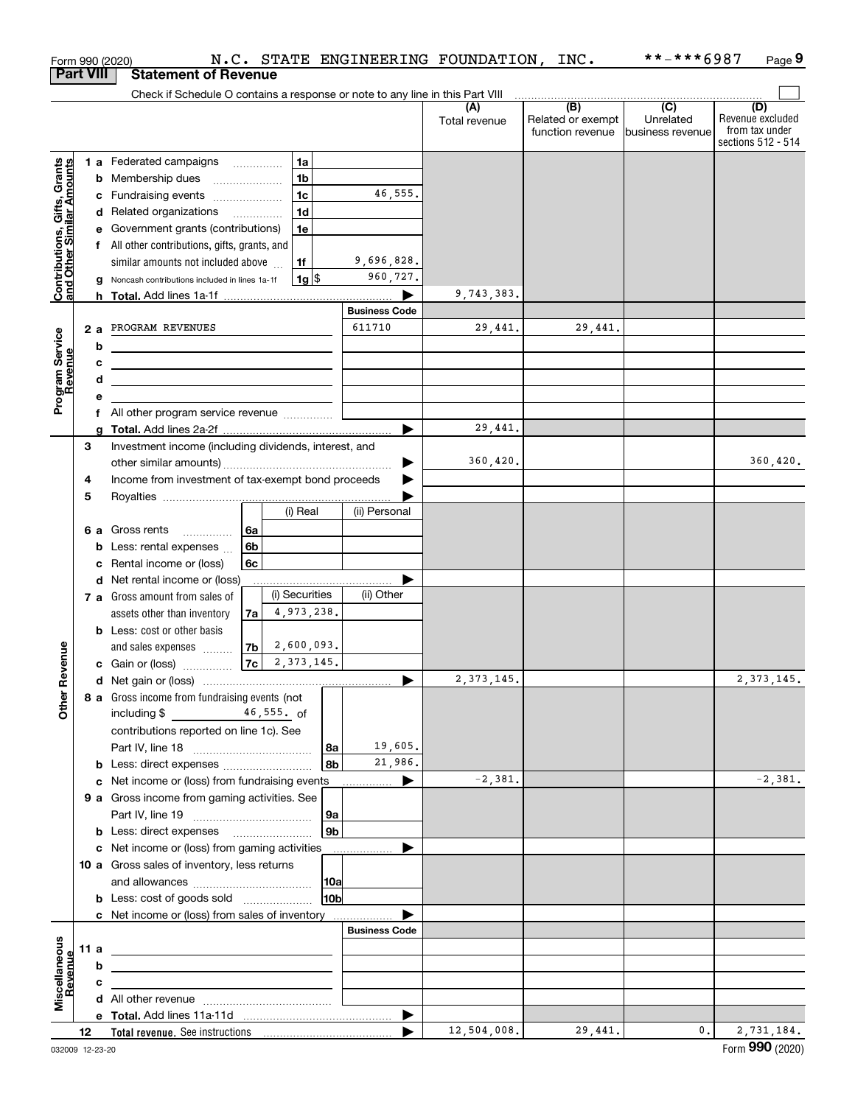|                                                           | Form 990 (2020)<br><b>Part VIII</b> | N.C. STATE ENGINEERING FOUNDATION, INC.<br><b>Statement of Revenue</b> |                      |               |                                       | $***$ ** * * 6987             | Page 9                                                          |
|-----------------------------------------------------------|-------------------------------------|------------------------------------------------------------------------|----------------------|---------------|---------------------------------------|-------------------------------|-----------------------------------------------------------------|
|                                                           |                                     |                                                                        |                      |               |                                       |                               |                                                                 |
|                                                           |                                     |                                                                        |                      | Total revenue | Related or exempt<br>function revenue | Unrelated<br>business revenue | (D)<br>Revenue excluded<br>from tax under<br>sections 512 - 514 |
|                                                           |                                     | 1a<br>1 a Federated campaigns                                          |                      |               |                                       |                               |                                                                 |
| Contributions, Gifts, Grants<br>and Other Similar Amounts |                                     | 1 <sub>b</sub><br><b>b</b> Membership dues                             |                      |               |                                       |                               |                                                                 |
|                                                           |                                     | 1 <sub>c</sub><br>c Fundraising events                                 | 46,555.              |               |                                       |                               |                                                                 |
|                                                           |                                     | 1 <sub>d</sub><br>d Related organizations                              |                      |               |                                       |                               |                                                                 |
|                                                           |                                     | e Government grants (contributions)<br>1e                              |                      |               |                                       |                               |                                                                 |
|                                                           |                                     | f All other contributions, gifts, grants, and                          |                      |               |                                       |                               |                                                                 |
|                                                           |                                     | similar amounts not included above<br>1f                               | 9,696,828.           |               |                                       |                               |                                                                 |
|                                                           |                                     | 1g <br>Noncash contributions included in lines 1a-1f                   | 960,727.             |               |                                       |                               |                                                                 |
|                                                           |                                     |                                                                        |                      | 9,743,383.    |                                       |                               |                                                                 |
|                                                           |                                     |                                                                        | <b>Business Code</b> |               |                                       |                               |                                                                 |
|                                                           |                                     | 2 a PROGRAM REVENUES                                                   | 611710               | 29,441.       | 29,441.                               |                               |                                                                 |
|                                                           | b                                   |                                                                        |                      |               |                                       |                               |                                                                 |
|                                                           | c                                   |                                                                        |                      |               |                                       |                               |                                                                 |
|                                                           | d                                   |                                                                        |                      |               |                                       |                               |                                                                 |
| Program Service<br>Revenue                                | е                                   |                                                                        |                      |               |                                       |                               |                                                                 |
|                                                           | g                                   |                                                                        |                      | 29,441.       |                                       |                               |                                                                 |
|                                                           | 3                                   | Investment income (including dividends, interest, and                  |                      |               |                                       |                               |                                                                 |
|                                                           |                                     |                                                                        | ▶                    | 360, 420.     |                                       |                               | 360, 420.                                                       |
|                                                           | 4                                   | Income from investment of tax-exempt bond proceeds                     |                      |               |                                       |                               |                                                                 |
|                                                           | 5                                   |                                                                        |                      |               |                                       |                               |                                                                 |
|                                                           |                                     | (i) Real                                                               | (ii) Personal        |               |                                       |                               |                                                                 |
|                                                           |                                     | 6a<br><b>6 a</b> Gross rents                                           |                      |               |                                       |                               |                                                                 |
|                                                           | b                                   | 6b<br>Less: rental expenses                                            |                      |               |                                       |                               |                                                                 |
|                                                           | c                                   | 6с<br>Rental income or (loss)                                          |                      |               |                                       |                               |                                                                 |
|                                                           | d                                   | Net rental income or (loss)                                            |                      |               |                                       |                               |                                                                 |
|                                                           |                                     | (i) Securities<br>7 a Gross amount from sales of                       | (ii) Other           |               |                                       |                               |                                                                 |
|                                                           |                                     | 4,973,238.<br>7a<br>assets other than inventory                        |                      |               |                                       |                               |                                                                 |
|                                                           |                                     | <b>b</b> Less: cost or other basis                                     |                      |               |                                       |                               |                                                                 |
| enue                                                      |                                     | 2,600,093.<br>7b<br>and sales expenses<br>7c<br>2, 373, 145.           |                      |               |                                       |                               |                                                                 |
|                                                           |                                     | c Gain or (loss)                                                       |                      | 2, 373, 145.  |                                       |                               | 2, 373, 145.                                                    |
|                                                           |                                     | 8 a Gross income from fundraising events (not                          |                      |               |                                       |                               |                                                                 |
| Other Rev                                                 |                                     | including \$<br>$46,555$ . of                                          |                      |               |                                       |                               |                                                                 |
|                                                           |                                     | contributions reported on line 1c). See                                |                      |               |                                       |                               |                                                                 |
|                                                           |                                     | Part IV, line 18                                                       | 19,605.<br>8a        |               |                                       |                               |                                                                 |
|                                                           | b                                   | Less: direct expenses                                                  | 21,986.<br>8b        |               |                                       |                               |                                                                 |
|                                                           | c                                   | Net income or (loss) from fundraising events                           |                      | $-2,381.$     |                                       |                               | $-2,381.$                                                       |
|                                                           |                                     | 9 a Gross income from gaming activities. See                           |                      |               |                                       |                               |                                                                 |
|                                                           |                                     |                                                                        | 9a                   |               |                                       |                               |                                                                 |
|                                                           |                                     |                                                                        | 9 <sub>b</sub>       |               |                                       |                               |                                                                 |
|                                                           |                                     | c Net income or (loss) from gaming activities                          |                      |               |                                       |                               |                                                                 |
|                                                           |                                     | 10 a Gross sales of inventory, less returns                            |                      |               |                                       |                               |                                                                 |
|                                                           |                                     |                                                                        | 10a                  |               |                                       |                               |                                                                 |
|                                                           |                                     | <b>b</b> Less: cost of goods sold                                      | 10 <sub>b</sub>      |               |                                       |                               |                                                                 |
|                                                           |                                     | c Net income or (loss) from sales of inventory                         | <b>Business Code</b> |               |                                       |                               |                                                                 |
|                                                           | 11 a                                |                                                                        |                      |               |                                       |                               |                                                                 |
|                                                           | b                                   |                                                                        |                      |               |                                       |                               |                                                                 |
|                                                           | с                                   |                                                                        |                      |               |                                       |                               |                                                                 |
| Miscellaneous<br>Revenue                                  |                                     |                                                                        |                      |               |                                       |                               |                                                                 |
|                                                           |                                     |                                                                        |                      |               |                                       |                               |                                                                 |
|                                                           | 12                                  |                                                                        |                      | 12,504,008.   | 29,441.                               | $\mathbf{0}$ .                | 2,731,184.                                                      |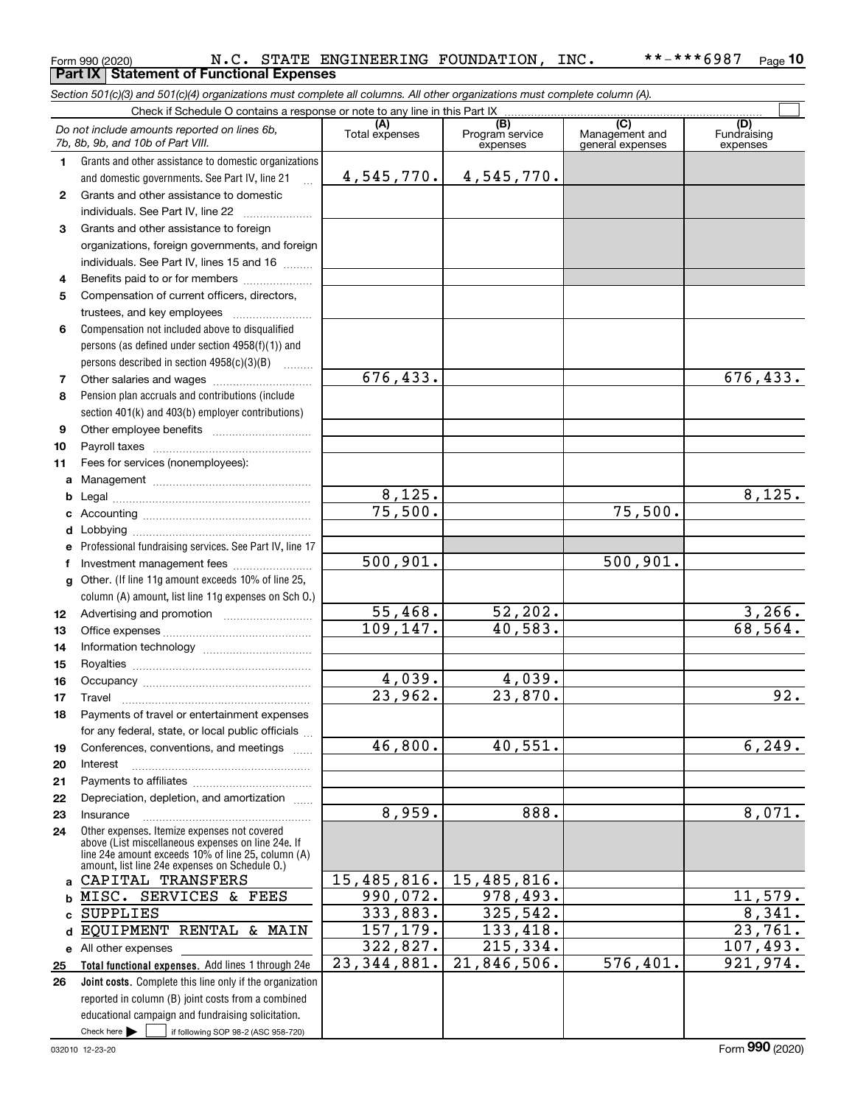#### Form 990 (2020) Page **Part IX Statement of Functional Expenses 10** N.C. STATE ENGINEERING FOUNDATION, INC. \*\*-\*\*\*6987

*Section 501(c)(3) and 501(c)(4) organizations must complete all columns. All other organizations must complete column (A).*

|              | Check if Schedule O contains a response or note to any line in this Part IX                          |                                 |                                    |                                                      |                                |
|--------------|------------------------------------------------------------------------------------------------------|---------------------------------|------------------------------------|------------------------------------------------------|--------------------------------|
|              | Do not include amounts reported on lines 6b,<br>7b, 8b, 9b, and 10b of Part VIII.                    | (A)<br>Total expenses           | (B)<br>Program service<br>expenses | $\overline{C}$<br>Management and<br>general expenses | (D)<br>Fundraising<br>expenses |
| 1.           | Grants and other assistance to domestic organizations                                                |                                 |                                    |                                                      |                                |
|              | and domestic governments. See Part IV, line 21                                                       | 4,545,770.                      | 4,545,770.                         |                                                      |                                |
| $\mathbf{2}$ | Grants and other assistance to domestic                                                              |                                 |                                    |                                                      |                                |
|              | individuals. See Part IV, line 22                                                                    |                                 |                                    |                                                      |                                |
| 3            | Grants and other assistance to foreign                                                               |                                 |                                    |                                                      |                                |
|              | organizations, foreign governments, and foreign                                                      |                                 |                                    |                                                      |                                |
|              | individuals. See Part IV, lines 15 and 16                                                            |                                 |                                    |                                                      |                                |
| 4            | Benefits paid to or for members                                                                      |                                 |                                    |                                                      |                                |
| 5            | Compensation of current officers, directors,                                                         |                                 |                                    |                                                      |                                |
|              | trustees, and key employees                                                                          |                                 |                                    |                                                      |                                |
| 6            | Compensation not included above to disqualified                                                      |                                 |                                    |                                                      |                                |
|              | persons (as defined under section $4958(f)(1)$ ) and                                                 |                                 |                                    |                                                      |                                |
|              | persons described in section $4958(c)(3)(B)$                                                         |                                 |                                    |                                                      |                                |
| 7            | Other salaries and wages                                                                             | 676, 433.                       |                                    |                                                      | 676, 433.                      |
| 8            | Pension plan accruals and contributions (include                                                     |                                 |                                    |                                                      |                                |
|              | section 401(k) and 403(b) employer contributions)                                                    |                                 |                                    |                                                      |                                |
| 9            |                                                                                                      |                                 |                                    |                                                      |                                |
| 10           |                                                                                                      |                                 |                                    |                                                      |                                |
| 11           | Fees for services (nonemployees):                                                                    |                                 |                                    |                                                      |                                |
| a            |                                                                                                      |                                 |                                    |                                                      |                                |
| b            |                                                                                                      | 8,125.                          |                                    |                                                      | 8,125.                         |
| c            |                                                                                                      | 75,500.                         |                                    | 75,500.                                              |                                |
| d            |                                                                                                      |                                 |                                    |                                                      |                                |
| e            | Professional fundraising services. See Part IV, line 17                                              |                                 |                                    |                                                      |                                |
| f            | Investment management fees                                                                           | 500, 901.                       |                                    | 500, 901.                                            |                                |
| g            | Other. (If line 11g amount exceeds 10% of line 25,                                                   |                                 |                                    |                                                      |                                |
|              | column (A) amount, list line 11g expenses on Sch O.)                                                 |                                 |                                    |                                                      |                                |
| 12           |                                                                                                      | 55,468.                         | 52, 202.                           |                                                      | 3,266.<br>68, 564.             |
| 13           |                                                                                                      | 109, 147.                       | 40,583.                            |                                                      |                                |
| 14           |                                                                                                      |                                 |                                    |                                                      |                                |
| 15           |                                                                                                      |                                 |                                    |                                                      |                                |
| 16           |                                                                                                      | 4,039.<br>$\overline{23,962}$ . | 4,039.<br>23,870.                  |                                                      | 92.                            |
| 17           | Travel                                                                                               |                                 |                                    |                                                      |                                |
| 18           | Payments of travel or entertainment expenses                                                         |                                 |                                    |                                                      |                                |
|              | for any federal, state, or local public officials                                                    | 46,800.                         | 40,551.                            |                                                      | 6, 249.                        |
| 19           | Conferences, conventions, and meetings                                                               |                                 |                                    |                                                      |                                |
| 20<br>21     | Interest                                                                                             |                                 |                                    |                                                      |                                |
| 22           | Depreciation, depletion, and amortization                                                            |                                 |                                    |                                                      |                                |
| 23           | Insurance                                                                                            | 8,959.                          | 888.                               |                                                      | 8,071.                         |
| 24           | Other expenses. Itemize expenses not covered                                                         |                                 |                                    |                                                      |                                |
|              | above (List miscellaneous expenses on line 24e. If                                                   |                                 |                                    |                                                      |                                |
|              | line 24e amount exceeds 10% of line 25, column (A)<br>amount, list line 24e expenses on Schedule O.) |                                 |                                    |                                                      |                                |
| a            | CAPITAL TRANSFERS                                                                                    | 15,485,816.                     | 15,485,816.                        |                                                      |                                |
| b            | MISC. SERVICES & FEES                                                                                | 990,072.                        | 978,493.                           |                                                      | 11,579.                        |
| C            | <b>SUPPLIES</b>                                                                                      | 333,883.                        | 325,542.                           |                                                      | 8,341.                         |
| d            | EQUIPMENT RENTAL & MAIN                                                                              | 157,179.                        | 133,418.                           |                                                      | 23,761.                        |
| е            | All other expenses                                                                                   | 322,827.                        | 215, 334.                          |                                                      | 107,493.                       |
| 25           | Total functional expenses. Add lines 1 through 24e                                                   | 23, 344, 881.                   | 21,846,506.                        | 576,401.                                             | 921,974.                       |
| 26           | <b>Joint costs.</b> Complete this line only if the organization                                      |                                 |                                    |                                                      |                                |
|              | reported in column (B) joint costs from a combined                                                   |                                 |                                    |                                                      |                                |
|              | educational campaign and fundraising solicitation.                                                   |                                 |                                    |                                                      |                                |
|              | Check here $\blacktriangleright$<br>if following SOP 98-2 (ASC 958-720)                              |                                 |                                    |                                                      |                                |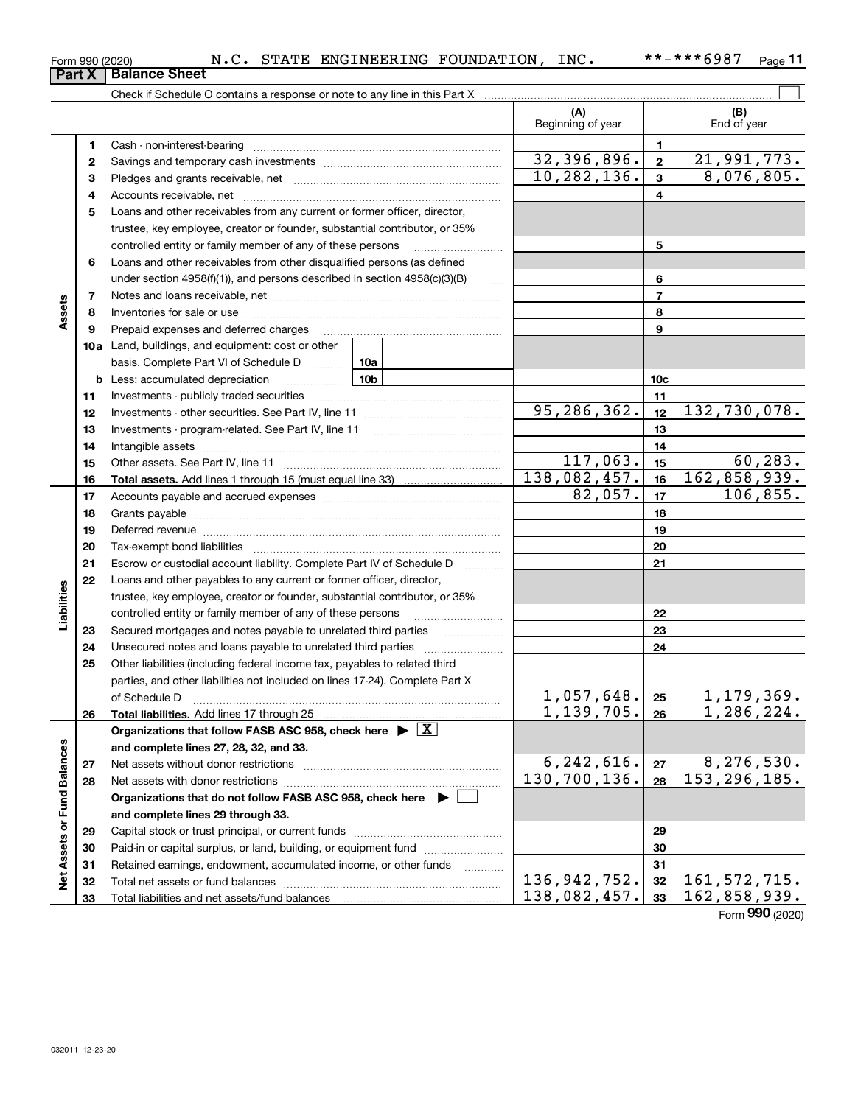| 032011 12-23-20 |
|-----------------|

|                             |    |                                                                                    |                     | (A)<br>Beginning of year       |                 | (B)<br>End of year           |
|-----------------------------|----|------------------------------------------------------------------------------------|---------------------|--------------------------------|-----------------|------------------------------|
|                             | 1  | Cash - non-interest-bearing                                                        |                     |                                | $\mathbf{1}$    |                              |
|                             | 2  |                                                                                    |                     | 32,396,896.                    | $\mathbf{2}$    | 21,991,773.                  |
|                             | з  |                                                                                    |                     | 10, 282, 136.                  | $\mathbf{3}$    | 8,076,805.                   |
|                             | 4  |                                                                                    |                     |                                | $\overline{4}$  |                              |
|                             | 5  | Loans and other receivables from any current or former officer, director,          |                     |                                |                 |                              |
|                             |    | trustee, key employee, creator or founder, substantial contributor, or 35%         |                     |                                |                 |                              |
|                             |    | controlled entity or family member of any of these persons                         |                     |                                | 5               |                              |
|                             | 6  | Loans and other receivables from other disqualified persons (as defined            |                     |                                |                 |                              |
|                             |    | under section 4958(f)(1)), and persons described in section 4958(c)(3)(B)          |                     | 6                              |                 |                              |
|                             | 7  |                                                                                    |                     |                                | $\overline{7}$  |                              |
| Assets                      | 8  |                                                                                    |                     |                                | 8               |                              |
|                             | 9  | Prepaid expenses and deferred charges                                              |                     |                                | 9               |                              |
|                             |    | <b>10a</b> Land, buildings, and equipment: cost or other                           |                     |                                |                 |                              |
|                             |    | basis. Complete Part VI of Schedule D  10a                                         |                     |                                |                 |                              |
|                             |    | <b>b</b> Less: accumulated depreciation<br>$\ldots \ldots \ldots \ldots$           | 10b                 |                                | 10 <sub>c</sub> |                              |
|                             | 11 |                                                                                    |                     |                                | 11              |                              |
|                             | 12 |                                                                                    |                     | 95,286,362.                    | 12              | 132,730,078.                 |
|                             | 13 |                                                                                    |                     |                                | 13              |                              |
|                             | 14 |                                                                                    |                     |                                | 14              |                              |
|                             | 15 |                                                                                    |                     | 117,063.                       | 15              | 60, 283.                     |
|                             | 16 |                                                                                    |                     | 138,082,457.                   | 16              | 162,858,939.                 |
|                             | 17 |                                                                                    |                     | 82,057.                        | 17              | 106, 855.                    |
|                             | 18 |                                                                                    |                     |                                | 18              |                              |
|                             | 19 |                                                                                    |                     |                                | 19              |                              |
|                             | 20 |                                                                                    |                     |                                | 20              |                              |
|                             | 21 | Escrow or custodial account liability. Complete Part IV of Schedule D              | 1.1.1.1.1.1.1.1.1.1 |                                | 21              |                              |
|                             | 22 | Loans and other payables to any current or former officer, director,               |                     |                                |                 |                              |
| Liabilities                 |    | trustee, key employee, creator or founder, substantial contributor, or 35%         |                     |                                |                 |                              |
|                             |    | controlled entity or family member of any of these persons                         |                     |                                | 22              |                              |
|                             | 23 | Secured mortgages and notes payable to unrelated third parties                     |                     |                                | 23              |                              |
|                             | 24 | Unsecured notes and loans payable to unrelated third parties                       |                     |                                | 24              |                              |
|                             | 25 | Other liabilities (including federal income tax, payables to related third         |                     |                                |                 |                              |
|                             |    | parties, and other liabilities not included on lines 17-24). Complete Part X       |                     |                                |                 |                              |
|                             |    | of Schedule D                                                                      |                     | 1,057,648.                     | 25              | 1, 179, 369.                 |
|                             | 26 | Total liabilities. Add lines 17 through 25                                         |                     | 1,139,705.                     | 26              | 1,286,224.                   |
|                             |    | Organizations that follow FASB ASC 958, check here $\blacktriangleright \boxed{X}$ |                     |                                |                 |                              |
|                             |    | and complete lines 27, 28, 32, and 33.                                             |                     |                                |                 |                              |
|                             | 27 |                                                                                    |                     | 6, 242, 616.<br>130, 700, 136. | 27              | 8,276,530.<br>153, 296, 185. |
|                             | 28 |                                                                                    |                     |                                | 28              |                              |
|                             |    | Organizations that do not follow FASB ASC 958, check here $\blacktriangleright$    |                     |                                |                 |                              |
| Net Assets or Fund Balances |    | and complete lines 29 through 33.                                                  |                     |                                |                 |                              |
|                             | 29 |                                                                                    |                     |                                | 29              |                              |
|                             | 30 | Paid-in or capital surplus, or land, building, or equipment fund                   |                     |                                | 30              |                              |
|                             | 31 | Retained earnings, endowment, accumulated income, or other funds                   | .                   | 136, 942, 752.                 | 31              | 161, 572, 715.               |
|                             | 32 |                                                                                    |                     | 138,082,457.                   | 32<br>33        | 162,858,939.                 |
|                             | 33 |                                                                                    |                     |                                |                 |                              |

Form 990 (2020) N.C. STATE ENGINEERING FOUNDATION, INC. \*\*-\*\*\*6987 <sub>Page</sub>

**11**

<u>33| 162 , 858 , 939 。</u><br>Form <sup>990</sup> (2020)

| Form 990 (2020) |                               |  |
|-----------------|-------------------------------|--|
|                 | <b>Part X   Balance Sheet</b> |  |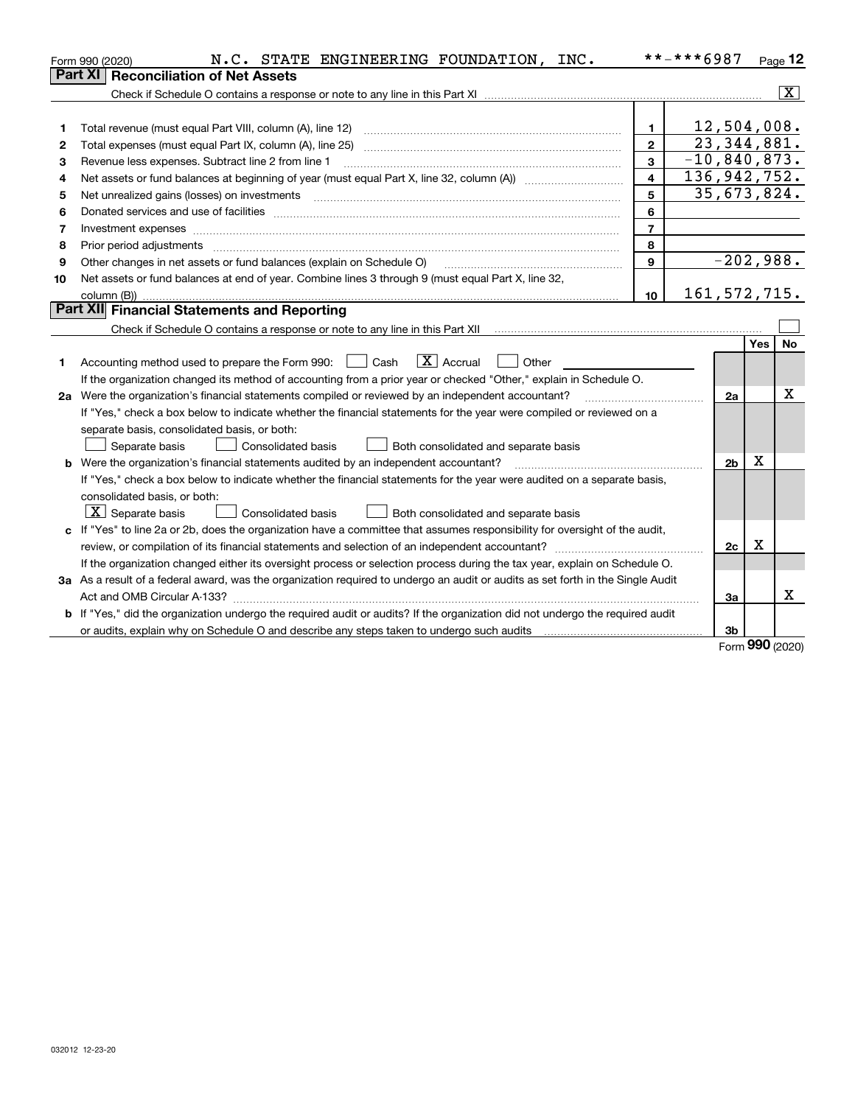|    | N.C. STATE ENGINEERING FOUNDATION, INC.<br>Form 990 (2020)                                                                      |                         | **-***6987     |            | Page $12$               |
|----|---------------------------------------------------------------------------------------------------------------------------------|-------------------------|----------------|------------|-------------------------|
|    | <b>Reconciliation of Net Assets</b><br>Part XI                                                                                  |                         |                |            |                         |
|    |                                                                                                                                 |                         |                |            | $\overline{\mathbf{X}}$ |
|    |                                                                                                                                 |                         |                |            |                         |
| 1  | Total revenue (must equal Part VIII, column (A), line 12)                                                                       | 1.                      | 12,504,008.    |            |                         |
| 2  | Total expenses (must equal Part IX, column (A), line 25)                                                                        | $\mathbf{2}$            | 23, 344, 881.  |            |                         |
| з  | Revenue less expenses. Subtract line 2 from line 1                                                                              | 3                       | $-10,840,873.$ |            |                         |
| 4  |                                                                                                                                 | $\overline{\mathbf{4}}$ | 136,942,752.   |            |                         |
| 5  | Net unrealized gains (losses) on investments                                                                                    | 5                       | 35,673,824.    |            |                         |
| 6  |                                                                                                                                 | 6                       |                |            |                         |
| 7  | Investment expenses www.communication.com/www.communication.com/www.communication.com/www.com                                   | $\overline{7}$          |                |            |                         |
| 8  | Prior period adjustments                                                                                                        | 8                       |                |            |                         |
| 9  | Other changes in net assets or fund balances (explain on Schedule O)                                                            | 9                       | $-202,988.$    |            |                         |
| 10 | Net assets or fund balances at end of year. Combine lines 3 through 9 (must equal Part X, line 32,                              |                         |                |            |                         |
|    |                                                                                                                                 | 10                      | 161, 572, 715. |            |                         |
|    | Part XII Financial Statements and Reporting                                                                                     |                         |                |            |                         |
|    |                                                                                                                                 |                         |                |            |                         |
|    |                                                                                                                                 |                         |                | <b>Yes</b> | No                      |
| 1. | $\boxed{\text{X}}$ Accrual<br>Accounting method used to prepare the Form 990: <u>I</u> Cash<br>Other                            |                         |                |            |                         |
|    | If the organization changed its method of accounting from a prior year or checked "Other," explain in Schedule O.               |                         |                |            |                         |
|    | 2a Were the organization's financial statements compiled or reviewed by an independent accountant?                              |                         | 2a             |            | x                       |
|    | If "Yes," check a box below to indicate whether the financial statements for the year were compiled or reviewed on a            |                         |                |            |                         |
|    | separate basis, consolidated basis, or both:                                                                                    |                         |                |            |                         |
|    | Separate basis<br><b>Consolidated basis</b><br>Both consolidated and separate basis                                             |                         |                |            |                         |
|    | <b>b</b> Were the organization's financial statements audited by an independent accountant?                                     |                         | 2 <sub>b</sub> | x          |                         |
|    | If "Yes," check a box below to indicate whether the financial statements for the year were audited on a separate basis,         |                         |                |            |                         |
|    | consolidated basis, or both:                                                                                                    |                         |                |            |                         |
|    | $X$ Separate basis<br><b>Consolidated basis</b><br>Both consolidated and separate basis                                         |                         |                |            |                         |
| c  | If "Yes" to line 2a or 2b, does the organization have a committee that assumes responsibility for oversight of the audit,       |                         |                |            |                         |
|    | review, or compilation of its financial statements and selection of an independent accountant?                                  |                         | 2c             | Χ          |                         |
|    | If the organization changed either its oversight process or selection process during the tax year, explain on Schedule O.       |                         |                |            |                         |
|    | 3a As a result of a federal award, was the organization required to undergo an audit or audits as set forth in the Single Audit |                         |                |            |                         |
|    |                                                                                                                                 |                         | За             |            | x                       |
|    | b If "Yes," did the organization undergo the required audit or audits? If the organization did not undergo the required audit   |                         |                |            |                         |
|    |                                                                                                                                 |                         | 3b             |            |                         |

Form (2020) **990**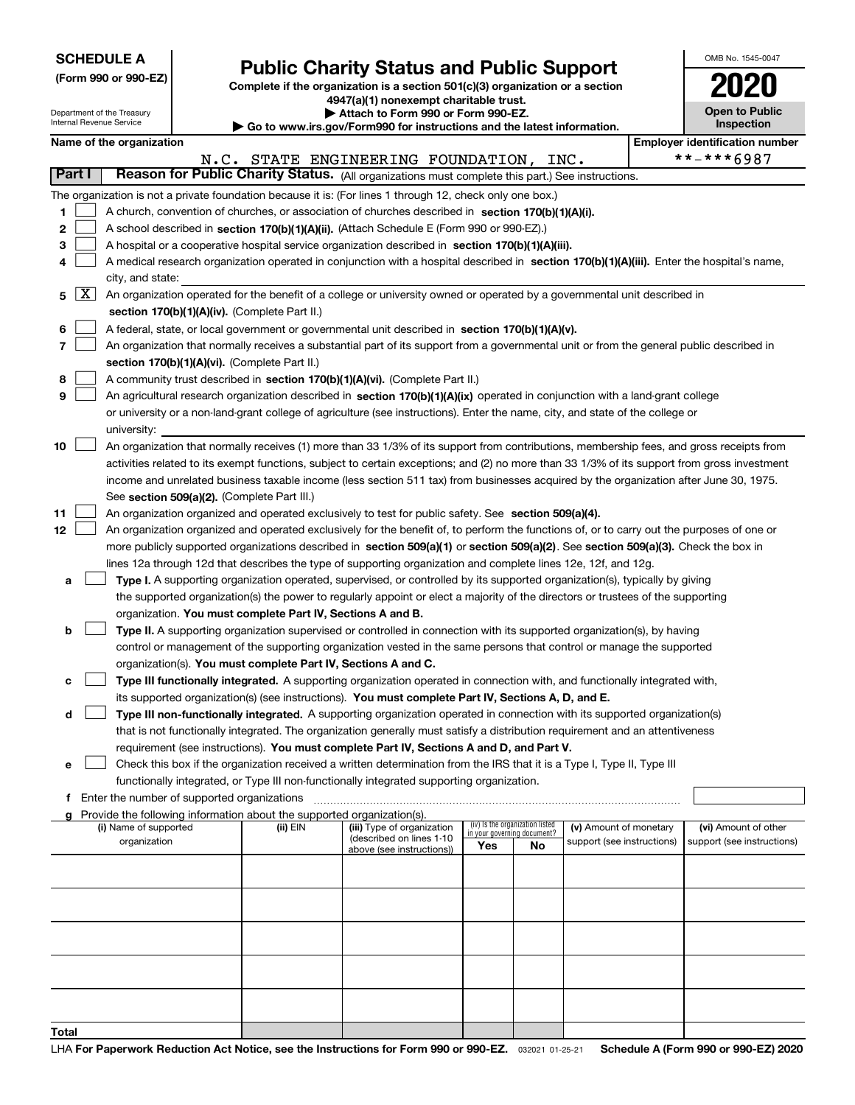Department of the Treasury Internal Revenue Service

# **Public Charity Status and Public Support**

**Complete if the organization is a section 501(c)(3) organization or a section 4947(a)(1) nonexempt charitable trust.**

**| Attach to Form 990 or Form 990-EZ.** 

**| Go to www.irs.gov/Form990 for instructions and the latest information.**

| OMB No. 1545-0047                   |
|-------------------------------------|
| 1120                                |
| <b>Open to Public</b><br>Inspection |

|                          | Name of the organization                                                                                                                                                                                        |          |                                                        |     |                                                                |                            | <b>Employer identification number</b> |
|--------------------------|-----------------------------------------------------------------------------------------------------------------------------------------------------------------------------------------------------------------|----------|--------------------------------------------------------|-----|----------------------------------------------------------------|----------------------------|---------------------------------------|
|                          |                                                                                                                                                                                                                 |          | N.C. STATE ENGINEERING FOUNDATION, INC.                |     |                                                                |                            | **-***6987                            |
| Part I                   | Reason for Public Charity Status. (All organizations must complete this part.) See instructions.                                                                                                                |          |                                                        |     |                                                                |                            |                                       |
| 1                        | The organization is not a private foundation because it is: (For lines 1 through 12, check only one box.)<br>A church, convention of churches, or association of churches described in section 170(b)(1)(A)(i). |          |                                                        |     |                                                                |                            |                                       |
| 2                        | A school described in section 170(b)(1)(A)(ii). (Attach Schedule E (Form 990 or 990-EZ).)                                                                                                                       |          |                                                        |     |                                                                |                            |                                       |
| з                        | A hospital or a cooperative hospital service organization described in section 170(b)(1)(A)(iii).                                                                                                               |          |                                                        |     |                                                                |                            |                                       |
| 4                        | A medical research organization operated in conjunction with a hospital described in section 170(b)(1)(A)(iii). Enter the hospital's name,                                                                      |          |                                                        |     |                                                                |                            |                                       |
| $\lfloor x \rfloor$<br>5 | city, and state:<br>An organization operated for the benefit of a college or university owned or operated by a governmental unit described in                                                                   |          |                                                        |     |                                                                |                            |                                       |
|                          | section 170(b)(1)(A)(iv). (Complete Part II.)                                                                                                                                                                   |          |                                                        |     |                                                                |                            |                                       |
| 6                        | A federal, state, or local government or governmental unit described in section 170(b)(1)(A)(v).                                                                                                                |          |                                                        |     |                                                                |                            |                                       |
| 7                        | An organization that normally receives a substantial part of its support from a governmental unit or from the general public described in                                                                       |          |                                                        |     |                                                                |                            |                                       |
|                          | section 170(b)(1)(A)(vi). (Complete Part II.)                                                                                                                                                                   |          |                                                        |     |                                                                |                            |                                       |
| 8                        | A community trust described in section 170(b)(1)(A)(vi). (Complete Part II.)                                                                                                                                    |          |                                                        |     |                                                                |                            |                                       |
| 9                        | An agricultural research organization described in section 170(b)(1)(A)(ix) operated in conjunction with a land-grant college                                                                                   |          |                                                        |     |                                                                |                            |                                       |
|                          | or university or a non-land-grant college of agriculture (see instructions). Enter the name, city, and state of the college or<br>university:                                                                   |          |                                                        |     |                                                                |                            |                                       |
| 10                       | An organization that normally receives (1) more than 33 1/3% of its support from contributions, membership fees, and gross receipts from                                                                        |          |                                                        |     |                                                                |                            |                                       |
|                          | activities related to its exempt functions, subject to certain exceptions; and (2) no more than 33 1/3% of its support from gross investment                                                                    |          |                                                        |     |                                                                |                            |                                       |
|                          | income and unrelated business taxable income (less section 511 tax) from businesses acquired by the organization after June 30, 1975.                                                                           |          |                                                        |     |                                                                |                            |                                       |
|                          | See section 509(a)(2). (Complete Part III.)                                                                                                                                                                     |          |                                                        |     |                                                                |                            |                                       |
| 11                       | An organization organized and operated exclusively to test for public safety. See section 509(a)(4).                                                                                                            |          |                                                        |     |                                                                |                            |                                       |
| 12                       | An organization organized and operated exclusively for the benefit of, to perform the functions of, or to carry out the purposes of one or                                                                      |          |                                                        |     |                                                                |                            |                                       |
|                          | more publicly supported organizations described in section 509(a)(1) or section 509(a)(2). See section 509(a)(3). Check the box in                                                                              |          |                                                        |     |                                                                |                            |                                       |
|                          | lines 12a through 12d that describes the type of supporting organization and complete lines 12e, 12f, and 12g.                                                                                                  |          |                                                        |     |                                                                |                            |                                       |
| а                        | Type I. A supporting organization operated, supervised, or controlled by its supported organization(s), typically by giving                                                                                     |          |                                                        |     |                                                                |                            |                                       |
|                          | the supported organization(s) the power to regularly appoint or elect a majority of the directors or trustees of the supporting                                                                                 |          |                                                        |     |                                                                |                            |                                       |
|                          | organization. You must complete Part IV, Sections A and B.                                                                                                                                                      |          |                                                        |     |                                                                |                            |                                       |
| b                        | Type II. A supporting organization supervised or controlled in connection with its supported organization(s), by having                                                                                         |          |                                                        |     |                                                                |                            |                                       |
|                          | control or management of the supporting organization vested in the same persons that control or manage the supported                                                                                            |          |                                                        |     |                                                                |                            |                                       |
|                          | organization(s). You must complete Part IV, Sections A and C.                                                                                                                                                   |          |                                                        |     |                                                                |                            |                                       |
| с                        | Type III functionally integrated. A supporting organization operated in connection with, and functionally integrated with,                                                                                      |          |                                                        |     |                                                                |                            |                                       |
|                          | its supported organization(s) (see instructions). You must complete Part IV, Sections A, D, and E.                                                                                                              |          |                                                        |     |                                                                |                            |                                       |
| d                        | Type III non-functionally integrated. A supporting organization operated in connection with its supported organization(s)                                                                                       |          |                                                        |     |                                                                |                            |                                       |
|                          | that is not functionally integrated. The organization generally must satisfy a distribution requirement and an attentiveness                                                                                    |          |                                                        |     |                                                                |                            |                                       |
|                          | requirement (see instructions). You must complete Part IV, Sections A and D, and Part V.                                                                                                                        |          |                                                        |     |                                                                |                            |                                       |
| е                        | Check this box if the organization received a written determination from the IRS that it is a Type I, Type II, Type III                                                                                         |          |                                                        |     |                                                                |                            |                                       |
|                          | functionally integrated, or Type III non-functionally integrated supporting organization.                                                                                                                       |          |                                                        |     |                                                                |                            |                                       |
| f                        | Enter the number of supported organizations                                                                                                                                                                     |          |                                                        |     |                                                                |                            |                                       |
| g                        | Provide the following information about the supported organization(s).                                                                                                                                          |          |                                                        |     |                                                                |                            |                                       |
|                          | (i) Name of supported                                                                                                                                                                                           | (ii) EIN | (iii) Type of organization<br>(described on lines 1-10 |     | (iv) Is the organization listed<br>in your governing document? | (v) Amount of monetary     | (vi) Amount of other                  |
|                          | organization                                                                                                                                                                                                    |          | above (see instructions))                              | Yes | No                                                             | support (see instructions) | support (see instructions)            |
|                          |                                                                                                                                                                                                                 |          |                                                        |     |                                                                |                            |                                       |
|                          |                                                                                                                                                                                                                 |          |                                                        |     |                                                                |                            |                                       |
|                          |                                                                                                                                                                                                                 |          |                                                        |     |                                                                |                            |                                       |
|                          |                                                                                                                                                                                                                 |          |                                                        |     |                                                                |                            |                                       |
|                          |                                                                                                                                                                                                                 |          |                                                        |     |                                                                |                            |                                       |
|                          |                                                                                                                                                                                                                 |          |                                                        |     |                                                                |                            |                                       |
| Total                    |                                                                                                                                                                                                                 |          |                                                        |     |                                                                |                            |                                       |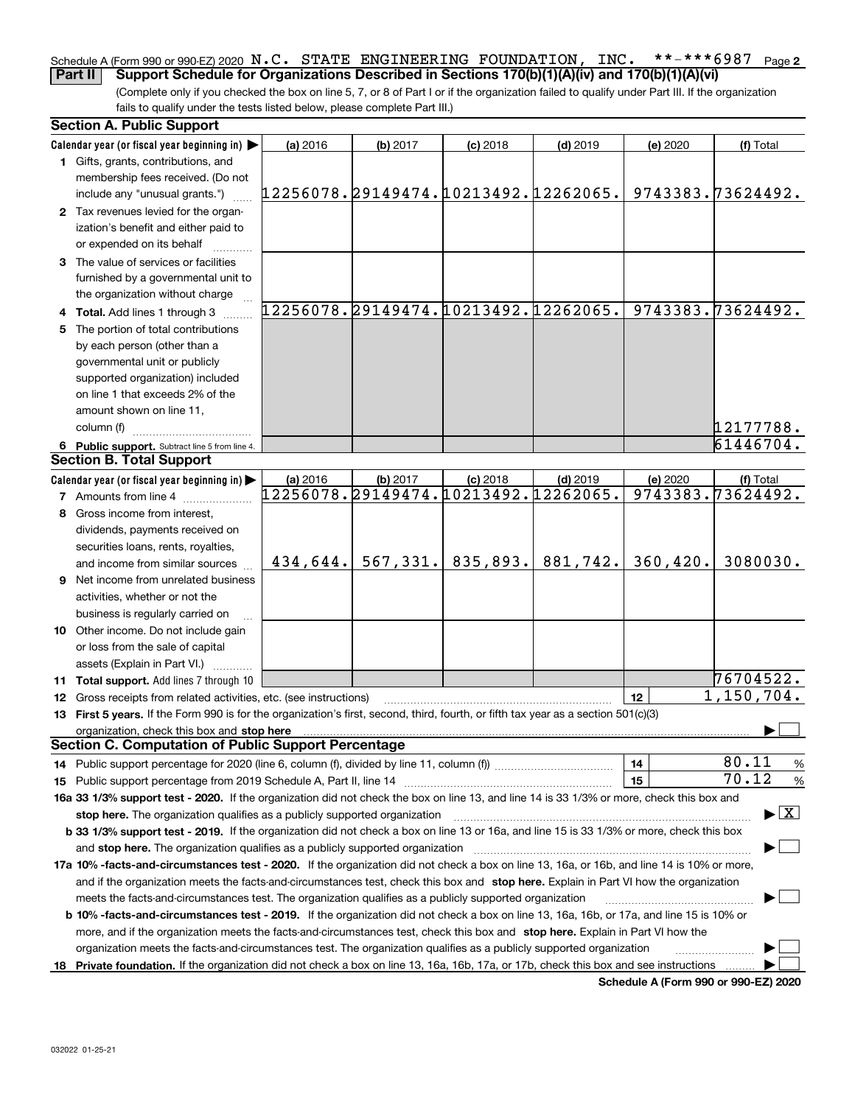#### **2** Schedule A (Form 990 or 990-EZ) 2020  $\, {\bf N}$  ,  ${\bf C}$  ,  $\,$  STATE  $\,$  ENGINEERING <code>FOUNDATION</code> ,  $\,$  <code>INC</code> ,  $\,$  \* \* – \* \* \* 6  $9\,8\,7$   $\,$  Page **Part II Support Schedule for Organizations Described in Sections 170(b)(1)(A)(iv) and 170(b)(1)(A)(vi)**

(Complete only if you checked the box on line 5, 7, or 8 of Part I or if the organization failed to qualify under Part III. If the organization fails to qualify under the tests listed below, please complete Part III.)

| <b>Section A. Public Support</b>                                                                                                                                                                                               |                                      |          |                                      |            |           |                                          |
|--------------------------------------------------------------------------------------------------------------------------------------------------------------------------------------------------------------------------------|--------------------------------------|----------|--------------------------------------|------------|-----------|------------------------------------------|
| Calendar year (or fiscal year beginning in)                                                                                                                                                                                    | (a) 2016                             | (b) 2017 | $(c)$ 2018                           | $(d)$ 2019 | (e) 2020  | (f) Total                                |
| 1 Gifts, grants, contributions, and                                                                                                                                                                                            |                                      |          |                                      |            |           |                                          |
| membership fees received. (Do not                                                                                                                                                                                              |                                      |          |                                      |            |           |                                          |
| include any "unusual grants.")                                                                                                                                                                                                 | 12256078.29149474.10213492.12262065. |          |                                      |            |           | 9743383.73624492.                        |
| 2 Tax revenues levied for the organ-                                                                                                                                                                                           |                                      |          |                                      |            |           |                                          |
| ization's benefit and either paid to                                                                                                                                                                                           |                                      |          |                                      |            |           |                                          |
| or expended on its behalf                                                                                                                                                                                                      |                                      |          |                                      |            |           |                                          |
| 3 The value of services or facilities                                                                                                                                                                                          |                                      |          |                                      |            |           |                                          |
| furnished by a governmental unit to                                                                                                                                                                                            |                                      |          |                                      |            |           |                                          |
| the organization without charge                                                                                                                                                                                                |                                      |          |                                      |            |           |                                          |
| 4 Total. Add lines 1 through 3                                                                                                                                                                                                 | 12256078.29149474.10213492.12262065. |          |                                      |            |           | 9743383.73624492.                        |
| 5 The portion of total contributions                                                                                                                                                                                           |                                      |          |                                      |            |           |                                          |
| by each person (other than a                                                                                                                                                                                                   |                                      |          |                                      |            |           |                                          |
| governmental unit or publicly                                                                                                                                                                                                  |                                      |          |                                      |            |           |                                          |
| supported organization) included                                                                                                                                                                                               |                                      |          |                                      |            |           |                                          |
| on line 1 that exceeds 2% of the                                                                                                                                                                                               |                                      |          |                                      |            |           |                                          |
| amount shown on line 11,                                                                                                                                                                                                       |                                      |          |                                      |            |           |                                          |
| column (f)                                                                                                                                                                                                                     |                                      |          |                                      |            |           | 12177788.                                |
| 6 Public support. Subtract line 5 from line 4.                                                                                                                                                                                 |                                      |          |                                      |            |           | 61446704.                                |
| <b>Section B. Total Support</b>                                                                                                                                                                                                |                                      |          |                                      |            |           |                                          |
| Calendar year (or fiscal year beginning in)                                                                                                                                                                                    | (a) 2016                             | (b) 2017 | $(c)$ 2018                           | $(d)$ 2019 | (e) 2020  | (f) Total                                |
| <b>7</b> Amounts from line 4                                                                                                                                                                                                   |                                      |          | 12256078.29149474.10213492.12262065. |            |           | 9743383.73624492.                        |
| 8 Gross income from interest,                                                                                                                                                                                                  |                                      |          |                                      |            |           |                                          |
| dividends, payments received on                                                                                                                                                                                                |                                      |          |                                      |            |           |                                          |
| securities loans, rents, royalties,                                                                                                                                                                                            |                                      |          |                                      |            |           |                                          |
| and income from similar sources                                                                                                                                                                                                | 434,644.                             |          | $567, 331.$ 835, 893.                | 881,742.   | 360, 420. | 3080030.                                 |
| 9 Net income from unrelated business                                                                                                                                                                                           |                                      |          |                                      |            |           |                                          |
| activities, whether or not the                                                                                                                                                                                                 |                                      |          |                                      |            |           |                                          |
| business is regularly carried on                                                                                                                                                                                               |                                      |          |                                      |            |           |                                          |
| 10 Other income. Do not include gain                                                                                                                                                                                           |                                      |          |                                      |            |           |                                          |
| or loss from the sale of capital                                                                                                                                                                                               |                                      |          |                                      |            |           |                                          |
| assets (Explain in Part VI.) <b>Constant</b>                                                                                                                                                                                   |                                      |          |                                      |            |           |                                          |
| 11 Total support. Add lines 7 through 10                                                                                                                                                                                       |                                      |          |                                      |            |           | 76704522.                                |
| 12 Gross receipts from related activities, etc. (see instructions)                                                                                                                                                             |                                      |          |                                      |            | 12        | $\overline{1,150}$ , 704.                |
| 13 First 5 years. If the Form 990 is for the organization's first, second, third, fourth, or fifth tax year as a section 501(c)(3)                                                                                             |                                      |          |                                      |            |           |                                          |
| organization, check this box and stop here manufactured and according to the state of the state of the state of the state of the state of the state of the state of the state of the state of the state of the state of the st |                                      |          |                                      |            |           |                                          |
| <b>Section C. Computation of Public Support Percentage</b>                                                                                                                                                                     |                                      |          |                                      |            |           |                                          |
| 14 Public support percentage for 2020 (line 6, column (f), divided by line 11, column (f) <i>mummumumum</i>                                                                                                                    |                                      |          |                                      |            | 14        | 80.11<br>$\%$                            |
|                                                                                                                                                                                                                                |                                      |          |                                      |            | 15        | 70.12<br>%                               |
| 16a 33 1/3% support test - 2020. If the organization did not check the box on line 13, and line 14 is 33 1/3% or more, check this box and                                                                                      |                                      |          |                                      |            |           |                                          |
| stop here. The organization qualifies as a publicly supported organization                                                                                                                                                     |                                      |          |                                      |            |           | $\blacktriangleright$ $\boxed{\text{X}}$ |
| b 33 1/3% support test - 2019. If the organization did not check a box on line 13 or 16a, and line 15 is 33 1/3% or more, check this box                                                                                       |                                      |          |                                      |            |           |                                          |
| and stop here. The organization qualifies as a publicly supported organization                                                                                                                                                 |                                      |          |                                      |            |           |                                          |
| 17a 10% -facts-and-circumstances test - 2020. If the organization did not check a box on line 13, 16a, or 16b, and line 14 is 10% or more,                                                                                     |                                      |          |                                      |            |           |                                          |
| and if the organization meets the facts-and-circumstances test, check this box and stop here. Explain in Part VI how the organization                                                                                          |                                      |          |                                      |            |           |                                          |
| meets the facts-and-circumstances test. The organization qualifies as a publicly supported organization                                                                                                                        |                                      |          |                                      |            |           |                                          |
| <b>b 10% -facts-and-circumstances test - 2019.</b> If the organization did not check a box on line 13, 16a, 16b, or 17a, and line 15 is 10% or                                                                                 |                                      |          |                                      |            |           |                                          |
| more, and if the organization meets the facts-and-circumstances test, check this box and stop here. Explain in Part VI how the                                                                                                 |                                      |          |                                      |            |           |                                          |
| organization meets the facts-and-circumstances test. The organization qualifies as a publicly supported organization                                                                                                           |                                      |          |                                      |            |           |                                          |
|                                                                                                                                                                                                                                |                                      |          |                                      |            |           |                                          |
| 18 Private foundation. If the organization did not check a box on line 13, 16a, 16b, 17a, or 17b, check this box and see instructions                                                                                          |                                      |          |                                      |            |           |                                          |

**Schedule A (Form 990 or 990-EZ) 2020**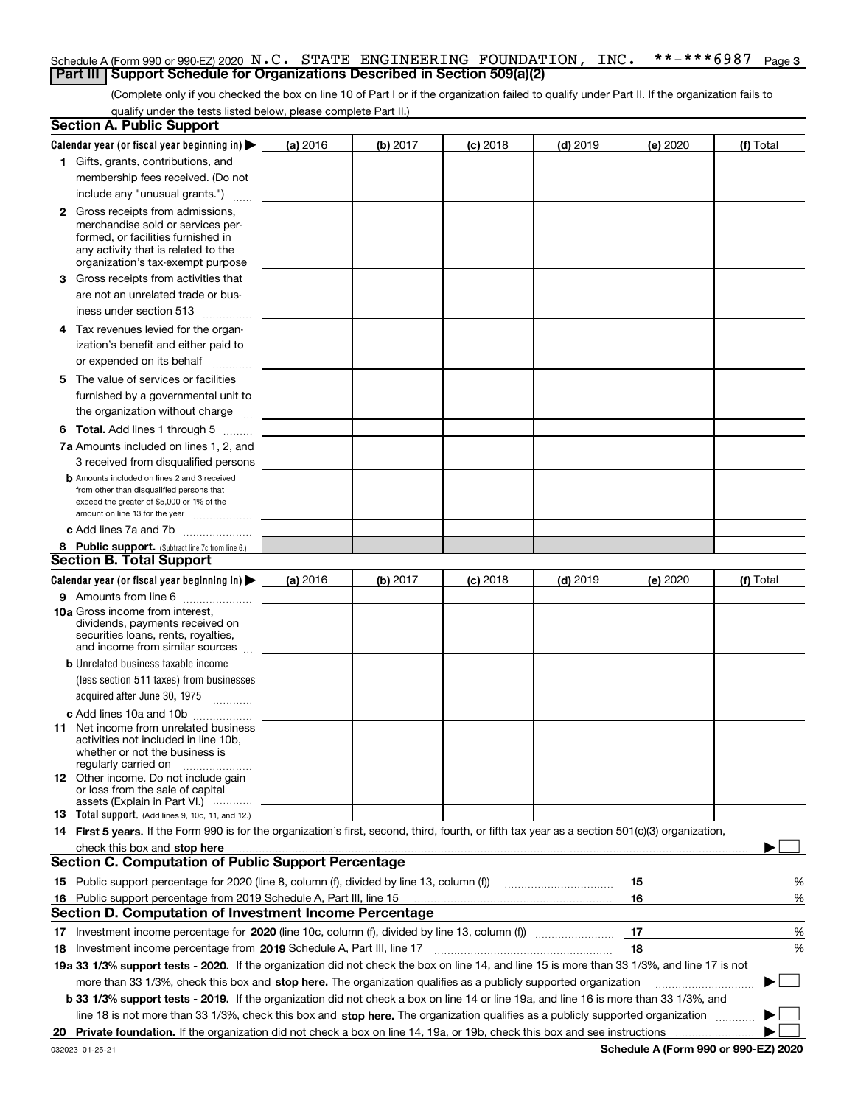#### **3** Schedule A (Form 990 or 990-EZ) 2020  $\, {\bf N}$  ,  ${\bf C}$  ,  $\,$  STATE  $\,$  ENGINEERING <code>FOUNDATION</code> ,  $\,$  <code>INC</code> ,  $\,$  \* \* – \* \* \* 6  $9\,8\,7$   $\,$  Page **Part III** | Support Schedule for Organizations Described in Section 509(a)(2)

(Complete only if you checked the box on line 10 of Part I or if the organization failed to qualify under Part II. If the organization fails to qualify under the tests listed below, please complete Part II.)

|    | <b>Section A. Public Support</b>                                                                                                                 |          |          |                 |                                                      |          |           |
|----|--------------------------------------------------------------------------------------------------------------------------------------------------|----------|----------|-----------------|------------------------------------------------------|----------|-----------|
|    | Calendar year (or fiscal year beginning in) $\blacktriangleright$                                                                                | (a) 2016 | (b) 2017 | <b>(c)</b> 2018 | $(d)$ 2019                                           | (e) 2020 | (f) Total |
|    | 1 Gifts, grants, contributions, and                                                                                                              |          |          |                 |                                                      |          |           |
|    | membership fees received. (Do not                                                                                                                |          |          |                 |                                                      |          |           |
|    | include any "unusual grants.")                                                                                                                   |          |          |                 |                                                      |          |           |
|    | <b>2</b> Gross receipts from admissions,                                                                                                         |          |          |                 |                                                      |          |           |
|    | merchandise sold or services per-                                                                                                                |          |          |                 |                                                      |          |           |
|    | formed, or facilities furnished in                                                                                                               |          |          |                 |                                                      |          |           |
|    | any activity that is related to the<br>organization's tax-exempt purpose                                                                         |          |          |                 |                                                      |          |           |
|    | 3 Gross receipts from activities that                                                                                                            |          |          |                 |                                                      |          |           |
|    | are not an unrelated trade or bus-                                                                                                               |          |          |                 |                                                      |          |           |
|    | iness under section 513                                                                                                                          |          |          |                 |                                                      |          |           |
|    |                                                                                                                                                  |          |          |                 |                                                      |          |           |
|    | 4 Tax revenues levied for the organ-                                                                                                             |          |          |                 |                                                      |          |           |
|    | ization's benefit and either paid to                                                                                                             |          |          |                 |                                                      |          |           |
|    | or expended on its behalf<br>.                                                                                                                   |          |          |                 |                                                      |          |           |
|    | 5 The value of services or facilities                                                                                                            |          |          |                 |                                                      |          |           |
|    | furnished by a governmental unit to                                                                                                              |          |          |                 |                                                      |          |           |
|    | the organization without charge                                                                                                                  |          |          |                 |                                                      |          |           |
|    | <b>6 Total.</b> Add lines 1 through 5                                                                                                            |          |          |                 |                                                      |          |           |
|    | 7a Amounts included on lines 1, 2, and                                                                                                           |          |          |                 |                                                      |          |           |
|    | 3 received from disqualified persons                                                                                                             |          |          |                 |                                                      |          |           |
|    | <b>b</b> Amounts included on lines 2 and 3 received                                                                                              |          |          |                 |                                                      |          |           |
|    | from other than disqualified persons that<br>exceed the greater of \$5,000 or 1% of the                                                          |          |          |                 |                                                      |          |           |
|    | amount on line 13 for the year                                                                                                                   |          |          |                 |                                                      |          |           |
|    | c Add lines 7a and 7b                                                                                                                            |          |          |                 |                                                      |          |           |
|    | 8 Public support. (Subtract line 7c from line 6.)                                                                                                |          |          |                 |                                                      |          |           |
|    | <b>Section B. Total Support</b>                                                                                                                  |          |          |                 |                                                      |          |           |
|    | Calendar year (or fiscal year beginning in) $\blacktriangleright$                                                                                | (a) 2016 | (b) 2017 | $(c)$ 2018      | $(d)$ 2019                                           | (e) 2020 | (f) Total |
|    | 9 Amounts from line 6                                                                                                                            |          |          |                 |                                                      |          |           |
|    | 10a Gross income from interest,                                                                                                                  |          |          |                 |                                                      |          |           |
|    | dividends, payments received on                                                                                                                  |          |          |                 |                                                      |          |           |
|    | securities loans, rents, royalties,<br>and income from similar sources                                                                           |          |          |                 |                                                      |          |           |
|    | <b>b</b> Unrelated business taxable income                                                                                                       |          |          |                 |                                                      |          |           |
|    | (less section 511 taxes) from businesses                                                                                                         |          |          |                 |                                                      |          |           |
|    | acquired after June 30, 1975                                                                                                                     |          |          |                 |                                                      |          |           |
|    |                                                                                                                                                  |          |          |                 |                                                      |          |           |
|    | c Add lines 10a and 10b<br>11 Net income from unrelated business                                                                                 |          |          |                 |                                                      |          |           |
|    | activities not included in line 10b.                                                                                                             |          |          |                 |                                                      |          |           |
|    | whether or not the business is                                                                                                                   |          |          |                 |                                                      |          |           |
|    | regularly carried on                                                                                                                             |          |          |                 |                                                      |          |           |
|    | 12 Other income. Do not include gain<br>or loss from the sale of capital                                                                         |          |          |                 |                                                      |          |           |
|    | assets (Explain in Part VI.)                                                                                                                     |          |          |                 |                                                      |          |           |
|    | <b>13</b> Total support. (Add lines 9, 10c, 11, and 12.)                                                                                         |          |          |                 |                                                      |          |           |
|    | 14 First 5 years. If the Form 990 is for the organization's first, second, third, fourth, or fifth tax year as a section 501(c)(3) organization, |          |          |                 |                                                      |          |           |
|    | check this box and stop here measurements are constructed as the state of the state of the state of the state o                                  |          |          |                 |                                                      |          |           |
|    | <b>Section C. Computation of Public Support Percentage</b>                                                                                       |          |          |                 |                                                      |          |           |
|    | 15 Public support percentage for 2020 (line 8, column (f), divided by line 13, column (f))                                                       |          |          |                 | <u> 1986 - Johann Stoff, Amerikaansk politiker (</u> | 15       | %         |
|    | 16 Public support percentage from 2019 Schedule A, Part III, line 15                                                                             |          |          |                 |                                                      | 16       | %         |
|    | <b>Section D. Computation of Investment Income Percentage</b>                                                                                    |          |          |                 |                                                      |          |           |
|    |                                                                                                                                                  |          |          |                 |                                                      | 17       | %         |
|    | <b>18</b> Investment income percentage from <b>2019</b> Schedule A, Part III, line 17                                                            |          |          |                 |                                                      | 18       | %         |
|    | 19a 33 1/3% support tests - 2020. If the organization did not check the box on line 14, and line 15 is more than 33 1/3%, and line 17 is not     |          |          |                 |                                                      |          |           |
|    | more than 33 1/3%, check this box and stop here. The organization qualifies as a publicly supported organization                                 |          |          |                 |                                                      |          | ▶         |
|    | b 33 1/3% support tests - 2019. If the organization did not check a box on line 14 or line 19a, and line 16 is more than 33 1/3%, and            |          |          |                 |                                                      |          |           |
|    | line 18 is not more than 33 1/3%, check this box and stop here. The organization qualifies as a publicly supported organization                  |          |          |                 |                                                      |          |           |
| 20 |                                                                                                                                                  |          |          |                 |                                                      |          |           |

**Schedule A (Form 990 or 990-EZ) 2020**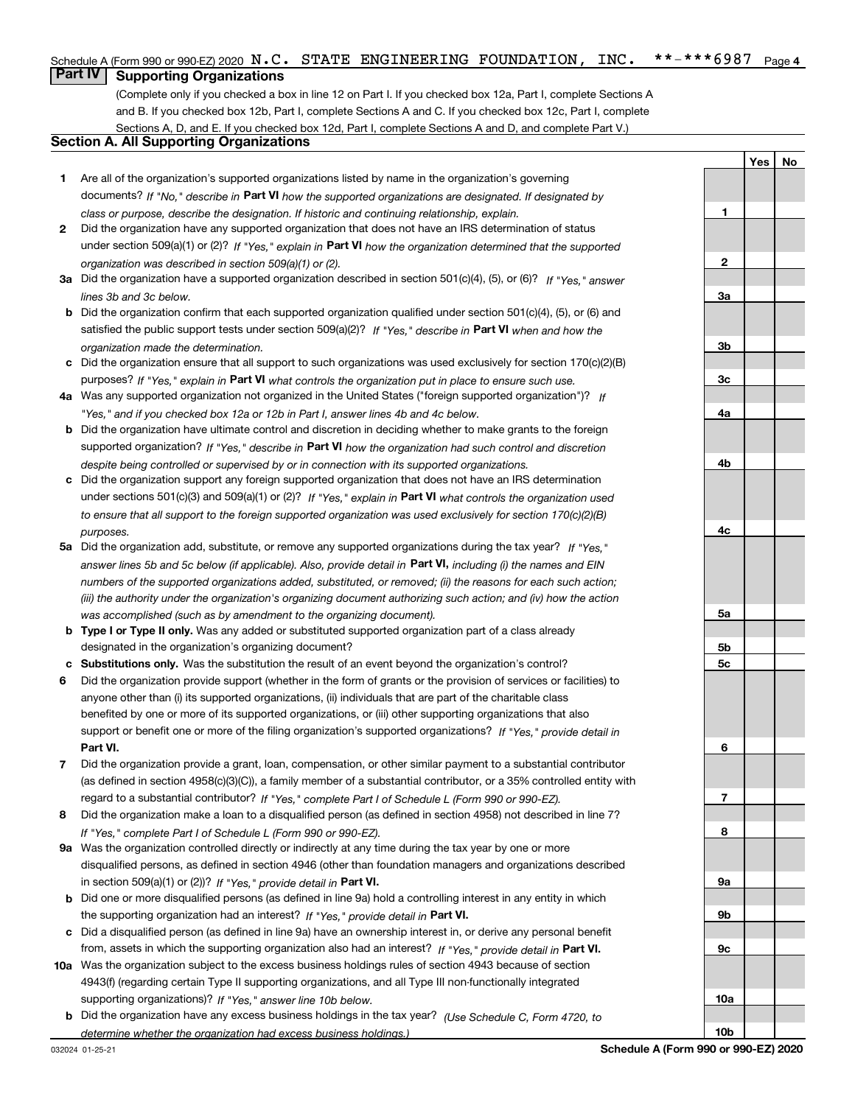#### $***$   $***$  6987 Page 4 Schedule A (Form 990 or 990-EZ) 2020  $\, {\bf N}$  ,  ${\bf C}$  ,  $\,$  STATE  $\,$  ENGINEERING <code>FOUNDATION</code> ,  $\,$  <code>INC</code> ,  $\,$  \* \* – \* \* \* 6  $9\,8\,7$   $\,$  Page

### **Part IV Supporting Organizations**

(Complete only if you checked a box in line 12 on Part I. If you checked box 12a, Part I, complete Sections A and B. If you checked box 12b, Part I, complete Sections A and C. If you checked box 12c, Part I, complete Sections A, D, and E. If you checked box 12d, Part I, complete Sections A and D, and complete Part V.)

### **Section A. All Supporting Organizations**

- **1** Are all of the organization's supported organizations listed by name in the organization's governing documents? If "No," describe in **Part VI** how the supported organizations are designated. If designated by *class or purpose, describe the designation. If historic and continuing relationship, explain.*
- **2** Did the organization have any supported organization that does not have an IRS determination of status under section 509(a)(1) or (2)? If "Yes," explain in Part VI how the organization determined that the supported *organization was described in section 509(a)(1) or (2).*
- **3a** Did the organization have a supported organization described in section 501(c)(4), (5), or (6)? If "Yes," answer *lines 3b and 3c below.*
- **b** Did the organization confirm that each supported organization qualified under section 501(c)(4), (5), or (6) and satisfied the public support tests under section 509(a)(2)? If "Yes," describe in **Part VI** when and how the *organization made the determination.*
- **c**Did the organization ensure that all support to such organizations was used exclusively for section 170(c)(2)(B) purposes? If "Yes," explain in **Part VI** what controls the organization put in place to ensure such use.
- **4a***If* Was any supported organization not organized in the United States ("foreign supported organization")? *"Yes," and if you checked box 12a or 12b in Part I, answer lines 4b and 4c below.*
- **b** Did the organization have ultimate control and discretion in deciding whether to make grants to the foreign supported organization? If "Yes," describe in **Part VI** how the organization had such control and discretion *despite being controlled or supervised by or in connection with its supported organizations.*
- **c** Did the organization support any foreign supported organization that does not have an IRS determination under sections 501(c)(3) and 509(a)(1) or (2)? If "Yes," explain in **Part VI** what controls the organization used *to ensure that all support to the foreign supported organization was used exclusively for section 170(c)(2)(B) purposes.*
- **5a***If "Yes,"* Did the organization add, substitute, or remove any supported organizations during the tax year? answer lines 5b and 5c below (if applicable). Also, provide detail in **Part VI,** including (i) the names and EIN *numbers of the supported organizations added, substituted, or removed; (ii) the reasons for each such action; (iii) the authority under the organization's organizing document authorizing such action; and (iv) how the action was accomplished (such as by amendment to the organizing document).*
- **b** Type I or Type II only. Was any added or substituted supported organization part of a class already designated in the organization's organizing document?
- **cSubstitutions only.**  Was the substitution the result of an event beyond the organization's control?
- **6** Did the organization provide support (whether in the form of grants or the provision of services or facilities) to **Part VI.** *If "Yes," provide detail in* support or benefit one or more of the filing organization's supported organizations? anyone other than (i) its supported organizations, (ii) individuals that are part of the charitable class benefited by one or more of its supported organizations, or (iii) other supporting organizations that also
- **7**Did the organization provide a grant, loan, compensation, or other similar payment to a substantial contributor *If "Yes," complete Part I of Schedule L (Form 990 or 990-EZ).* regard to a substantial contributor? (as defined in section 4958(c)(3)(C)), a family member of a substantial contributor, or a 35% controlled entity with
- **8** Did the organization make a loan to a disqualified person (as defined in section 4958) not described in line 7? *If "Yes," complete Part I of Schedule L (Form 990 or 990-EZ).*
- **9a** Was the organization controlled directly or indirectly at any time during the tax year by one or more in section 509(a)(1) or (2))? If "Yes," *provide detail in* <code>Part VI.</code> disqualified persons, as defined in section 4946 (other than foundation managers and organizations described
- **b** Did one or more disqualified persons (as defined in line 9a) hold a controlling interest in any entity in which the supporting organization had an interest? If "Yes," provide detail in P**art VI**.
- **c**Did a disqualified person (as defined in line 9a) have an ownership interest in, or derive any personal benefit from, assets in which the supporting organization also had an interest? If "Yes," provide detail in P**art VI.**
- **10a** Was the organization subject to the excess business holdings rules of section 4943 because of section supporting organizations)? If "Yes," answer line 10b below. 4943(f) (regarding certain Type II supporting organizations, and all Type III non-functionally integrated
- **b** Did the organization have any excess business holdings in the tax year? (Use Schedule C, Form 4720, to *determine whether the organization had excess business holdings.)*

**YesNo**

**1**

**2**

**10b**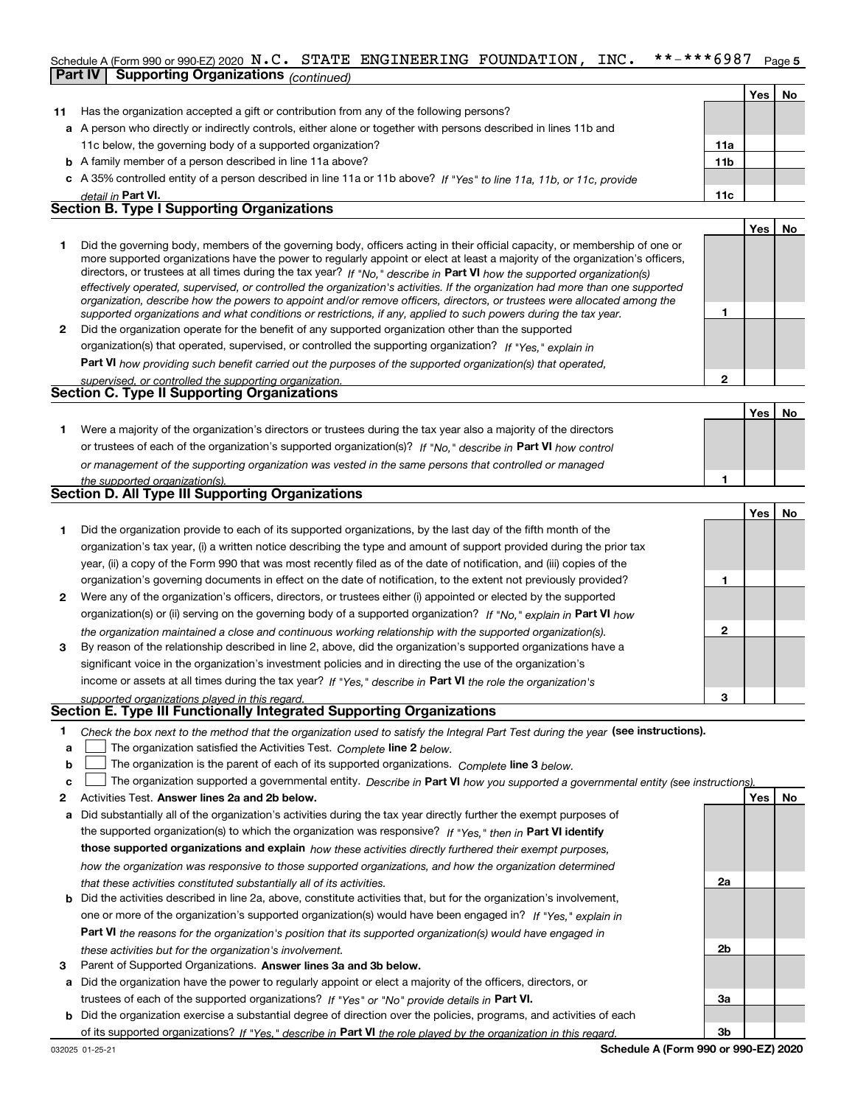#### **5**Schedule A (Form 990 or 990-EZ) 2020  $\, {\bf N}$  ,  ${\bf C}$  ,  $\,$  STATE  $\,$  ENGINEERING <code>FOUNDATION</code> ,  $\,$  <code>INC</code> ,  $\,$  \* \* – \* \* \* 6  $9\,8\,7$   $\,$  Page **Part IV Supporting Organizations** *(continued)*

|    |                                                                                                                                                                                                                                                             |                 | Yes | <b>No</b> |
|----|-------------------------------------------------------------------------------------------------------------------------------------------------------------------------------------------------------------------------------------------------------------|-----------------|-----|-----------|
| 11 | Has the organization accepted a gift or contribution from any of the following persons?                                                                                                                                                                     |                 |     |           |
|    | a A person who directly or indirectly controls, either alone or together with persons described in lines 11b and                                                                                                                                            |                 |     |           |
|    | 11c below, the governing body of a supported organization?                                                                                                                                                                                                  | 11a             |     |           |
|    | <b>b</b> A family member of a person described in line 11a above?                                                                                                                                                                                           | 11 <sub>b</sub> |     |           |
|    | c A 35% controlled entity of a person described in line 11a or 11b above? If "Yes" to line 11a, 11b, or 11c, provide                                                                                                                                        |                 |     |           |
|    | detail in Part VI.                                                                                                                                                                                                                                          | 11c             |     |           |
|    | <b>Section B. Type I Supporting Organizations</b>                                                                                                                                                                                                           |                 |     |           |
|    |                                                                                                                                                                                                                                                             |                 | Yes | No        |
|    | Did the governing body, members of the governing body, officers acting in their official capacity, or membership of one or<br>more supported organizations have the power to regularly appoint or elect at least a majority of the organization's officers, |                 |     |           |

|   | directors, or trustees at all times during the tax year? If "No," describe in Part VI how the supported organization(s)        |
|---|--------------------------------------------------------------------------------------------------------------------------------|
|   | effectively operated, supervised, or controlled the organization's activities. If the organization had more than one supported |
|   | organization, describe how the powers to appoint and/or remove officers, directors, or trustees were allocated among the       |
|   | supported organizations and what conditions or restrictions, if any, applied to such powers during the tax year.               |
| 2 | Did the organization operate for the benefit of any supported organization other than the supported                            |
|   | organization(s) that operated, supervised, or controlled the supporting organization? If "Yes," explain in                     |
|   |                                                                                                                                |

**Part VI**  *how providing such benefit carried out the purposes of the supported organization(s) that operated,*

| supervised, or controlled the supporting organization. |  |
|--------------------------------------------------------|--|
| <b>Section C. Type II Supporting Organizations</b>     |  |

**Yes No 1**or trustees of each of the organization's supported organization(s)? If "No," describe in **Part VI** how control **1***or management of the supporting organization was vested in the same persons that controlled or managed the supported organization(s).* Were a majority of the organization's directors or trustees during the tax year also a majority of the directors

|  | Section D. All Type III Supporting Organizations |  |
|--|--------------------------------------------------|--|
|  |                                                  |  |

|                |                                                                                                                        |   | Yes   No |  |
|----------------|------------------------------------------------------------------------------------------------------------------------|---|----------|--|
|                | Did the organization provide to each of its supported organizations, by the last day of the fifth month of the         |   |          |  |
|                | organization's tax year, (i) a written notice describing the type and amount of support provided during the prior tax  |   |          |  |
|                | year, (ii) a copy of the Form 990 that was most recently filed as of the date of notification, and (iii) copies of the |   |          |  |
|                | organization's governing documents in effect on the date of notification, to the extent not previously provided?       |   |          |  |
| $\overline{2}$ | Were any of the organization's officers, directors, or trustees either (i) appointed or elected by the supported       |   |          |  |
|                | organization(s) or (ii) serving on the governing body of a supported organization? If "No," explain in Part VI how     |   |          |  |
|                | the organization maintained a close and continuous working relationship with the supported organization(s).            | 2 |          |  |
| 3              | By reason of the relationship described in line 2, above, did the organization's supported organizations have a        |   |          |  |
|                | significant voice in the organization's investment policies and in directing the use of the organization's             |   |          |  |
|                | income or assets at all times during the tax year? If "Yes," describe in Part VI the role the organization's           |   |          |  |
|                | supported organizations played in this regard.                                                                         | з |          |  |

# *supported organizations played in this regard.* **Section E. Type III Functionally Integrated Supporting Organizations**

- **1**Check the box next to the method that the organization used to satisfy the Integral Part Test during the year (see instructions).
- **alinupy** The organization satisfied the Activities Test. Complete line 2 below.
- **b**The organization is the parent of each of its supported organizations. *Complete* line 3 *below.*  $\mathcal{L}^{\text{max}}$

|  |  |  | $\mathbf{c}$ The organization supported a governmental entity. Describe in Part VI how you supported a governmental entity (see instructions). |  |
|--|--|--|------------------------------------------------------------------------------------------------------------------------------------------------|--|
|--|--|--|------------------------------------------------------------------------------------------------------------------------------------------------|--|

- **2Answer lines 2a and 2b below. Yes No** Activities Test.
- **a** Did substantially all of the organization's activities during the tax year directly further the exempt purposes of the supported organization(s) to which the organization was responsive? If "Yes," then in **Part VI identify those supported organizations and explain**  *how these activities directly furthered their exempt purposes, how the organization was responsive to those supported organizations, and how the organization determined that these activities constituted substantially all of its activities.*
- **b** Did the activities described in line 2a, above, constitute activities that, but for the organization's involvement, **Part VI**  *the reasons for the organization's position that its supported organization(s) would have engaged in* one or more of the organization's supported organization(s) would have been engaged in? If "Yes," e*xplain in these activities but for the organization's involvement.*
- **3** Parent of Supported Organizations. Answer lines 3a and 3b below.
- **a** Did the organization have the power to regularly appoint or elect a majority of the officers, directors, or trustees of each of the supported organizations? If "Yes" or "No" provide details in **Part VI.**
- **b** Did the organization exercise a substantial degree of direction over the policies, programs, and activities of each of its supported organizations? If "Yes," describe in Part VI the role played by the organization in this regard.

**2a**

**2b**

**3a**

**3b**

**1**

**2**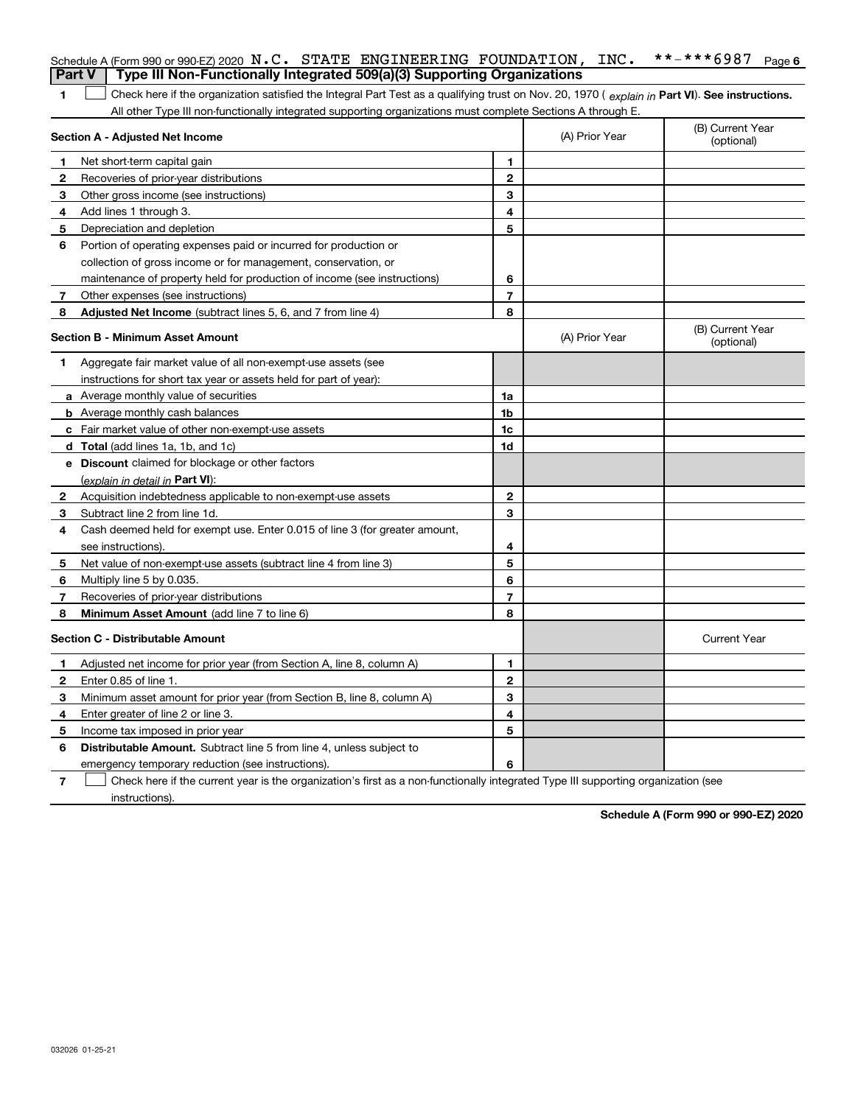| <b>Part V</b> | Schedule A (Form 990 or 990-EZ) 2020 N.C. STATE ENGINEERING FOUNDATION, INC.<br>Type III Non-Functionally Integrated 509(a)(3) Supporting Organizations |                          |                | **-***6987<br>Page 6           |
|---------------|---------------------------------------------------------------------------------------------------------------------------------------------------------|--------------------------|----------------|--------------------------------|
|               |                                                                                                                                                         |                          |                |                                |
| 1.            | Check here if the organization satisfied the Integral Part Test as a qualifying trust on Nov. 20, 1970 (explain in Part VI). See instructions.          |                          |                |                                |
|               | All other Type III non-functionally integrated supporting organizations must complete Sections A through E.<br>Section A - Adjusted Net Income          |                          | (A) Prior Year | (B) Current Year<br>(optional) |
| 1.            | Net short-term capital gain                                                                                                                             | 1                        |                |                                |
| 2             | Recoveries of prior-year distributions                                                                                                                  | $\mathbf{2}$             |                |                                |
| З             | Other gross income (see instructions)                                                                                                                   | 3                        |                |                                |
| 4             | Add lines 1 through 3.                                                                                                                                  | 4                        |                |                                |
| 5             | Depreciation and depletion                                                                                                                              | 5                        |                |                                |
| 6             | Portion of operating expenses paid or incurred for production or                                                                                        |                          |                |                                |
|               | collection of gross income or for management, conservation, or                                                                                          |                          |                |                                |
|               | maintenance of property held for production of income (see instructions)                                                                                | 6                        |                |                                |
| 7             | Other expenses (see instructions)                                                                                                                       | $\overline{7}$           |                |                                |
| 8             | <b>Adjusted Net Income</b> (subtract lines 5, 6, and 7 from line 4)                                                                                     | 8                        |                |                                |
|               | <b>Section B - Minimum Asset Amount</b>                                                                                                                 |                          | (A) Prior Year | (B) Current Year<br>(optional) |
| 1.            | Aggregate fair market value of all non-exempt-use assets (see                                                                                           |                          |                |                                |
|               | instructions for short tax year or assets held for part of year):                                                                                       |                          |                |                                |
|               | a Average monthly value of securities                                                                                                                   | 1a                       |                |                                |
|               | <b>b</b> Average monthly cash balances                                                                                                                  | 1b                       |                |                                |
|               | c Fair market value of other non-exempt-use assets                                                                                                      | 1c                       |                |                                |
|               | d Total (add lines 1a, 1b, and 1c)                                                                                                                      | 1d                       |                |                                |
|               | e Discount claimed for blockage or other factors                                                                                                        |                          |                |                                |
|               | (explain in detail in Part VI):                                                                                                                         |                          |                |                                |
| 2             | Acquisition indebtedness applicable to non-exempt-use assets                                                                                            | $\mathbf{2}$             |                |                                |
| 3             | Subtract line 2 from line 1d.                                                                                                                           | 3                        |                |                                |
| 4             | Cash deemed held for exempt use. Enter 0.015 of line 3 (for greater amount,                                                                             |                          |                |                                |
|               | see instructions).                                                                                                                                      | 4                        |                |                                |
| 5             | Net value of non-exempt-use assets (subtract line 4 from line 3)                                                                                        | 5                        |                |                                |
| 6             | Multiply line 5 by 0.035.                                                                                                                               | 6                        |                |                                |
| 7             | Recoveries of prior-year distributions                                                                                                                  | $\overline{\phantom{a}}$ |                |                                |
| 8             | Minimum Asset Amount (add line 7 to line 6)                                                                                                             | 8                        |                |                                |
|               | <b>Section C - Distributable Amount</b>                                                                                                                 |                          |                | <b>Current Year</b>            |
| 1             | Adjusted net income for prior year (from Section A, line 8, column A)                                                                                   | 1                        |                |                                |
| 2             | Enter 0.85 of line 1.                                                                                                                                   | $\mathbf{2}$             |                |                                |
| 3             | Minimum asset amount for prior year (from Section B, line 8, column A)                                                                                  | 3                        |                |                                |
| 4             | Enter greater of line 2 or line 3.                                                                                                                      | 4                        |                |                                |
| 5             | Income tax imposed in prior year                                                                                                                        | 5                        |                |                                |
| 6             | <b>Distributable Amount.</b> Subtract line 5 from line 4, unless subject to                                                                             |                          |                |                                |
|               | emergency temporary reduction (see instructions).                                                                                                       | 6                        |                |                                |

**7** Check here if the current year is the organization's first as a non-functionally integrated Type III supporting organization (see instructions).

**Schedule A (Form 990 or 990-EZ) 2020**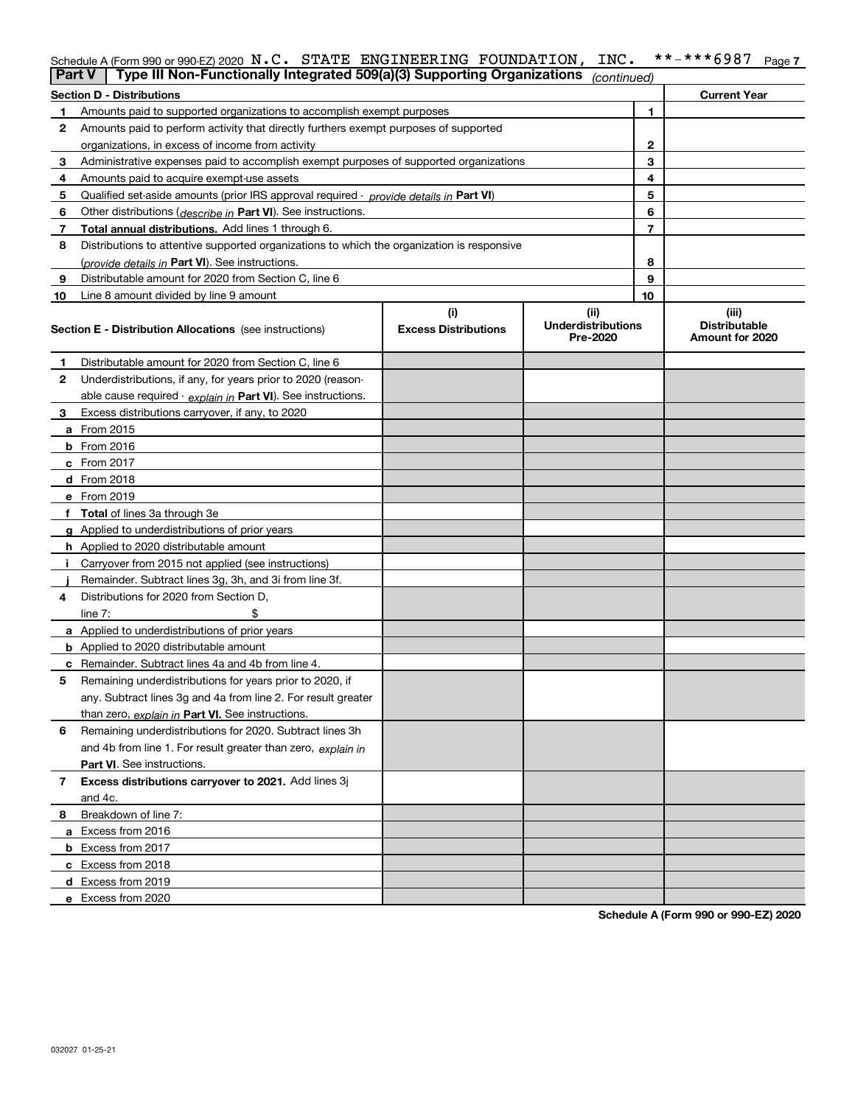|    | Schedule A (Form 990 or 990-EZ) 2020 $N.C.$ STATE ENGINEERING FOUNDATION,                  |                                    | INC.                                          |    | **-***6987<br>Page 7                             |
|----|--------------------------------------------------------------------------------------------|------------------------------------|-----------------------------------------------|----|--------------------------------------------------|
|    | Type III Non-Functionally Integrated 509(a)(3) Supporting Organizations<br><b>Part V</b>   |                                    | (continued)                                   |    |                                                  |
|    | <b>Section D - Distributions</b>                                                           |                                    |                                               |    | <b>Current Year</b>                              |
| 1  | Amounts paid to supported organizations to accomplish exempt purposes                      |                                    |                                               | 1. |                                                  |
| 2  | Amounts paid to perform activity that directly furthers exempt purposes of supported       |                                    |                                               |    |                                                  |
|    | organizations, in excess of income from activity                                           |                                    |                                               | 2  |                                                  |
| 3  | Administrative expenses paid to accomplish exempt purposes of supported organizations      |                                    |                                               | 3  |                                                  |
| 4  | Amounts paid to acquire exempt-use assets                                                  |                                    |                                               | 4  |                                                  |
| 5  | Qualified set-aside amounts (prior IRS approval required - provide details in Part VI)     |                                    |                                               | 5  |                                                  |
| 6  | Other distributions (describe in Part VI). See instructions.                               |                                    |                                               | 6  |                                                  |
| 7  | Total annual distributions. Add lines 1 through 6.                                         |                                    |                                               | 7  |                                                  |
| 8  | Distributions to attentive supported organizations to which the organization is responsive |                                    |                                               |    |                                                  |
|    | (provide details in Part VI). See instructions.                                            |                                    |                                               | 8  |                                                  |
| 9  | Distributable amount for 2020 from Section C, line 6                                       |                                    |                                               | 9  |                                                  |
| 10 | Line 8 amount divided by line 9 amount                                                     |                                    |                                               | 10 |                                                  |
|    | <b>Section E - Distribution Allocations</b> (see instructions)                             | (i)<br><b>Excess Distributions</b> | (ii)<br><b>Underdistributions</b><br>Pre-2020 |    | (iii)<br><b>Distributable</b><br>Amount for 2020 |
|    | Distributable amount for 2020 from Section C. line 6                                       |                                    |                                               |    |                                                  |
| 2  | Underdistributions, if any, for years prior to 2020 (reason-                               |                                    |                                               |    |                                                  |
|    | able cause required - explain in Part VI). See instructions.                               |                                    |                                               |    |                                                  |
| 3  | Excess distributions carryover, if any, to 2020                                            |                                    |                                               |    |                                                  |
|    | <b>a</b> From 2015                                                                         |                                    |                                               |    |                                                  |
|    | $b$ From 2016                                                                              |                                    |                                               |    |                                                  |
|    | c From 2017                                                                                |                                    |                                               |    |                                                  |
|    | d From 2018                                                                                |                                    |                                               |    |                                                  |
|    | From 2019 م                                                                                |                                    |                                               |    |                                                  |

|   | c From 2017                                                   |  |  |
|---|---------------------------------------------------------------|--|--|
|   | d From 2018                                                   |  |  |
|   | e From 2019                                                   |  |  |
|   | Total of lines 3a through 3e                                  |  |  |
|   | g Applied to underdistributions of prior years                |  |  |
|   | h Applied to 2020 distributable amount                        |  |  |
|   | Carryover from 2015 not applied (see instructions)            |  |  |
|   | Remainder. Subtract lines 3g, 3h, and 3i from line 3f.        |  |  |
| 4 | Distributions for 2020 from Section D,                        |  |  |
|   | \$<br>line $7:$                                               |  |  |
|   | a Applied to underdistributions of prior years                |  |  |
|   | <b>b</b> Applied to 2020 distributable amount                 |  |  |
|   | c Remainder. Subtract lines 4a and 4b from line 4.            |  |  |
| 5 | Remaining underdistributions for years prior to 2020, if      |  |  |
|   | any. Subtract lines 3g and 4a from line 2. For result greater |  |  |
|   | than zero, explain in Part VI. See instructions.              |  |  |
| 6 | Remaining underdistributions for 2020. Subtract lines 3h      |  |  |
|   | and 4b from line 1. For result greater than zero, explain in  |  |  |
|   | <b>Part VI.</b> See instructions.                             |  |  |
|   | Excess distributions carryover to 2021. Add lines 3j          |  |  |
|   | and 4c.                                                       |  |  |
| 8 | Breakdown of line 7:                                          |  |  |
| a | Excess from 2016                                              |  |  |
|   | <b>b</b> Excess from 2017                                     |  |  |
|   | c Excess from 2018                                            |  |  |
|   | d Excess from 2019                                            |  |  |
|   | e Excess from 2020                                            |  |  |

**Schedule A (Form 990 or 990-EZ) 2020**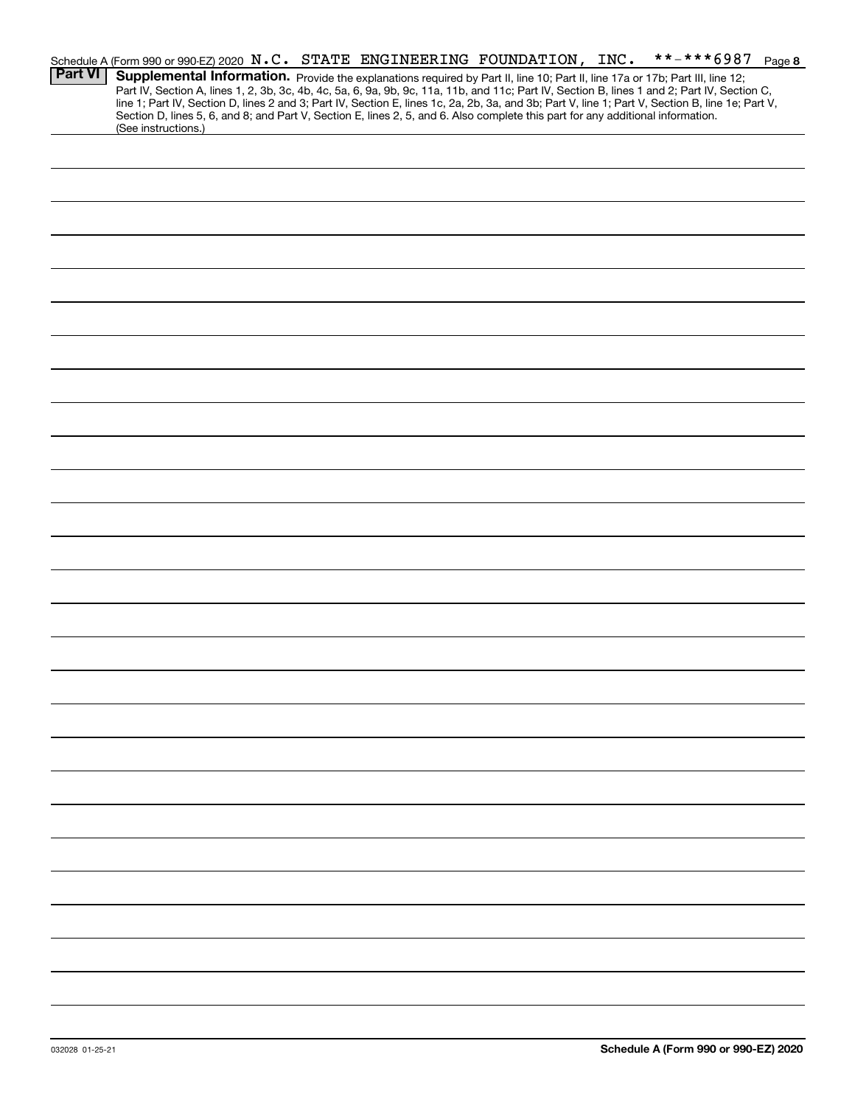|                | Schedule A (Form 990 or 990-EZ) 2020 N.C. STATE ENGINEERING FOUNDATION, INC.                                                                                                                                                                                                                     |  |  | **-***6987 Page 8 |  |
|----------------|--------------------------------------------------------------------------------------------------------------------------------------------------------------------------------------------------------------------------------------------------------------------------------------------------|--|--|-------------------|--|
| <b>Part VI</b> | Supplemental Information. Provide the explanations required by Part II, line 10; Part II, line 17a or 17b; Part III, line 12;                                                                                                                                                                    |  |  |                   |  |
|                | Part IV, Section A, lines 1, 2, 3b, 3c, 4b, 4c, 5a, 6, 9a, 9b, 9c, 11a, 11b, and 11c; Part IV, Section B, lines 1 and 2; Part IV, Section C,<br>line 1; Part IV, Section D, lines 2 and 3; Part IV, Section E, lines 1c, 2a, 2b, 3a, and 3b; Part V, line 1; Part V, Section B, line 1e; Part V, |  |  |                   |  |
|                | Section D, lines 5, 6, and 8; and Part V, Section E, lines 2, 5, and 6. Also complete this part for any additional information.                                                                                                                                                                  |  |  |                   |  |
|                | (See instructions.)                                                                                                                                                                                                                                                                              |  |  |                   |  |
|                |                                                                                                                                                                                                                                                                                                  |  |  |                   |  |
|                |                                                                                                                                                                                                                                                                                                  |  |  |                   |  |
|                |                                                                                                                                                                                                                                                                                                  |  |  |                   |  |
|                |                                                                                                                                                                                                                                                                                                  |  |  |                   |  |
|                |                                                                                                                                                                                                                                                                                                  |  |  |                   |  |
|                |                                                                                                                                                                                                                                                                                                  |  |  |                   |  |
|                |                                                                                                                                                                                                                                                                                                  |  |  |                   |  |
|                |                                                                                                                                                                                                                                                                                                  |  |  |                   |  |
|                |                                                                                                                                                                                                                                                                                                  |  |  |                   |  |
|                |                                                                                                                                                                                                                                                                                                  |  |  |                   |  |
|                |                                                                                                                                                                                                                                                                                                  |  |  |                   |  |
|                |                                                                                                                                                                                                                                                                                                  |  |  |                   |  |
|                |                                                                                                                                                                                                                                                                                                  |  |  |                   |  |
|                |                                                                                                                                                                                                                                                                                                  |  |  |                   |  |
|                |                                                                                                                                                                                                                                                                                                  |  |  |                   |  |
|                |                                                                                                                                                                                                                                                                                                  |  |  |                   |  |
|                |                                                                                                                                                                                                                                                                                                  |  |  |                   |  |
|                |                                                                                                                                                                                                                                                                                                  |  |  |                   |  |
|                |                                                                                                                                                                                                                                                                                                  |  |  |                   |  |
|                |                                                                                                                                                                                                                                                                                                  |  |  |                   |  |
|                |                                                                                                                                                                                                                                                                                                  |  |  |                   |  |
|                |                                                                                                                                                                                                                                                                                                  |  |  |                   |  |
|                |                                                                                                                                                                                                                                                                                                  |  |  |                   |  |
|                |                                                                                                                                                                                                                                                                                                  |  |  |                   |  |
|                |                                                                                                                                                                                                                                                                                                  |  |  |                   |  |
|                |                                                                                                                                                                                                                                                                                                  |  |  |                   |  |
|                |                                                                                                                                                                                                                                                                                                  |  |  |                   |  |
|                |                                                                                                                                                                                                                                                                                                  |  |  |                   |  |
|                |                                                                                                                                                                                                                                                                                                  |  |  |                   |  |
|                |                                                                                                                                                                                                                                                                                                  |  |  |                   |  |
|                |                                                                                                                                                                                                                                                                                                  |  |  |                   |  |
|                |                                                                                                                                                                                                                                                                                                  |  |  |                   |  |
|                |                                                                                                                                                                                                                                                                                                  |  |  |                   |  |
|                |                                                                                                                                                                                                                                                                                                  |  |  |                   |  |
|                |                                                                                                                                                                                                                                                                                                  |  |  |                   |  |
|                |                                                                                                                                                                                                                                                                                                  |  |  |                   |  |
|                |                                                                                                                                                                                                                                                                                                  |  |  |                   |  |
|                |                                                                                                                                                                                                                                                                                                  |  |  |                   |  |
|                |                                                                                                                                                                                                                                                                                                  |  |  |                   |  |
|                |                                                                                                                                                                                                                                                                                                  |  |  |                   |  |
|                |                                                                                                                                                                                                                                                                                                  |  |  |                   |  |
|                |                                                                                                                                                                                                                                                                                                  |  |  |                   |  |
|                |                                                                                                                                                                                                                                                                                                  |  |  |                   |  |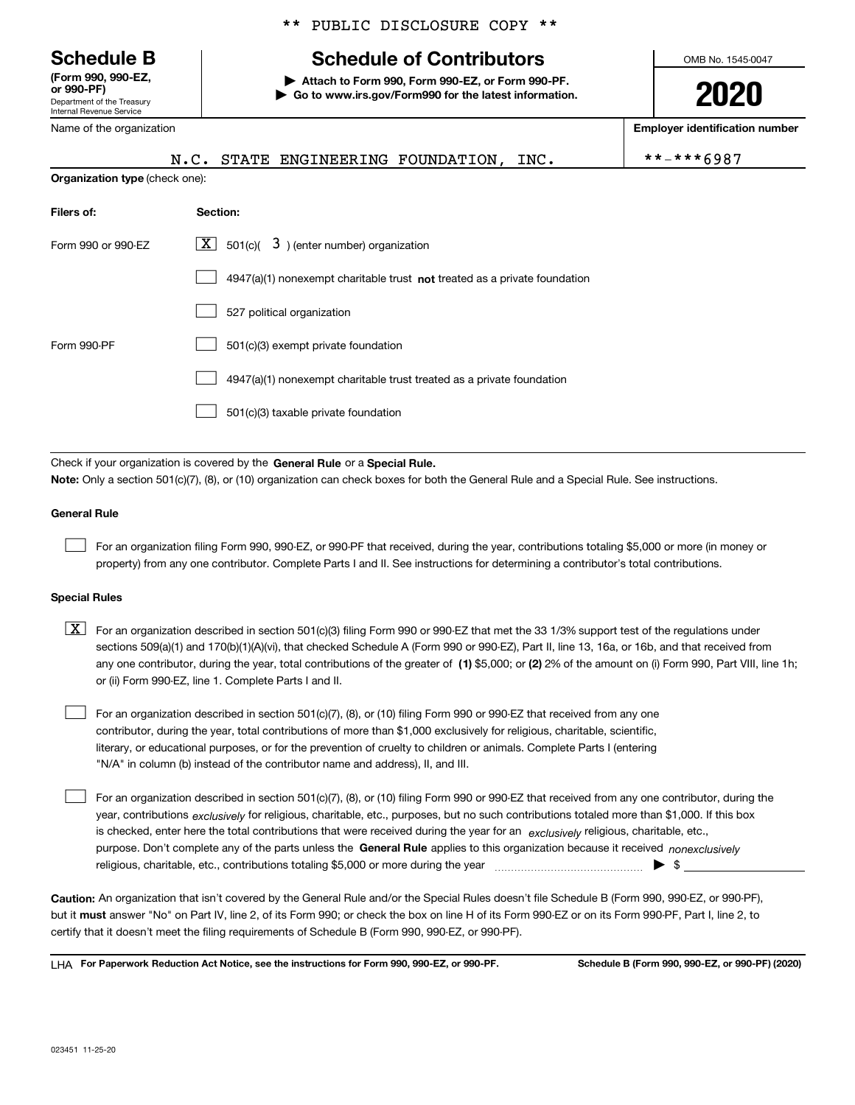Department of the Treasury Internal Revenue Service **(Form 990, 990-EZ, or 990-PF)**

Name of the organization

### \*\* PUBLIC DISCLOSURE COPY \*\*

# **Schedule B Schedule of Contributors**

**| Attach to Form 990, Form 990-EZ, or Form 990-PF. | Go to www.irs.gov/Form990 for the latest information.** OMB No. 1545-0047

**2020**

**Employer identification number**

|                                | $***$ $***$ 6987<br>N.C. STATE ENGINEERING FOUNDATION, INC.                 |  |  |  |  |  |  |  |  |
|--------------------------------|-----------------------------------------------------------------------------|--|--|--|--|--|--|--|--|
| Organization type (check one): |                                                                             |  |  |  |  |  |  |  |  |
| Filers of:                     | Section:                                                                    |  |  |  |  |  |  |  |  |
| Form 990 or 990-EZ             | $\lfloor x \rfloor$ 501(c)( 3) (enter number) organization                  |  |  |  |  |  |  |  |  |
|                                | $4947(a)(1)$ nonexempt charitable trust not treated as a private foundation |  |  |  |  |  |  |  |  |
|                                | 527 political organization                                                  |  |  |  |  |  |  |  |  |
| Form 990-PF                    | 501(c)(3) exempt private foundation                                         |  |  |  |  |  |  |  |  |
|                                | 4947(a)(1) nonexempt charitable trust treated as a private foundation       |  |  |  |  |  |  |  |  |
|                                | 501(c)(3) taxable private foundation                                        |  |  |  |  |  |  |  |  |

Check if your organization is covered by the **General Rule** or a **Special Rule. Note:**  Only a section 501(c)(7), (8), or (10) organization can check boxes for both the General Rule and a Special Rule. See instructions.

### **General Rule**

 $\mathcal{L}^{\text{max}}$ 

For an organization filing Form 990, 990-EZ, or 990-PF that received, during the year, contributions totaling \$5,000 or more (in money or property) from any one contributor. Complete Parts I and II. See instructions for determining a contributor's total contributions.

### **Special Rules**

any one contributor, during the year, total contributions of the greater of  $\,$  (1) \$5,000; or **(2)** 2% of the amount on (i) Form 990, Part VIII, line 1h;  $\boxed{\textbf{X}}$  For an organization described in section 501(c)(3) filing Form 990 or 990-EZ that met the 33 1/3% support test of the regulations under sections 509(a)(1) and 170(b)(1)(A)(vi), that checked Schedule A (Form 990 or 990-EZ), Part II, line 13, 16a, or 16b, and that received from or (ii) Form 990-EZ, line 1. Complete Parts I and II.

For an organization described in section 501(c)(7), (8), or (10) filing Form 990 or 990-EZ that received from any one contributor, during the year, total contributions of more than \$1,000 exclusively for religious, charitable, scientific, literary, or educational purposes, or for the prevention of cruelty to children or animals. Complete Parts I (entering "N/A" in column (b) instead of the contributor name and address), II, and III.  $\mathcal{L}^{\text{max}}$ 

purpose. Don't complete any of the parts unless the **General Rule** applies to this organization because it received *nonexclusively* year, contributions <sub>exclusively</sub> for religious, charitable, etc., purposes, but no such contributions totaled more than \$1,000. If this box is checked, enter here the total contributions that were received during the year for an  $\;$ exclusively religious, charitable, etc., For an organization described in section 501(c)(7), (8), or (10) filing Form 990 or 990-EZ that received from any one contributor, during the religious, charitable, etc., contributions totaling \$5,000 or more during the year  $\Box$ — $\Box$   $\Box$  $\mathcal{L}^{\text{max}}$ 

**Caution:**  An organization that isn't covered by the General Rule and/or the Special Rules doesn't file Schedule B (Form 990, 990-EZ, or 990-PF),  **must** but it answer "No" on Part IV, line 2, of its Form 990; or check the box on line H of its Form 990-EZ or on its Form 990-PF, Part I, line 2, to certify that it doesn't meet the filing requirements of Schedule B (Form 990, 990-EZ, or 990-PF).

**For Paperwork Reduction Act Notice, see the instructions for Form 990, 990-EZ, or 990-PF. Schedule B (Form 990, 990-EZ, or 990-PF) (2020)** LHA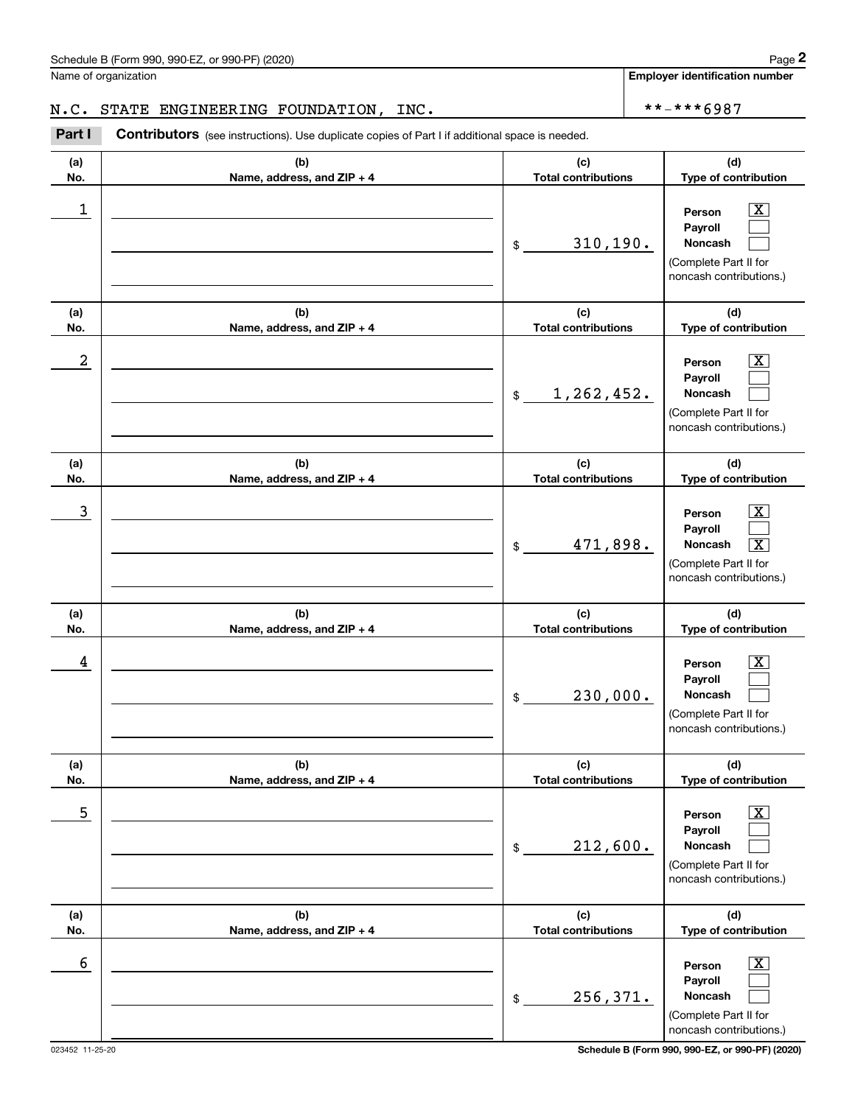Name of organization

**Employer identification number**

### N.C. STATE ENGINEERING FOUNDATION, INC.  $\vert$  \*\*-\*\*\*6987

**(a)No.(b)Name, address, and ZIP + 4 (c)Total contributions (d)Type of contribution PersonPayrollNoncash (a)No.(b)Name, address, and ZIP + 4 (c)Total contributions (d)Type of contribution PersonPayrollNoncash (a)No.(b)Name, address, and ZIP + 4 (c)Total contributions (d)Type of contribution PersonPayrollNoncash (a) No.(b) Name, address, and ZIP + 4 (c) Total contributions (d) Type of contribution Person Payroll Noncash(a) No.(b) Name, address, and ZIP + 4 (c) Total contributions (d) Type of contribution PersonPayrollNoncash (a) No.(b)Name, address, and ZIP + 4 (c) Total contributions (d)Type of contribution PersonPayrollNoncash** Contributors (see instructions). Use duplicate copies of Part I if additional space is needed. \$(Complete Part II for noncash contributions.) \$(Complete Part II for noncash contributions.) \$(Complete Part II for noncash contributions.) \$(Complete Part II for noncash contributions.) \$(Complete Part II for noncash contributions.) \$(Complete Part II for noncash contributions.) Chedule B (Form 990, 990-EZ, or 990-PF) (2020)<br>Iame of organization<br>**1. C. STATE ENGINEERING FOUNDATION, INC.**<br>**Part I** Contributors (see instructions). Use duplicate copies of Part I if additional space is needed.  $|X|$  $\mathcal{L}^{\text{max}}$  $\mathcal{L}^{\text{max}}$  $\boxed{\text{X}}$  $\mathcal{L}^{\text{max}}$  $\mathcal{L}^{\text{max}}$  $|X|$  $\mathcal{L}^{\text{max}}$  $\boxed{\text{X}}$  $\boxed{\text{X}}$  $\mathcal{L}^{\text{max}}$  $\mathcal{L}^{\text{max}}$  $|X|$  $\mathcal{L}^{\text{max}}$  $\mathcal{L}^{\text{max}}$  $\boxed{\text{X}}$  $\mathcal{L}^{\text{max}}$  $\mathcal{L}^{\text{max}}$  $\begin{array}{c|c|c|c|c|c} 1 & \hspace{1.5cm} & \hspace{1.5cm} & \hspace{1.5cm} & \hspace{1.5cm} & \hspace{1.5cm} & \hspace{1.5cm} & \hspace{1.5cm} & \hspace{1.5cm} & \hspace{1.5cm} & \hspace{1.5cm} & \hspace{1.5cm} & \hspace{1.5cm} & \hspace{1.5cm} & \hspace{1.5cm} & \hspace{1.5cm} & \hspace{1.5cm} & \hspace{1.5cm} & \hspace{1.5cm} & \hspace{1.5cm} & \hspace{1.5cm} &$ 310,190.  $2$  | Person  $\overline{\text{X}}$ 1,262,452.  $\overline{3}$  | Person  $\overline{X}$ 471,898. X  $4$  | Person  $\overline{\text{X}}$ 230,000.  $\sim$  5 | Person X 212,600.  $\sim$  6 | Person X 256,371.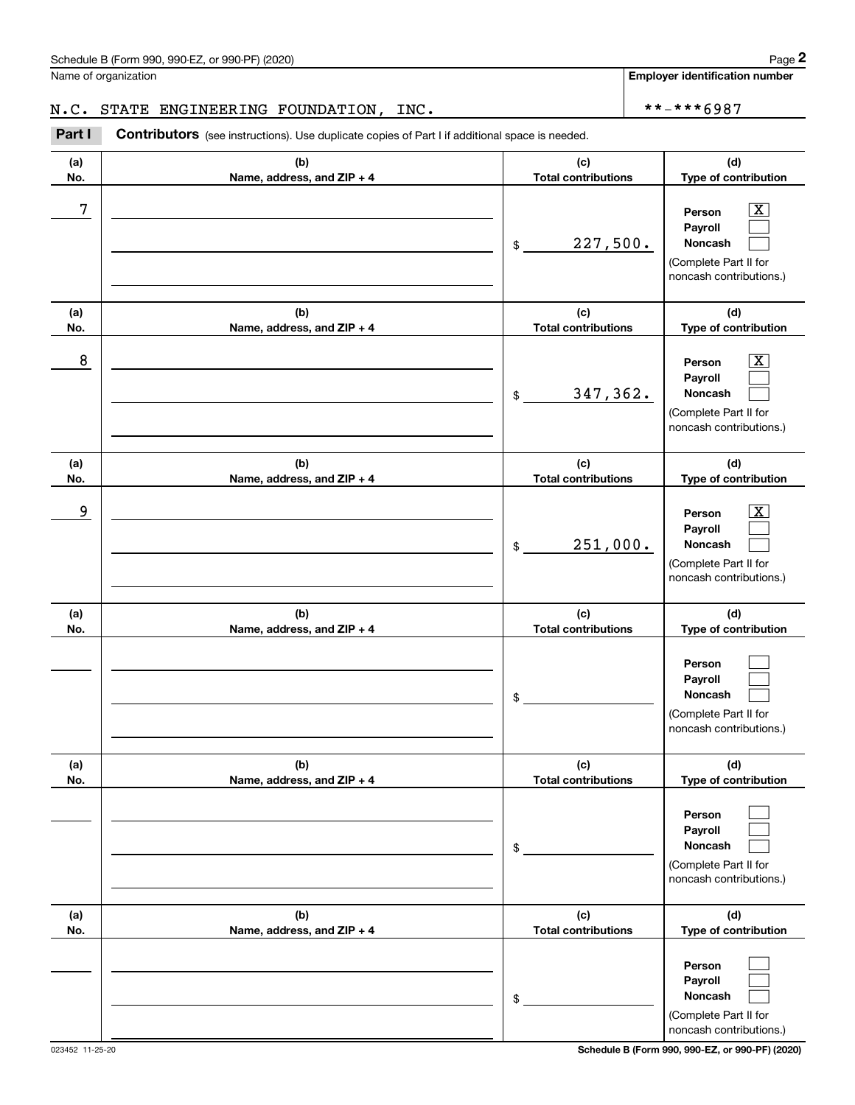Name of organization

**Employer identification number**

### N.C. STATE ENGINEERING FOUNDATION, INC.  $\vert$  \*\*-\*\*\*6987

**(a)No.(b)Name, address, and ZIP + 4 (c)Total contributions (d)Type of contribution PersonPayrollNoncash (a)No.(b)Name, address, and ZIP + 4 (c)Total contributions (d)Type of contribution PersonPayrollNoncash (a)No.(b)Name, address, and ZIP + 4 (c)Total contributions (d)Type of contribution PersonPayrollNoncash (a) No.(b) Name, address, and ZIP + 4 (c) Total contributions (d) Type of contribution PersonPayrollNoncash(a) No.(b) Name, address, and ZIP + 4 (c) Total contributions (d) Type of contribution PersonPayrollNoncash (a) No.(b)Name, address, and ZIP + 4 (c) Total contributions (d)Type of contribution PersonPayrollNoncash** Contributors (see instructions). Use duplicate copies of Part I if additional space is needed. \$(Complete Part II for noncash contributions.) \$(Complete Part II for noncash contributions.) \$(Complete Part II for noncash contributions.) \$(Complete Part II for noncash contributions.) \$(Complete Part II for noncash contributions.) \$Chedule B (Form 990, 990-EZ, or 990-PF) (2020)<br>Iame of organization<br>**1. C. STATE ENGINEERING FOUNDATION, INC.**<br>**Part I** Contributors (see instructions). Use duplicate copies of Part I if additional space is needed.  $\lceil \text{X} \rceil$  $\mathcal{L}^{\text{max}}$  $\mathcal{L}^{\text{max}}$  $\boxed{\text{X}}$  $\mathcal{L}^{\text{max}}$  $\mathcal{L}^{\text{max}}$  $|X|$  $\mathcal{L}^{\text{max}}$  $\mathcal{L}^{\text{max}}$  $\mathcal{L}^{\text{max}}$  $\mathcal{L}^{\text{max}}$  $\mathcal{L}^{\text{max}}$  $\mathcal{L}^{\text{max}}$  $\mathcal{L}^{\text{max}}$  $\mathcal{L}^{\text{max}}$  $\mathcal{L}^{\text{max}}$  $\mathcal{L}^{\text{max}}$  $\mathcal{L}^{\text{max}}$ 7 X 227,500. 8 X 347,362. example and the set of the set of the set of the set of the set of the set of the set of the set of the set of 251,000.

(Complete Part II for noncash contributions.)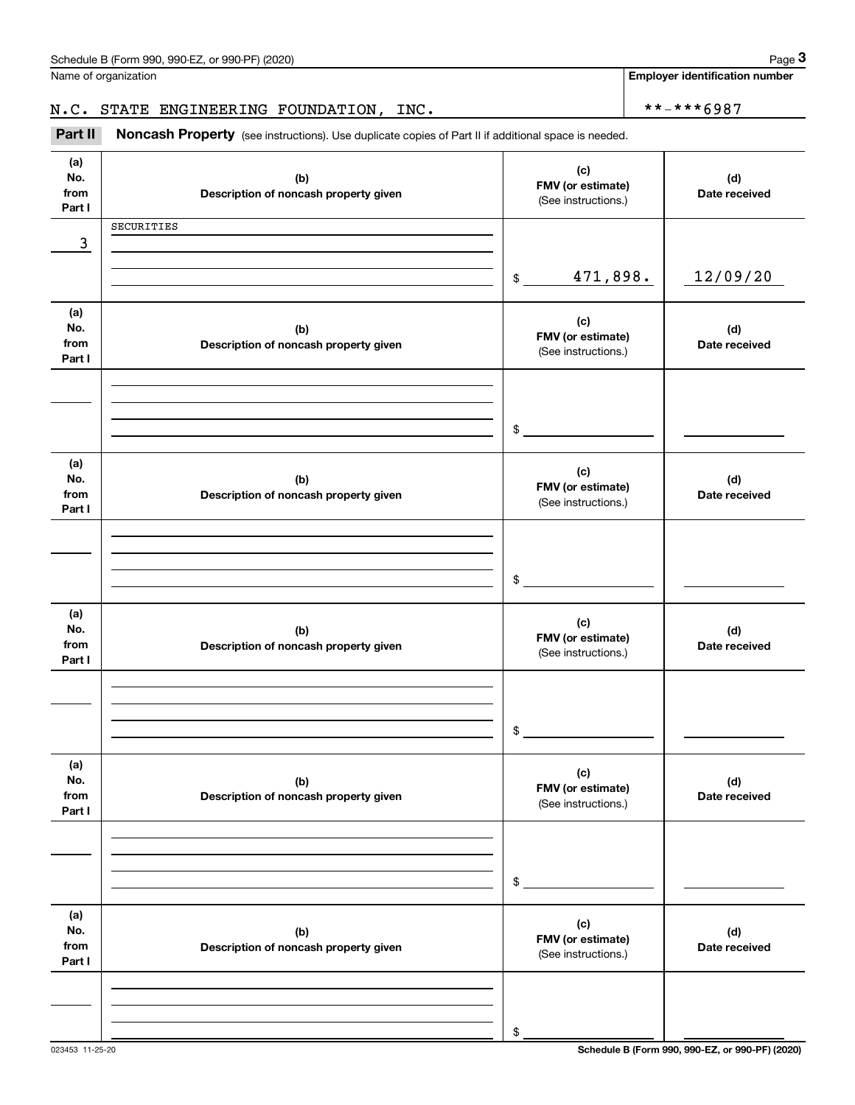**Employer identification number**

## N.C. STATE ENGINEERING FOUNDATION, INC.  $\vert$  \*\*-\*\*\*6987

(see instructions). Use duplicate copies of Part II if additional space is needed.<br> **3Part II Noncash Property** (see instructions). Use duplicate copies of Part II if additional space is needed.<br> **3Part II Noncash Prop** 

| (a)<br>No.<br>from<br>Part I | (b)<br>Description of noncash property given | (c)<br>FMV (or estimate)<br>(See instructions.) | (d)<br>Date received |
|------------------------------|----------------------------------------------|-------------------------------------------------|----------------------|
|                              | SECURITIES                                   |                                                 |                      |
| 3                            |                                              |                                                 |                      |
|                              |                                              | 471,898.<br>$\frac{1}{2}$                       | 12/09/20             |
| (a)<br>No.<br>from<br>Part I | (b)<br>Description of noncash property given | (c)<br>FMV (or estimate)<br>(See instructions.) | (d)<br>Date received |
|                              |                                              |                                                 |                      |
|                              |                                              | \$                                              |                      |
| (a)                          |                                              |                                                 |                      |
| No.<br>from<br>Part I        | (b)<br>Description of noncash property given | (c)<br>FMV (or estimate)<br>(See instructions.) | (d)<br>Date received |
|                              |                                              |                                                 |                      |
|                              |                                              |                                                 |                      |
|                              |                                              | \$                                              |                      |
| (a)<br>No.<br>from<br>Part I | (b)<br>Description of noncash property given | (c)<br>FMV (or estimate)<br>(See instructions.) | (d)<br>Date received |
|                              |                                              |                                                 |                      |
|                              |                                              |                                                 |                      |
|                              |                                              | \$                                              |                      |
| (a)<br>No.<br>from<br>Part I | (b)<br>Description of noncash property given | (c)<br>FMV (or estimate)<br>(See instructions.) | (d)<br>Date received |
|                              |                                              |                                                 |                      |
|                              |                                              |                                                 |                      |
|                              |                                              | \$                                              |                      |
| (a)<br>No.<br>from<br>Part I | (b)<br>Description of noncash property given | (c)<br>FMV (or estimate)<br>(See instructions.) | (d)<br>Date received |
|                              |                                              |                                                 |                      |
|                              |                                              |                                                 |                      |
|                              |                                              | \$                                              |                      |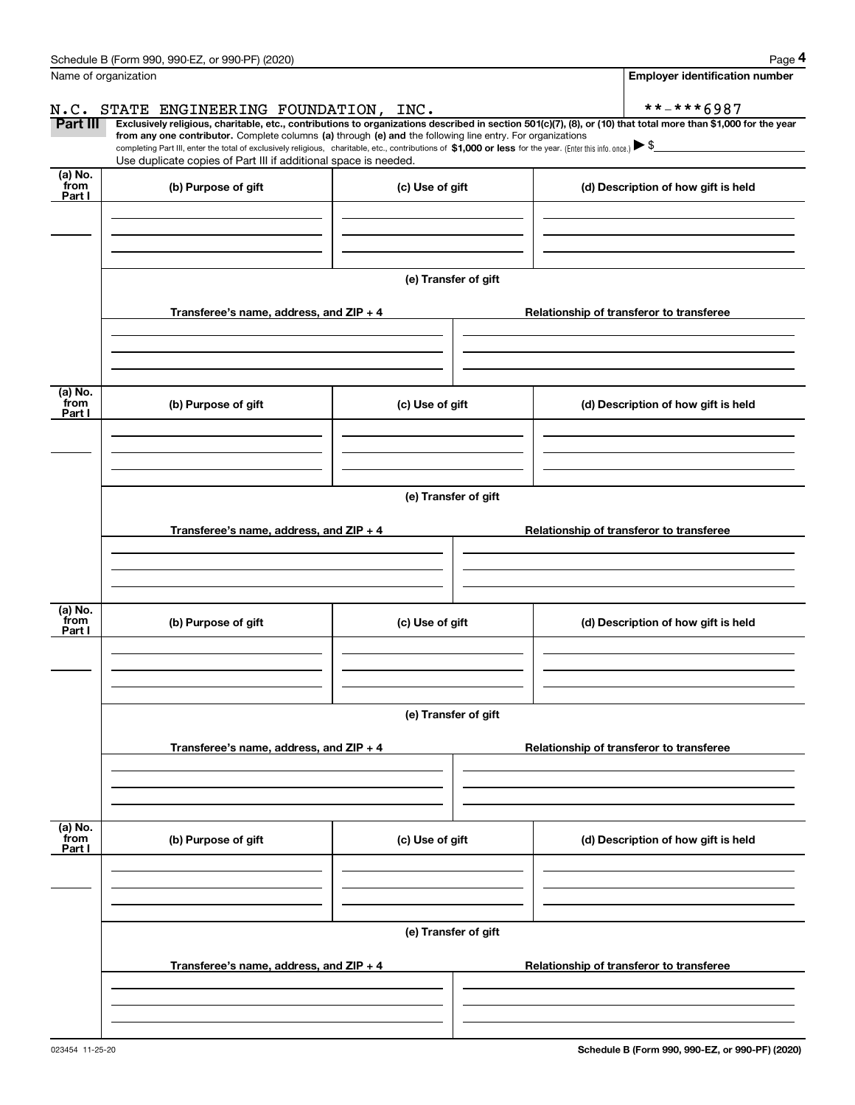|                           | Schedule B (Form 990, 990-EZ, or 990-PF) (2020)                                                                                                                                                                                                      |                      | Page 4                                                                                                                                                         |  |  |  |
|---------------------------|------------------------------------------------------------------------------------------------------------------------------------------------------------------------------------------------------------------------------------------------------|----------------------|----------------------------------------------------------------------------------------------------------------------------------------------------------------|--|--|--|
|                           | Name of organization                                                                                                                                                                                                                                 |                      | <b>Employer identification number</b>                                                                                                                          |  |  |  |
|                           | N.C. STATE ENGINEERING FOUNDATION, INC.                                                                                                                                                                                                              |                      | **-***6987                                                                                                                                                     |  |  |  |
| Part III                  | from any one contributor. Complete columns (a) through (e) and the following line entry. For organizations                                                                                                                                           |                      | Exclusively religious, charitable, etc., contributions to organizations described in section 501(c)(7), (8), or (10) that total more than \$1,000 for the year |  |  |  |
|                           | completing Part III, enter the total of exclusively religious, charitable, etc., contributions of \$1,000 or less for the year. (Enter this info. once.) $\blacktriangleright$ \$<br>Use duplicate copies of Part III if additional space is needed. |                      |                                                                                                                                                                |  |  |  |
| (a) No.<br>from<br>Part I | (b) Purpose of gift                                                                                                                                                                                                                                  | (c) Use of gift      | (d) Description of how gift is held                                                                                                                            |  |  |  |
|                           |                                                                                                                                                                                                                                                      |                      |                                                                                                                                                                |  |  |  |
|                           |                                                                                                                                                                                                                                                      | (e) Transfer of gift |                                                                                                                                                                |  |  |  |
|                           | Transferee's name, address, and ZIP + 4                                                                                                                                                                                                              |                      | Relationship of transferor to transferee                                                                                                                       |  |  |  |
| (a) No.                   |                                                                                                                                                                                                                                                      |                      |                                                                                                                                                                |  |  |  |
| from<br>Part I            | (b) Purpose of gift                                                                                                                                                                                                                                  | (c) Use of gift      | (d) Description of how gift is held                                                                                                                            |  |  |  |
|                           |                                                                                                                                                                                                                                                      |                      |                                                                                                                                                                |  |  |  |
|                           |                                                                                                                                                                                                                                                      | (e) Transfer of gift |                                                                                                                                                                |  |  |  |
|                           | Transferee's name, address, and ZIP + 4                                                                                                                                                                                                              |                      | Relationship of transferor to transferee                                                                                                                       |  |  |  |
| (a) No.                   |                                                                                                                                                                                                                                                      |                      |                                                                                                                                                                |  |  |  |
| from<br>Part I            | (b) Purpose of gift                                                                                                                                                                                                                                  | (c) Use of gift      | (d) Description of how gift is held                                                                                                                            |  |  |  |
|                           |                                                                                                                                                                                                                                                      |                      |                                                                                                                                                                |  |  |  |
|                           |                                                                                                                                                                                                                                                      | (e) Transfer of gift |                                                                                                                                                                |  |  |  |
|                           | Transferee's name, address, and $ZIP + 4$                                                                                                                                                                                                            |                      | Relationship of transferor to transferee                                                                                                                       |  |  |  |
|                           |                                                                                                                                                                                                                                                      |                      |                                                                                                                                                                |  |  |  |
| (a) No.<br>from<br>Part I | (b) Purpose of gift                                                                                                                                                                                                                                  | (c) Use of gift      | (d) Description of how gift is held                                                                                                                            |  |  |  |
|                           |                                                                                                                                                                                                                                                      |                      |                                                                                                                                                                |  |  |  |
|                           |                                                                                                                                                                                                                                                      | (e) Transfer of gift |                                                                                                                                                                |  |  |  |
|                           | Transferee's name, address, and $ZIP + 4$                                                                                                                                                                                                            |                      | Relationship of transferor to transferee                                                                                                                       |  |  |  |
|                           |                                                                                                                                                                                                                                                      |                      |                                                                                                                                                                |  |  |  |
|                           |                                                                                                                                                                                                                                                      |                      |                                                                                                                                                                |  |  |  |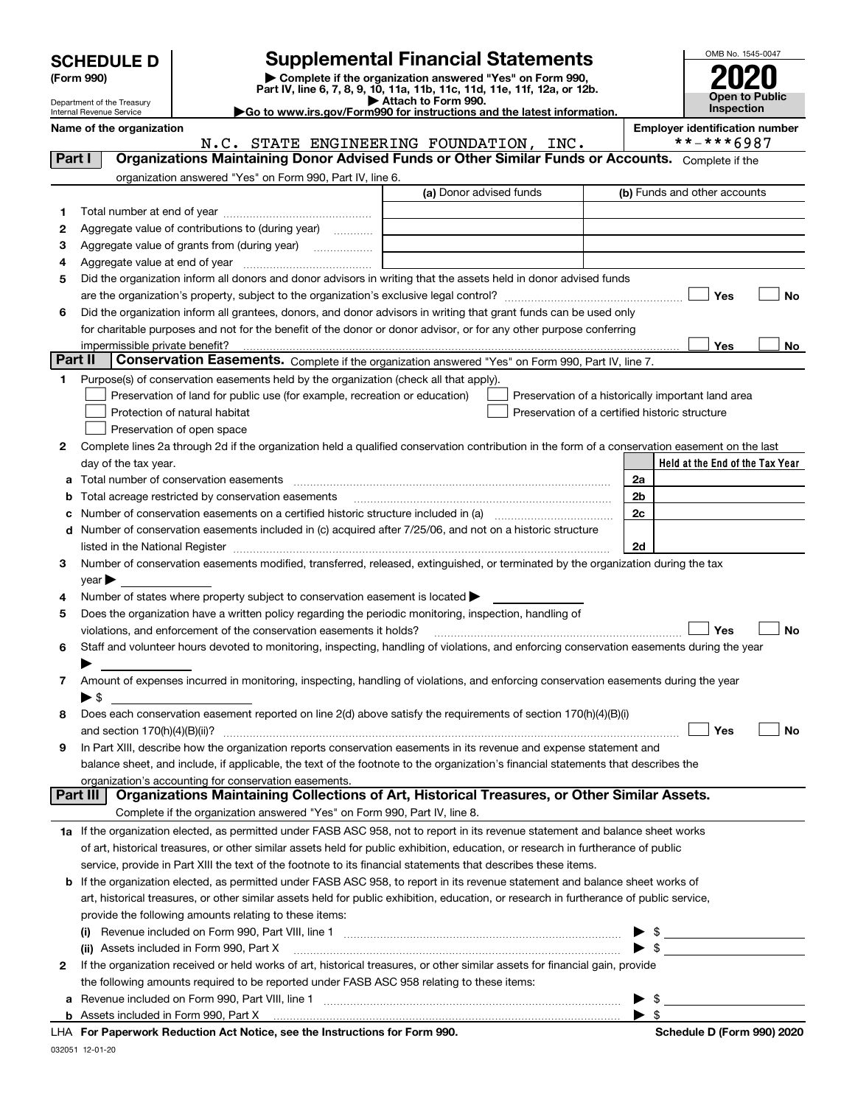| <b>SCHEDULE D</b> |  |
|-------------------|--|
|-------------------|--|

# **SCHEDULE D Supplemental Financial Statements**

(Form 990)<br>
Pepartment of the Treasury<br>
Department of the Treasury<br>
Department of the Treasury<br>
Department of the Treasury<br> **Co to www.irs.gov/Form990 for instructions and the latest information.**<br> **Co to www.irs.gov/Form9** 



Department of the Treasury Internal Revenue Service **Name of the organization Employer identification number**

|         | N.C. STATE ENGINEERING FOUNDATION, INC.                                                                                                                                                                                       |                         | **-***6987                                         |
|---------|-------------------------------------------------------------------------------------------------------------------------------------------------------------------------------------------------------------------------------|-------------------------|----------------------------------------------------|
| Part I  | Organizations Maintaining Donor Advised Funds or Other Similar Funds or Accounts. Complete if the                                                                                                                             |                         |                                                    |
|         | organization answered "Yes" on Form 990, Part IV, line 6.                                                                                                                                                                     |                         |                                                    |
|         |                                                                                                                                                                                                                               | (a) Donor advised funds | (b) Funds and other accounts                       |
| 1       |                                                                                                                                                                                                                               |                         |                                                    |
| 2       | Aggregate value of contributions to (during year)                                                                                                                                                                             |                         |                                                    |
| з       | Aggregate value of grants from (during year)                                                                                                                                                                                  |                         |                                                    |
| 4       |                                                                                                                                                                                                                               |                         |                                                    |
| 5       | Did the organization inform all donors and donor advisors in writing that the assets held in donor advised funds                                                                                                              |                         |                                                    |
|         |                                                                                                                                                                                                                               |                         | Yes<br>No                                          |
| 6       | Did the organization inform all grantees, donors, and donor advisors in writing that grant funds can be used only                                                                                                             |                         |                                                    |
|         | for charitable purposes and not for the benefit of the donor or donor advisor, or for any other purpose conferring                                                                                                            |                         |                                                    |
|         |                                                                                                                                                                                                                               |                         | <b>Yes</b><br>No                                   |
| Part II | Conservation Easements. Complete if the organization answered "Yes" on Form 990, Part IV, line 7.                                                                                                                             |                         |                                                    |
| 1       | Purpose(s) of conservation easements held by the organization (check all that apply).                                                                                                                                         |                         |                                                    |
|         | Preservation of land for public use (for example, recreation or education)                                                                                                                                                    |                         |                                                    |
|         |                                                                                                                                                                                                                               |                         | Preservation of a historically important land area |
|         | Protection of natural habitat                                                                                                                                                                                                 |                         | Preservation of a certified historic structure     |
|         | Preservation of open space                                                                                                                                                                                                    |                         |                                                    |
| 2       | Complete lines 2a through 2d if the organization held a qualified conservation contribution in the form of a conservation easement on the last                                                                                |                         |                                                    |
|         | day of the tax year.                                                                                                                                                                                                          |                         | Held at the End of the Tax Year                    |
| а       |                                                                                                                                                                                                                               |                         | 2a                                                 |
| b       | Total acreage restricted by conservation easements                                                                                                                                                                            |                         | 2 <sub>b</sub>                                     |
| с       | Number of conservation easements on a certified historic structure included in (a) manufacture included in (a)                                                                                                                |                         | 2c                                                 |
| d       | Number of conservation easements included in (c) acquired after 7/25/06, and not on a historic structure                                                                                                                      |                         |                                                    |
|         | listed in the National Register [11, 1200] [12] The National Register [11, 1200] [12] The National Register [11, 1200] [12] The National Register [11, 1200] [12] The National Register [11, 1200] [12] The National Register |                         | 2d                                                 |
| З.      | Number of conservation easements modified, transferred, released, extinguished, or terminated by the organization during the tax                                                                                              |                         |                                                    |
|         | $year \blacktriangleright$                                                                                                                                                                                                    |                         |                                                    |
| 4       | Number of states where property subject to conservation easement is located >                                                                                                                                                 |                         |                                                    |
| 5       | Does the organization have a written policy regarding the periodic monitoring, inspection, handling of                                                                                                                        |                         |                                                    |
|         | violations, and enforcement of the conservation easements it holds?                                                                                                                                                           |                         | Yes<br><b>No</b>                                   |
| 6       | Staff and volunteer hours devoted to monitoring, inspecting, handling of violations, and enforcing conservation easements during the year                                                                                     |                         |                                                    |
|         |                                                                                                                                                                                                                               |                         |                                                    |
| 7       | Amount of expenses incurred in monitoring, inspecting, handling of violations, and enforcing conservation easements during the year                                                                                           |                         |                                                    |
|         | $\blacktriangleright$ \$                                                                                                                                                                                                      |                         |                                                    |
| 8       | Does each conservation easement reported on line 2(d) above satisfy the requirements of section 170(h)(4)(B)(i)                                                                                                               |                         |                                                    |
|         |                                                                                                                                                                                                                               |                         | Yes<br>No                                          |
| 9       | In Part XIII, describe how the organization reports conservation easements in its revenue and expense statement and                                                                                                           |                         |                                                    |
|         | balance sheet, and include, if applicable, the text of the footnote to the organization's financial statements that describes the                                                                                             |                         |                                                    |
|         | organization's accounting for conservation easements.                                                                                                                                                                         |                         |                                                    |
|         | Organizations Maintaining Collections of Art, Historical Treasures, or Other Similar Assets.<br>Part III                                                                                                                      |                         |                                                    |
|         | Complete if the organization answered "Yes" on Form 990, Part IV, line 8.                                                                                                                                                     |                         |                                                    |
|         | 1a If the organization elected, as permitted under FASB ASC 958, not to report in its revenue statement and balance sheet works                                                                                               |                         |                                                    |
|         | of art, historical treasures, or other similar assets held for public exhibition, education, or research in furtherance of public                                                                                             |                         |                                                    |
|         | service, provide in Part XIII the text of the footnote to its financial statements that describes these items.                                                                                                                |                         |                                                    |
| b       | If the organization elected, as permitted under FASB ASC 958, to report in its revenue statement and balance sheet works of                                                                                                   |                         |                                                    |
|         | art, historical treasures, or other similar assets held for public exhibition, education, or research in furtherance of public service,                                                                                       |                         |                                                    |
|         |                                                                                                                                                                                                                               |                         |                                                    |
|         | provide the following amounts relating to these items:                                                                                                                                                                        |                         |                                                    |
|         |                                                                                                                                                                                                                               |                         | \$                                                 |
|         | (ii) Assets included in Form 990, Part X                                                                                                                                                                                      |                         | $\blacktriangleright$ \$                           |
| 2       | If the organization received or held works of art, historical treasures, or other similar assets for financial gain, provide                                                                                                  |                         |                                                    |
|         | the following amounts required to be reported under FASB ASC 958 relating to these items:                                                                                                                                     |                         |                                                    |
| а       |                                                                                                                                                                                                                               |                         | $\blacktriangleright$ \$                           |
|         |                                                                                                                                                                                                                               |                         | $\blacktriangleright$ \$                           |

**For Paperwork Reduction Act Notice, see the Instructions for Form 990. Schedule D (Form 990) 2020** LHA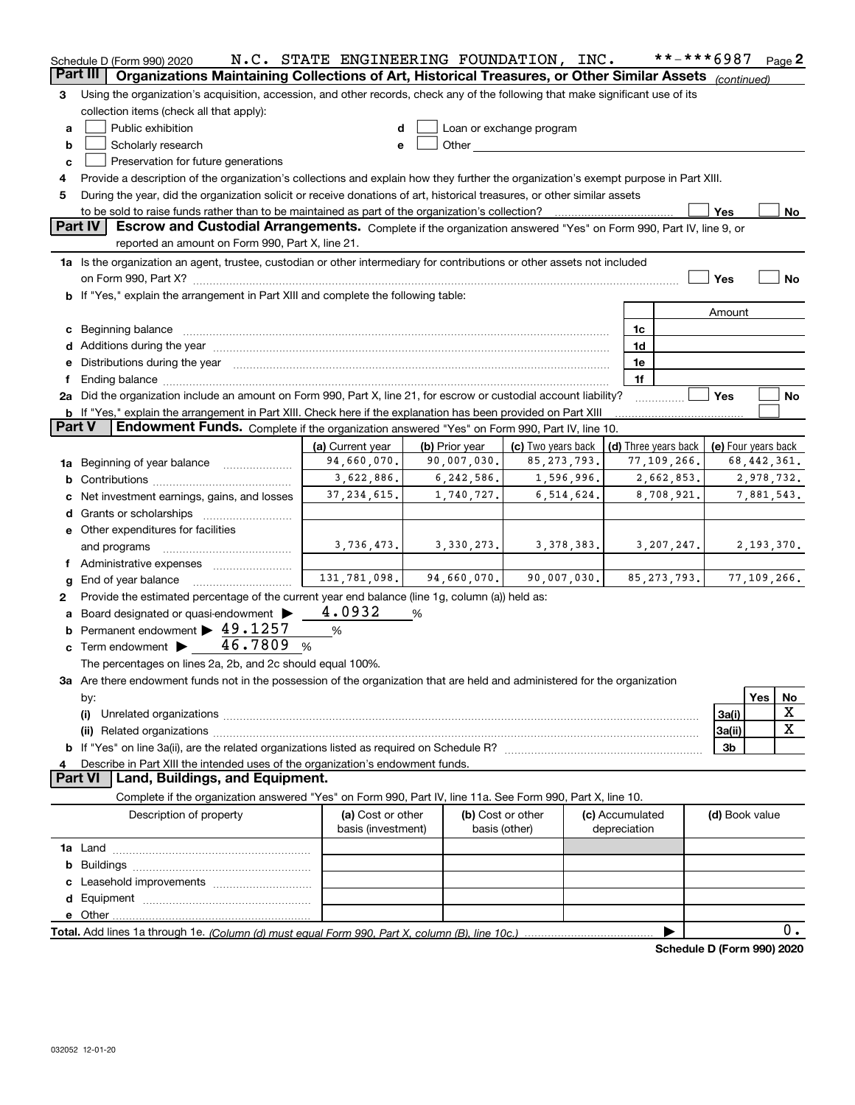|               | Schedule D (Form 990) 2020                                                                                                                                                                                                                                | N.C. STATE ENGINEERING FOUNDATION, INC. |                |                                    |                                 | **-***6987                                 |                |     | Page 2        |
|---------------|-----------------------------------------------------------------------------------------------------------------------------------------------------------------------------------------------------------------------------------------------------------|-----------------------------------------|----------------|------------------------------------|---------------------------------|--------------------------------------------|----------------|-----|---------------|
| Part III      | Organizations Maintaining Collections of Art, Historical Treasures, or Other Similar Assets (continued)                                                                                                                                                   |                                         |                |                                    |                                 |                                            |                |     |               |
| 3             | Using the organization's acquisition, accession, and other records, check any of the following that make significant use of its                                                                                                                           |                                         |                |                                    |                                 |                                            |                |     |               |
|               | collection items (check all that apply):                                                                                                                                                                                                                  |                                         |                |                                    |                                 |                                            |                |     |               |
| a             | Public exhibition<br>Loan or exchange program<br>d                                                                                                                                                                                                        |                                         |                |                                    |                                 |                                            |                |     |               |
| b             | Other and the control of the control of the control of the control of the control of the control of the control of the control of the control of the control of the control of the control of the control of the control of th<br>Scholarly research<br>e |                                         |                |                                    |                                 |                                            |                |     |               |
| c             | Preservation for future generations                                                                                                                                                                                                                       |                                         |                |                                    |                                 |                                            |                |     |               |
| 4             | Provide a description of the organization's collections and explain how they further the organization's exempt purpose in Part XIII.                                                                                                                      |                                         |                |                                    |                                 |                                            |                |     |               |
| 5             | During the year, did the organization solicit or receive donations of art, historical treasures, or other similar assets                                                                                                                                  |                                         |                |                                    |                                 |                                            |                |     |               |
|               |                                                                                                                                                                                                                                                           |                                         |                |                                    |                                 |                                            | Yes            |     | No            |
|               | Part IV<br>Escrow and Custodial Arrangements. Complete if the organization answered "Yes" on Form 990, Part IV, line 9, or<br>reported an amount on Form 990, Part X, line 21.                                                                            |                                         |                |                                    |                                 |                                            |                |     |               |
|               | 1a Is the organization an agent, trustee, custodian or other intermediary for contributions or other assets not included                                                                                                                                  |                                         |                |                                    |                                 |                                            |                |     |               |
|               | on Form 990, Part X? [11] matter and matter and matter and matter and matter and matter and matter and matter                                                                                                                                             |                                         |                |                                    |                                 |                                            | Yes            |     | No            |
|               | b If "Yes," explain the arrangement in Part XIII and complete the following table:                                                                                                                                                                        |                                         |                |                                    |                                 |                                            |                |     |               |
|               |                                                                                                                                                                                                                                                           |                                         |                |                                    |                                 |                                            | Amount         |     |               |
|               | c Beginning balance measurements and the contract of the contract of the contract of the contract of the contract of the contract of the contract of the contract of the contract of the contract of the contract of the contr                            |                                         |                |                                    |                                 | 1c                                         |                |     |               |
|               |                                                                                                                                                                                                                                                           |                                         |                |                                    |                                 | 1d                                         |                |     |               |
|               | e Distributions during the year manufactured and an account of the year manufactured and account of the year manufactured and account of the state of the state of the state of the state of the state of the state of the sta                            |                                         |                |                                    |                                 | 1e                                         |                |     |               |
| f             |                                                                                                                                                                                                                                                           |                                         |                |                                    |                                 | 1f                                         | Yes            |     |               |
|               | 2a Did the organization include an amount on Form 990, Part X, line 21, for escrow or custodial account liability?                                                                                                                                        |                                         |                |                                    |                                 |                                            |                |     | No            |
| <b>Part V</b> | <b>b</b> If "Yes," explain the arrangement in Part XIII. Check here if the explanation has been provided on Part XIII<br>Endowment Funds. Complete if the organization answered "Yes" on Form 990, Part IV, line 10.                                      |                                         |                |                                    |                                 |                                            |                |     |               |
|               |                                                                                                                                                                                                                                                           | (a) Current year                        | (b) Prior year | (c) Two years back                 |                                 | (d) Three years back   (e) Four years back |                |     |               |
|               |                                                                                                                                                                                                                                                           | 94,660,070.                             | 90,007,030.    | 85, 273, 793.                      |                                 | 77,109,266.                                |                |     | 68,442,361.   |
|               | <b>1a</b> Beginning of year balance <i>manumum</i><br>3,622,886.<br>6,242,586.<br>1,596,996.<br>2,662,853.<br>2,978,732.                                                                                                                                  |                                         |                |                                    |                                 |                                            |                |     |               |
|               | 37, 234, 615.<br>1,740,727.<br>6, 514, 624.<br>8,708,921.<br>c Net investment earnings, gains, and losses                                                                                                                                                 |                                         |                |                                    |                                 |                                            |                |     | 7,881,543.    |
|               |                                                                                                                                                                                                                                                           |                                         |                |                                    |                                 |                                            |                |     |               |
|               | e Other expenditures for facilities                                                                                                                                                                                                                       |                                         |                |                                    |                                 |                                            |                |     |               |
|               | and programs                                                                                                                                                                                                                                              | 3,736,473.                              | 3,330,273.     | 3,378,383.                         |                                 | 3,207,247.                                 |                |     | 2,193,370.    |
|               |                                                                                                                                                                                                                                                           |                                         |                |                                    |                                 |                                            |                |     |               |
| g             | End of year balance                                                                                                                                                                                                                                       | 131,781,098.                            | 94,660,070.    | 90,007,030.                        |                                 | 85, 273, 793.                              |                |     | 77, 109, 266. |
| 2             | Provide the estimated percentage of the current year end balance (line 1g, column (a)) held as:                                                                                                                                                           |                                         |                |                                    |                                 |                                            |                |     |               |
|               | a Board designated or quasi-endowment >                                                                                                                                                                                                                   | 4.0932                                  | %              |                                    |                                 |                                            |                |     |               |
|               | <b>b</b> Permanent endowment $\blacktriangleright$ 49.1257                                                                                                                                                                                                | %                                       |                |                                    |                                 |                                            |                |     |               |
|               | c Term endowment $\triangleright$ 46.7809 %                                                                                                                                                                                                               |                                         |                |                                    |                                 |                                            |                |     |               |
|               | The percentages on lines 2a, 2b, and 2c should equal 100%.                                                                                                                                                                                                |                                         |                |                                    |                                 |                                            |                |     |               |
|               | 3a Are there endowment funds not in the possession of the organization that are held and administered for the organization                                                                                                                                |                                         |                |                                    |                                 |                                            |                |     |               |
|               | by:                                                                                                                                                                                                                                                       |                                         |                |                                    |                                 |                                            |                | Yes | No            |
|               | (i)                                                                                                                                                                                                                                                       |                                         |                |                                    |                                 |                                            | 3a(i)          |     | X             |
|               |                                                                                                                                                                                                                                                           |                                         |                |                                    |                                 |                                            | 3a(ii)         |     | X             |
|               |                                                                                                                                                                                                                                                           |                                         |                |                                    |                                 |                                            | 3b             |     |               |
| 4             | Describe in Part XIII the intended uses of the organization's endowment funds.                                                                                                                                                                            |                                         |                |                                    |                                 |                                            |                |     |               |
|               | Land, Buildings, and Equipment.<br><b>Part VI</b>                                                                                                                                                                                                         |                                         |                |                                    |                                 |                                            |                |     |               |
|               | Complete if the organization answered "Yes" on Form 990, Part IV, line 11a. See Form 990, Part X, line 10.                                                                                                                                                |                                         |                |                                    |                                 |                                            |                |     |               |
|               | Description of property                                                                                                                                                                                                                                   | (a) Cost or other<br>basis (investment) |                | (b) Cost or other<br>basis (other) | (c) Accumulated<br>depreciation |                                            | (d) Book value |     |               |
|               |                                                                                                                                                                                                                                                           |                                         |                |                                    |                                 |                                            |                |     |               |
|               |                                                                                                                                                                                                                                                           |                                         |                |                                    |                                 |                                            |                |     |               |
|               |                                                                                                                                                                                                                                                           |                                         |                |                                    |                                 |                                            |                |     |               |
|               |                                                                                                                                                                                                                                                           |                                         |                |                                    |                                 |                                            |                |     |               |
|               |                                                                                                                                                                                                                                                           |                                         |                |                                    |                                 |                                            |                |     |               |
|               |                                                                                                                                                                                                                                                           |                                         |                |                                    |                                 |                                            |                |     | 0.            |
|               |                                                                                                                                                                                                                                                           |                                         |                |                                    |                                 | Schodule D (Form 000) 2020                 |                |     |               |

**Schedule D (Form 990) 2020**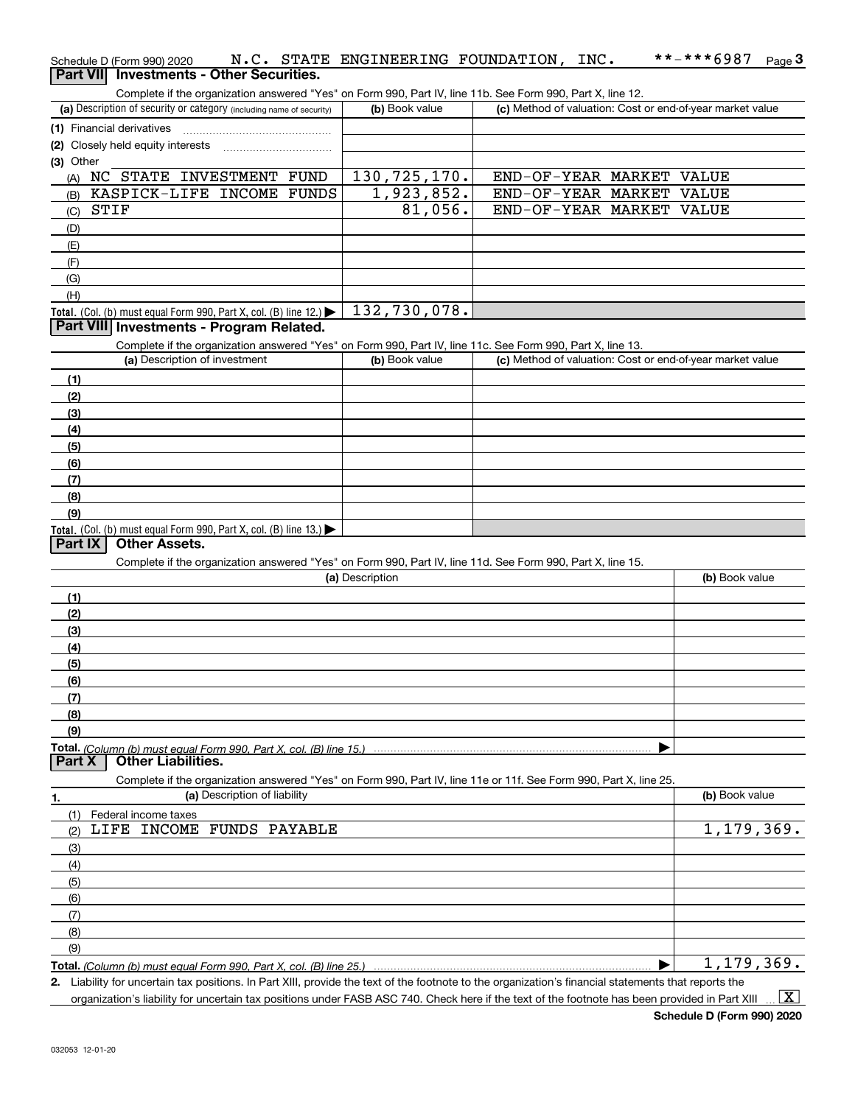| Schedule D (Form 990) 2020                                                                                                                  |                 | N.C. STATE ENGINEERING FOUNDATION, INC.                   | **-***6987<br>Page $3$ |
|---------------------------------------------------------------------------------------------------------------------------------------------|-----------------|-----------------------------------------------------------|------------------------|
| Part VII Investments - Other Securities.                                                                                                    |                 |                                                           |                        |
| Complete if the organization answered "Yes" on Form 990, Part IV, line 11b. See Form 990, Part X, line 12.                                  |                 |                                                           |                        |
| (a) Description of security or category (including name of security)                                                                        | (b) Book value  | (c) Method of valuation: Cost or end-of-year market value |                        |
| (1) Financial derivatives                                                                                                                   |                 |                                                           |                        |
| Closely held equity interests                                                                                                               |                 |                                                           |                        |
| (3) Other                                                                                                                                   |                 |                                                           |                        |
| (A) NC STATE INVESTMENT FUND                                                                                                                | 130, 725, 170.  | END-OF-YEAR MARKET VALUE                                  |                        |
| KASPICK-LIFE INCOME FUNDS<br>(B)                                                                                                            | 1,923,852.      | END-OF-YEAR MARKET                                        | VALUE                  |
| STIF<br>(C)                                                                                                                                 | 81,056.         | END-OF-YEAR MARKET                                        | VALUE                  |
| (D)                                                                                                                                         |                 |                                                           |                        |
| (E)                                                                                                                                         |                 |                                                           |                        |
| (F)                                                                                                                                         |                 |                                                           |                        |
| (G)                                                                                                                                         |                 |                                                           |                        |
| (H)                                                                                                                                         | 132,730,078.    |                                                           |                        |
| Total. (Col. (b) must equal Form 990, Part X, col. (B) line 12.) $\blacktriangleright$<br>Part VIII Investments - Program Related.          |                 |                                                           |                        |
|                                                                                                                                             |                 |                                                           |                        |
| Complete if the organization answered "Yes" on Form 990, Part IV, line 11c. See Form 990, Part X, line 13.<br>(a) Description of investment | (b) Book value  | (c) Method of valuation: Cost or end-of-year market value |                        |
|                                                                                                                                             |                 |                                                           |                        |
| (1)                                                                                                                                         |                 |                                                           |                        |
| (2)                                                                                                                                         |                 |                                                           |                        |
| (3)                                                                                                                                         |                 |                                                           |                        |
| (4)                                                                                                                                         |                 |                                                           |                        |
| (5)                                                                                                                                         |                 |                                                           |                        |
| (6)                                                                                                                                         |                 |                                                           |                        |
| (7)                                                                                                                                         |                 |                                                           |                        |
| (8)<br>(9)                                                                                                                                  |                 |                                                           |                        |
| <b>Total.</b> (Col. (b) must equal Form 990, Part X, col. (B) line 13.)                                                                     |                 |                                                           |                        |
| Part IX<br><b>Other Assets.</b>                                                                                                             |                 |                                                           |                        |
| Complete if the organization answered "Yes" on Form 990, Part IV, line 11d. See Form 990, Part X, line 15.                                  |                 |                                                           |                        |
|                                                                                                                                             | (a) Description |                                                           | (b) Book value         |
| (1)                                                                                                                                         |                 |                                                           |                        |
| (2)                                                                                                                                         |                 |                                                           |                        |
| (3)                                                                                                                                         |                 |                                                           |                        |
| (4)                                                                                                                                         |                 |                                                           |                        |
| (5)                                                                                                                                         |                 |                                                           |                        |
| (6)                                                                                                                                         |                 |                                                           |                        |
| (7)                                                                                                                                         |                 |                                                           |                        |
| (8)                                                                                                                                         |                 |                                                           |                        |
| (9)                                                                                                                                         |                 |                                                           |                        |
|                                                                                                                                             |                 |                                                           |                        |
| Part X<br><b>Other Liabilities.</b>                                                                                                         |                 |                                                           |                        |
| Complete if the organization answered "Yes" on Form 990, Part IV, line 11e or 11f. See Form 990, Part X, line 25.                           |                 |                                                           |                        |
| (a) Description of liability<br>1.                                                                                                          |                 |                                                           | (b) Book value         |
| Federal income taxes<br>(1)                                                                                                                 |                 |                                                           |                        |
| LIFE INCOME FUNDS PAYABLE<br>(2)                                                                                                            |                 |                                                           | 1, 179, 369.           |
| (3)                                                                                                                                         |                 |                                                           |                        |
| (4)                                                                                                                                         |                 |                                                           |                        |
| (5)                                                                                                                                         |                 |                                                           |                        |
| (6)                                                                                                                                         |                 |                                                           |                        |

**Total.**  *(Column (b) must equal Form 990, Part X, col. (B) line 25.)*

 $\blacktriangleright$ 1,179,369.

**2.** Liability for uncertain tax positions. In Part XIII, provide the text of the footnote to the organization's financial statements that reports the organization's liability for uncertain tax positions under FASB ASC 740. Check here if the text of the footnote has been provided in Part XIII  $\vert$  X  $\vert$ 

(7) (8)(9)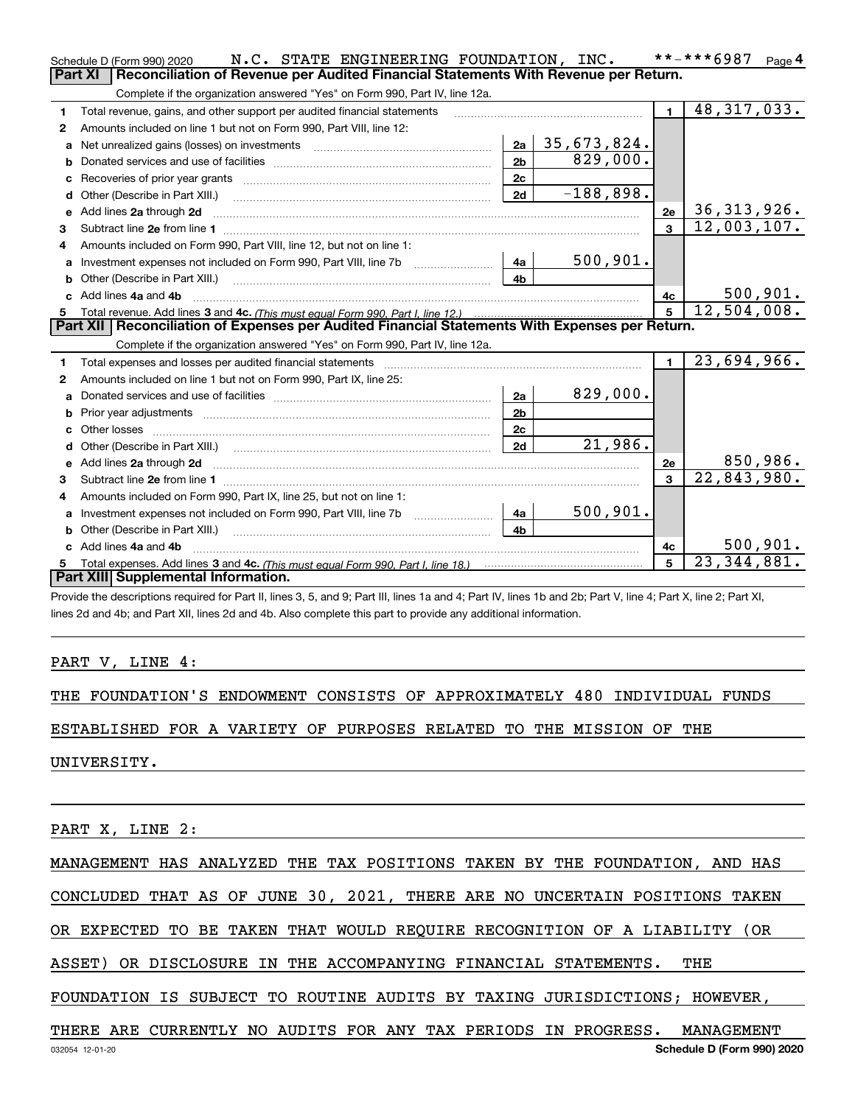|                                                                                                  | N.C. STATE ENGINEERING FOUNDATION, INC.<br>Schedule D (Form 990) 2020                                                                                                                                                               |                |             |             |                | **-***6987<br>Page $4$      |  |  |  |
|--------------------------------------------------------------------------------------------------|-------------------------------------------------------------------------------------------------------------------------------------------------------------------------------------------------------------------------------------|----------------|-------------|-------------|----------------|-----------------------------|--|--|--|
|                                                                                                  | <b>Part XI</b><br>Reconciliation of Revenue per Audited Financial Statements With Revenue per Return.                                                                                                                               |                |             |             |                |                             |  |  |  |
|                                                                                                  | Complete if the organization answered "Yes" on Form 990, Part IV, line 12a.                                                                                                                                                         |                |             |             |                |                             |  |  |  |
| 1                                                                                                | Total revenue, gains, and other support per audited financial statements                                                                                                                                                            |                |             |             | $\blacksquare$ | $\overline{48,}317,033.$    |  |  |  |
| 2                                                                                                | Amounts included on line 1 but not on Form 990, Part VIII, line 12:                                                                                                                                                                 |                |             |             |                |                             |  |  |  |
| a                                                                                                | Net unrealized gains (losses) on investments [11] matter contracts and the unrealized gains (losses) on investments                                                                                                                 | 2a             | 35,673,824. |             |                |                             |  |  |  |
| b                                                                                                |                                                                                                                                                                                                                                     | 2 <sub>b</sub> |             | 829,000.    |                |                             |  |  |  |
|                                                                                                  |                                                                                                                                                                                                                                     | 2c             |             |             |                |                             |  |  |  |
| d                                                                                                |                                                                                                                                                                                                                                     | 2d             |             | $-188,898.$ |                |                             |  |  |  |
| e                                                                                                | Add lines 2a through 2d                                                                                                                                                                                                             |                |             |             | 2e             | 36, 313, 926.               |  |  |  |
| 3                                                                                                |                                                                                                                                                                                                                                     |                |             |             | $\overline{3}$ | $\overline{12}$ , 003, 107. |  |  |  |
| 4                                                                                                | Amounts included on Form 990, Part VIII, line 12, but not on line 1:                                                                                                                                                                |                |             |             |                |                             |  |  |  |
| a                                                                                                |                                                                                                                                                                                                                                     | 4a             |             | 500, 901.   |                |                             |  |  |  |
|                                                                                                  | Other (Describe in Part XIII.) <b>2006</b> 2007 2010 2010 2010 2010 2011 2012 2013 2014 2014 2015 2016 2017 2018 2019 2016 2017 2018 2019 2016 2017 2018 2019 2016 2017 2018 2019 2018 2019 2019 2016 2017 2018 2019 2018 2019 2019 | 4b             |             |             |                |                             |  |  |  |
|                                                                                                  | c Add lines 4a and 4b                                                                                                                                                                                                               |                |             |             | 4c             | 500, 901.                   |  |  |  |
|                                                                                                  |                                                                                                                                                                                                                                     |                |             |             |                | 12,504,008.                 |  |  |  |
| Part XII   Reconciliation of Expenses per Audited Financial Statements With Expenses per Return. |                                                                                                                                                                                                                                     |                |             |             |                |                             |  |  |  |
|                                                                                                  |                                                                                                                                                                                                                                     |                |             |             |                |                             |  |  |  |
|                                                                                                  | Complete if the organization answered "Yes" on Form 990, Part IV, line 12a.                                                                                                                                                         |                |             |             |                |                             |  |  |  |
| 1                                                                                                | Total expenses and losses per audited financial statements                                                                                                                                                                          |                |             |             | $\mathbf{1}$   | 23,694,966.                 |  |  |  |
| 2                                                                                                | Amounts included on line 1 but not on Form 990, Part IX, line 25:                                                                                                                                                                   |                |             |             |                |                             |  |  |  |
| a                                                                                                |                                                                                                                                                                                                                                     | 2a             |             | 829,000.    |                |                             |  |  |  |
|                                                                                                  |                                                                                                                                                                                                                                     | 2 <sub>b</sub> |             |             |                |                             |  |  |  |
|                                                                                                  | Other losses                                                                                                                                                                                                                        | 2c             |             |             |                |                             |  |  |  |
| d                                                                                                |                                                                                                                                                                                                                                     | 2d             |             | 21,986.     |                |                             |  |  |  |
| e                                                                                                |                                                                                                                                                                                                                                     |                |             |             | 2e             | 850,986.                    |  |  |  |
| 3                                                                                                | Add lines 2a through 2d <b>must be a constructed as the constant of the construction</b> and the state of the state of the state of the state of the state of the state of the state of the state of the state of the state of the  |                |             |             | 3              | 22,843,980.                 |  |  |  |
| 4                                                                                                | Subtract line 2e from line 1 <b>manufacture contract and contract line 2e</b> from line 1<br>Amounts included on Form 990, Part IX, line 25, but not on line 1:                                                                     |                |             |             |                |                             |  |  |  |
| a                                                                                                | Investment expenses not included on Form 990, Part VIII, line 7b [1000000000000000000000000000000000                                                                                                                                | 4a             |             | 500, 901.   |                |                             |  |  |  |
|                                                                                                  | Other (Describe in Part XIII.)                                                                                                                                                                                                      | 4 <sub>b</sub> |             |             |                |                             |  |  |  |
|                                                                                                  | Add lines 4a and 4b                                                                                                                                                                                                                 |                |             |             | 4c             | 500, 901.                   |  |  |  |
| 5                                                                                                |                                                                                                                                                                                                                                     |                |             |             | 5              | $\overline{23,344}$ , 881.  |  |  |  |
|                                                                                                  | Part XIII Supplemental Information.                                                                                                                                                                                                 |                |             |             |                |                             |  |  |  |

Provide the descriptions required for Part II, lines 3, 5, and 9; Part III, lines 1a and 4; Part IV, lines 1b and 2b; Part V, line 4; Part X, line 2; Part XI, lines 2d and 4b; and Part XII, lines 2d and 4b. Also complete this part to provide any additional information.

### PART V, LINE 4:

THE FOUNDATION'S ENDOWMENT CONSISTS OF APPROXIMATELY 480 INDIVIDUAL FUNDS

ESTABLISHED FOR A VARIETY OF PURPOSES RELATED TO THE MISSION OF THE

UNIVERSITY.

PART X, LINE 2:

MANAGEMENT HAS ANALYZED THE TAX POSITIONS TAKEN BY THE FOUNDATION, AND HAS

CONCLUDED THAT AS OF JUNE 30, 2021, THERE ARE NO UNCERTAIN POSITIONS TAKEN

OR EXPECTED TO BE TAKEN THAT WOULD REQUIRE RECOGNITION OF A LIABILITY (OR

ASSET) OR DISCLOSURE IN THE ACCOMPANYING FINANCIAL STATEMENTS. THE

FOUNDATION IS SUBJECT TO ROUTINE AUDITS BY TAXING JURISDICTIONS; HOWEVER,

THERE ARE CURRENTLY NO AUDITS FOR ANY TAX PERIODS IN PROGRESS. MANAGEMENT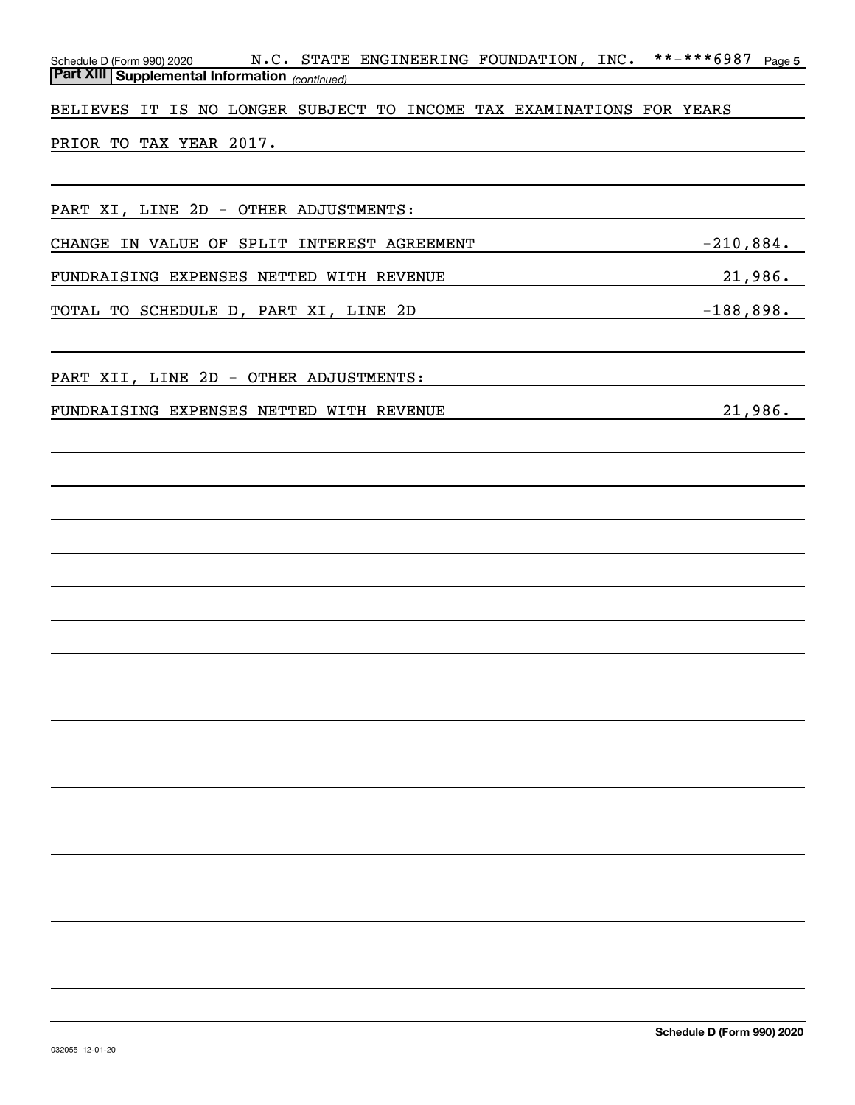| N.C. STATE ENGINEERING FOUNDATION, INC.<br>Schedule D (Form 990) 2020 N.C. STATE<br>Part XIII Supplemental Information (continued) | **-***6987<br>Page 5 |
|------------------------------------------------------------------------------------------------------------------------------------|----------------------|
| BELIEVES IT IS NO LONGER SUBJECT TO INCOME TAX EXAMINATIONS FOR YEARS                                                              |                      |
| PRIOR TO TAX YEAR 2017.                                                                                                            |                      |
|                                                                                                                                    |                      |
| PART XI, LINE 2D - OTHER ADJUSTMENTS:                                                                                              |                      |
| CHANGE IN VALUE OF SPLIT INTEREST AGREEMENT                                                                                        | $-210,884.$          |
| FUNDRAISING EXPENSES NETTED WITH REVENUE                                                                                           | 21,986.              |
| TOTAL TO SCHEDULE D, PART XI, LINE 2D                                                                                              | $-188,898.$          |
|                                                                                                                                    |                      |
| PART XII, LINE 2D - OTHER ADJUSTMENTS:                                                                                             |                      |
| FUNDRAISING EXPENSES NETTED WITH REVENUE                                                                                           | 21,986.              |
|                                                                                                                                    |                      |
|                                                                                                                                    |                      |
|                                                                                                                                    |                      |
|                                                                                                                                    |                      |
|                                                                                                                                    |                      |
|                                                                                                                                    |                      |
|                                                                                                                                    |                      |
|                                                                                                                                    |                      |
|                                                                                                                                    |                      |
|                                                                                                                                    |                      |
|                                                                                                                                    |                      |
|                                                                                                                                    |                      |
|                                                                                                                                    |                      |
|                                                                                                                                    |                      |
|                                                                                                                                    |                      |
|                                                                                                                                    |                      |
|                                                                                                                                    |                      |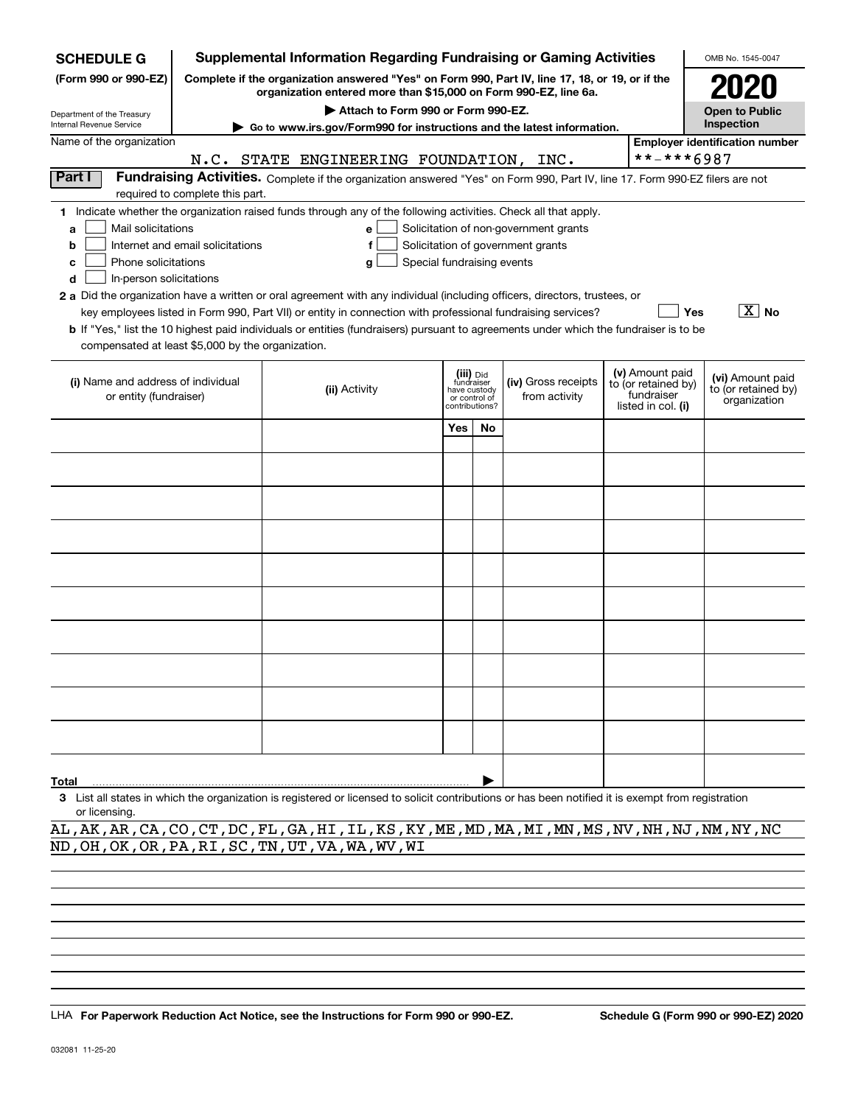| <b>SCHEDULE G</b>                                                                                                                                                          |                                                                                                                                                                     | Supplemental Information Regarding Fundraising or Gaming Activities                                                                                 |     |                                                                            |                                       |  |                                                                            | OMB No. 1545-0047                                       |  |
|----------------------------------------------------------------------------------------------------------------------------------------------------------------------------|---------------------------------------------------------------------------------------------------------------------------------------------------------------------|-----------------------------------------------------------------------------------------------------------------------------------------------------|-----|----------------------------------------------------------------------------|---------------------------------------|--|----------------------------------------------------------------------------|---------------------------------------------------------|--|
| (Form 990 or 990-EZ)                                                                                                                                                       | Complete if the organization answered "Yes" on Form 990, Part IV, line 17, 18, or 19, or if the<br>organization entered more than \$15,000 on Form 990-EZ, line 6a. |                                                                                                                                                     |     |                                                                            |                                       |  |                                                                            |                                                         |  |
| Department of the Treasury                                                                                                                                                 |                                                                                                                                                                     | Attach to Form 990 or Form 990-EZ.                                                                                                                  |     |                                                                            |                                       |  |                                                                            | <b>Open to Public</b>                                   |  |
| Internal Revenue Service                                                                                                                                                   |                                                                                                                                                                     | Go to www.irs.gov/Form990 for instructions and the latest information.                                                                              |     |                                                                            |                                       |  |                                                                            | Inspection                                              |  |
| Name of the organization                                                                                                                                                   |                                                                                                                                                                     |                                                                                                                                                     |     |                                                                            |                                       |  |                                                                            | <b>Employer identification number</b>                   |  |
|                                                                                                                                                                            |                                                                                                                                                                     | N.C. STATE ENGINEERING FOUNDATION, INC.                                                                                                             |     |                                                                            |                                       |  | **-***6987                                                                 |                                                         |  |
| Part I<br>Fundraising Activities. Complete if the organization answered "Yes" on Form 990, Part IV, line 17. Form 990-EZ filers are not<br>required to complete this part. |                                                                                                                                                                     |                                                                                                                                                     |     |                                                                            |                                       |  |                                                                            |                                                         |  |
|                                                                                                                                                                            |                                                                                                                                                                     | 1 Indicate whether the organization raised funds through any of the following activities. Check all that apply.                                     |     |                                                                            |                                       |  |                                                                            |                                                         |  |
| Mail solicitations<br>a                                                                                                                                                    |                                                                                                                                                                     | e                                                                                                                                                   |     |                                                                            | Solicitation of non-government grants |  |                                                                            |                                                         |  |
| b                                                                                                                                                                          | Internet and email solicitations                                                                                                                                    | f                                                                                                                                                   |     |                                                                            | Solicitation of government grants     |  |                                                                            |                                                         |  |
| Phone solicitations<br>c                                                                                                                                                   |                                                                                                                                                                     | Special fundraising events<br>g                                                                                                                     |     |                                                                            |                                       |  |                                                                            |                                                         |  |
| In-person solicitations<br>d                                                                                                                                               |                                                                                                                                                                     |                                                                                                                                                     |     |                                                                            |                                       |  |                                                                            |                                                         |  |
|                                                                                                                                                                            |                                                                                                                                                                     | 2 a Did the organization have a written or oral agreement with any individual (including officers, directors, trustees, or                          |     |                                                                            |                                       |  |                                                                            |                                                         |  |
|                                                                                                                                                                            |                                                                                                                                                                     | key employees listed in Form 990, Part VII) or entity in connection with professional fundraising services?                                         |     |                                                                            |                                       |  |                                                                            | $\boxed{\text{X}}$ No<br>Yes                            |  |
|                                                                                                                                                                            |                                                                                                                                                                     | <b>b</b> If "Yes," list the 10 highest paid individuals or entities (fundraisers) pursuant to agreements under which the fundraiser is to be        |     |                                                                            |                                       |  |                                                                            |                                                         |  |
| compensated at least \$5,000 by the organization.                                                                                                                          |                                                                                                                                                                     |                                                                                                                                                     |     |                                                                            |                                       |  |                                                                            |                                                         |  |
| (i) Name and address of individual<br>or entity (fundraiser)                                                                                                               |                                                                                                                                                                     | (ii) Activity                                                                                                                                       |     | (iii) Did<br>fundraiser<br>have custody<br>or control of<br>contributions? | (iv) Gross receipts<br>from activity  |  | (v) Amount paid<br>to (or retained by)<br>fundraiser<br>listed in col. (i) | (vi) Amount paid<br>to (or retained by)<br>organization |  |
|                                                                                                                                                                            |                                                                                                                                                                     |                                                                                                                                                     | Yes |                                                                            |                                       |  |                                                                            |                                                         |  |
|                                                                                                                                                                            |                                                                                                                                                                     |                                                                                                                                                     |     | No                                                                         |                                       |  |                                                                            |                                                         |  |
|                                                                                                                                                                            |                                                                                                                                                                     |                                                                                                                                                     |     |                                                                            |                                       |  |                                                                            |                                                         |  |
|                                                                                                                                                                            |                                                                                                                                                                     |                                                                                                                                                     |     |                                                                            |                                       |  |                                                                            |                                                         |  |
|                                                                                                                                                                            |                                                                                                                                                                     |                                                                                                                                                     |     |                                                                            |                                       |  |                                                                            |                                                         |  |
|                                                                                                                                                                            |                                                                                                                                                                     |                                                                                                                                                     |     |                                                                            |                                       |  |                                                                            |                                                         |  |
|                                                                                                                                                                            |                                                                                                                                                                     |                                                                                                                                                     |     |                                                                            |                                       |  |                                                                            |                                                         |  |
|                                                                                                                                                                            |                                                                                                                                                                     |                                                                                                                                                     |     |                                                                            |                                       |  |                                                                            |                                                         |  |
|                                                                                                                                                                            |                                                                                                                                                                     |                                                                                                                                                     |     |                                                                            |                                       |  |                                                                            |                                                         |  |
|                                                                                                                                                                            |                                                                                                                                                                     |                                                                                                                                                     |     |                                                                            |                                       |  |                                                                            |                                                         |  |
|                                                                                                                                                                            |                                                                                                                                                                     |                                                                                                                                                     |     |                                                                            |                                       |  |                                                                            |                                                         |  |
|                                                                                                                                                                            |                                                                                                                                                                     |                                                                                                                                                     |     |                                                                            |                                       |  |                                                                            |                                                         |  |
|                                                                                                                                                                            |                                                                                                                                                                     |                                                                                                                                                     |     |                                                                            |                                       |  |                                                                            |                                                         |  |
|                                                                                                                                                                            |                                                                                                                                                                     |                                                                                                                                                     |     |                                                                            |                                       |  |                                                                            |                                                         |  |
| Total                                                                                                                                                                      |                                                                                                                                                                     | 3. List all states in which the organization is registered or licensed to solicit contributions or has been notified it is exempt from registration |     |                                                                            |                                       |  |                                                                            |                                                         |  |

**3**List all states in which the organization is registered or licensed to solicit contributions or has been notified it is exempt from registration or licensing.

AL,AK,AR,CA,CO,CT,DC,FL,GA,HI,IL,KS,KY,ME,MD,MA,MI,MN,MS,NV,NH,NJ,NM,NY,NC ND,OH,OK,OR,PA,RI,SC,TN,UT,VA,WA,WV,WI

LHA For Paperwork Reduction Act Notice, see the Instructions for Form 990 or 990-EZ. Schedule G (Form 990 or 990-EZ) 2020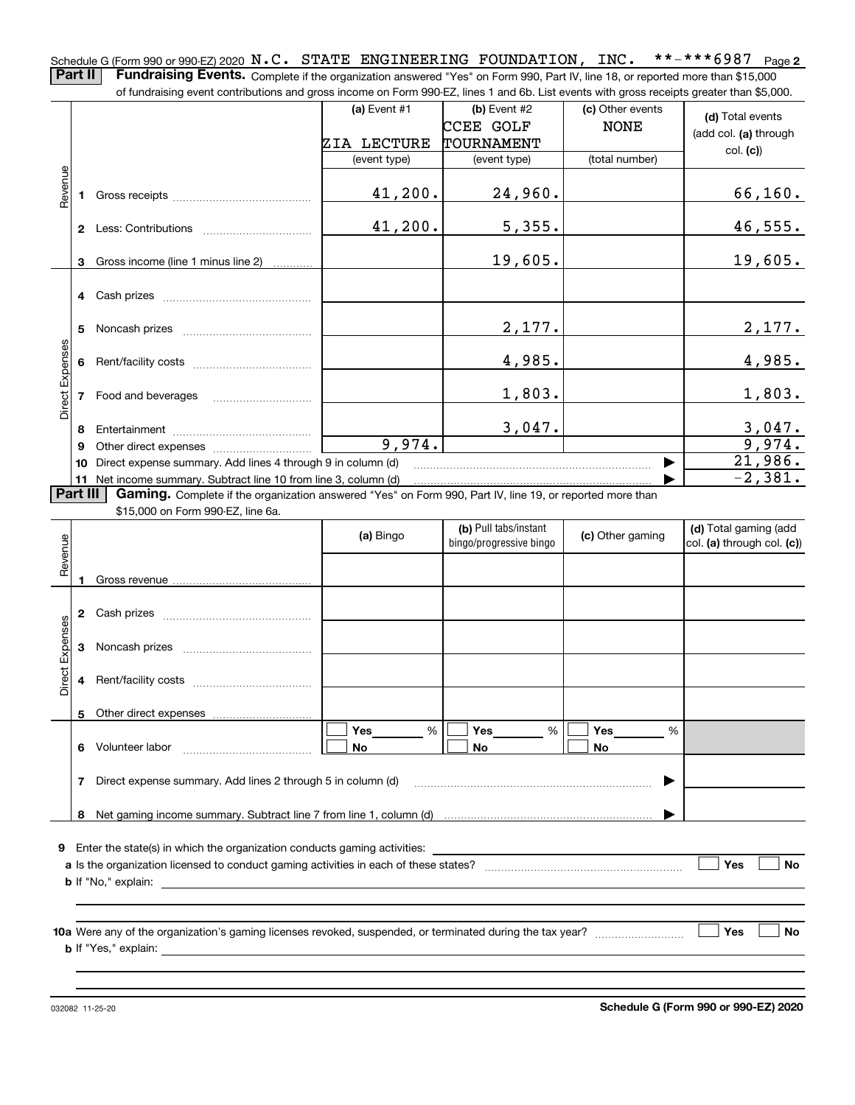**2** Schedule G (Form 990 or 990-EZ) 2020  $\, {\bf N}$  ,  $\, {\bf C}$  ,  $\,$  STATE  $\,$  ENGINEERING  $\,$  FOUNDATION ,  $\,$  INC  $_{\bullet}$   $\,$   $\,$  \* \* – \* \* \* 6987  $\,$  Page **Part II** | Fundraising Events. Complete if the organization answered "Yes" on Form 990, Part IV, line 18, or reported more than \$15,000

|                 | of fundraising event contributions and gross income on Form 990-EZ, lines 1 and 6b. List events with gross receipts greater than \$5,000. |                                                                                                                                                                                                                                |                |                |                  |                         |  |  |  |
|-----------------|-------------------------------------------------------------------------------------------------------------------------------------------|--------------------------------------------------------------------------------------------------------------------------------------------------------------------------------------------------------------------------------|----------------|----------------|------------------|-------------------------|--|--|--|
|                 |                                                                                                                                           |                                                                                                                                                                                                                                | $(a)$ Event #1 | $(b)$ Event #2 | (c) Other events | (d) Total events        |  |  |  |
|                 |                                                                                                                                           |                                                                                                                                                                                                                                |                | CCEE GOLF      | <b>NONE</b>      | (add col. (a) through   |  |  |  |
|                 |                                                                                                                                           |                                                                                                                                                                                                                                | ZIA LECTURE    | TOURNAMENT     |                  | col. (c)                |  |  |  |
|                 |                                                                                                                                           |                                                                                                                                                                                                                                | (event type)   | (event type)   | (total number)   |                         |  |  |  |
|                 |                                                                                                                                           |                                                                                                                                                                                                                                |                |                |                  |                         |  |  |  |
| Revenue         |                                                                                                                                           |                                                                                                                                                                                                                                | 41,200.        | 24,960.        |                  | 66, 160.                |  |  |  |
|                 |                                                                                                                                           |                                                                                                                                                                                                                                |                |                |                  |                         |  |  |  |
|                 | $\mathbf{2}$                                                                                                                              |                                                                                                                                                                                                                                | 41,200.        | 5,355.         |                  | 46,555.                 |  |  |  |
|                 |                                                                                                                                           |                                                                                                                                                                                                                                |                |                |                  |                         |  |  |  |
|                 | 3                                                                                                                                         | Gross income (line 1 minus line 2)                                                                                                                                                                                             |                | 19,605.        |                  | 19,605.                 |  |  |  |
|                 |                                                                                                                                           |                                                                                                                                                                                                                                |                |                |                  |                         |  |  |  |
|                 | 4                                                                                                                                         |                                                                                                                                                                                                                                |                |                |                  |                         |  |  |  |
|                 |                                                                                                                                           |                                                                                                                                                                                                                                |                |                |                  |                         |  |  |  |
|                 | 5                                                                                                                                         |                                                                                                                                                                                                                                |                | 2,177.         |                  | 2,177.                  |  |  |  |
| Direct Expenses |                                                                                                                                           |                                                                                                                                                                                                                                |                | 4,985.         |                  |                         |  |  |  |
|                 | 6                                                                                                                                         |                                                                                                                                                                                                                                |                |                |                  | 4,985.                  |  |  |  |
|                 | $\overline{7}$                                                                                                                            | Food and beverages                                                                                                                                                                                                             |                | 1,803.         |                  | 1,803.                  |  |  |  |
|                 |                                                                                                                                           |                                                                                                                                                                                                                                |                |                |                  |                         |  |  |  |
|                 | 8                                                                                                                                         |                                                                                                                                                                                                                                |                | 3,047.         |                  |                         |  |  |  |
|                 | 9                                                                                                                                         | Other direct expenses of the state of the state of the state of the state of the state of the state of the state of the state of the state of the state of the state of the state of the state of the state of the state of th | 9,974.         |                |                  | $\frac{3,047.}{9,974.}$ |  |  |  |
|                 | 10                                                                                                                                        | Direct expense summary. Add lines 4 through 9 in column (d)                                                                                                                                                                    |                |                |                  | 21,986.                 |  |  |  |
|                 |                                                                                                                                           | 11 Net income summary. Subtract line 10 from line 3, column (d)                                                                                                                                                                |                |                |                  | $-2,381.$               |  |  |  |
| <b>Part III</b> |                                                                                                                                           | Gaming. Complete if the organization answered "Yes" on Form 990, Part IV, line 19, or reported more than                                                                                                                       |                |                |                  |                         |  |  |  |
|                 |                                                                                                                                           | \$15,000 on Form 990-EZ, line 6a.                                                                                                                                                                                              |                |                |                  |                         |  |  |  |
|                 |                                                                                                                                           |                                                                                                                                                                                                                                |                |                |                  |                         |  |  |  |

| Revenue         |   |                                                                                             | (a) Bingo                 | (b) Pull tabs/instant<br>bingo/progressive bingo | (c) Other gaming                      | (d) Total gaming (add<br>$ $ col. (a) through col. (c)) |
|-----------------|---|---------------------------------------------------------------------------------------------|---------------------------|--------------------------------------------------|---------------------------------------|---------------------------------------------------------|
|                 |   |                                                                                             |                           |                                                  |                                       |                                                         |
|                 | 2 |                                                                                             |                           |                                                  |                                       |                                                         |
|                 | з |                                                                                             |                           |                                                  |                                       |                                                         |
| Direct Expenses | 4 |                                                                                             |                           |                                                  |                                       |                                                         |
|                 | 5 |                                                                                             |                           |                                                  |                                       |                                                         |
|                 | 6 |                                                                                             | <b>Yes</b> %<br><b>No</b> | Yes<br>%<br>No                                   | Yes $\qquad \qquad \qquad$<br>%<br>No |                                                         |
|                 |   |                                                                                             |                           |                                                  | ▶                                     |                                                         |
|                 | 8 |                                                                                             |                           |                                                  |                                       |                                                         |
| 9               |   | <b>a</b> Is the organization licensed to conduct gaming activities in each of these states? |                           |                                                  |                                       | Yes<br><b>No</b>                                        |
|                 |   |                                                                                             |                           |                                                  |                                       |                                                         |
|                 |   |                                                                                             |                           |                                                  |                                       | Yes<br><b>No</b>                                        |
|                 |   |                                                                                             |                           |                                                  |                                       |                                                         |

032082 11-25-20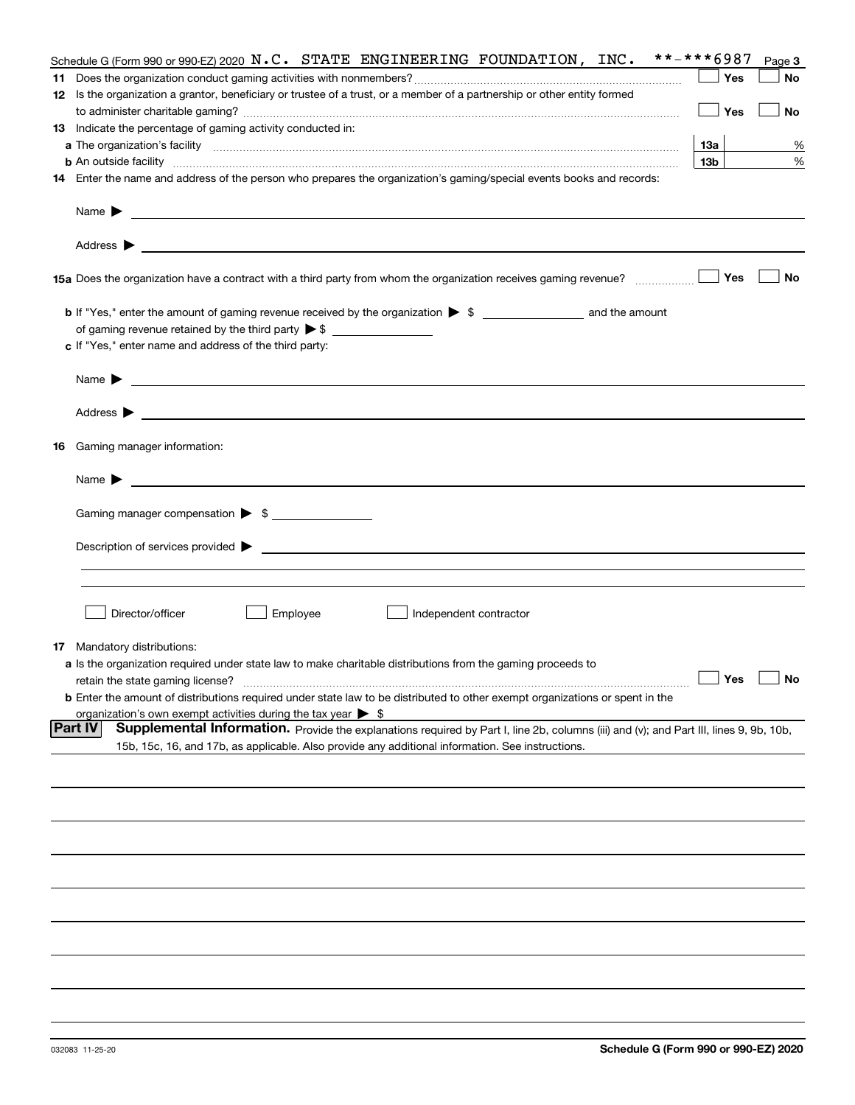|    | Schedule G (Form 990 or 990-EZ) 2020 $N.C.$ STATE ENGINEERING FOUNDATION, INC.                                                                                                                                                                                        | **-***6987      | Page 3 |
|----|-----------------------------------------------------------------------------------------------------------------------------------------------------------------------------------------------------------------------------------------------------------------------|-----------------|--------|
|    |                                                                                                                                                                                                                                                                       | Yes             | No     |
|    | 12 Is the organization a grantor, beneficiary or trustee of a trust, or a member of a partnership or other entity formed                                                                                                                                              |                 |        |
|    |                                                                                                                                                                                                                                                                       | Yes             | No     |
|    | 13 Indicate the percentage of gaming activity conducted in:                                                                                                                                                                                                           |                 |        |
|    |                                                                                                                                                                                                                                                                       | 13а             | %      |
|    | <b>b</b> An outside facility <i>www.communicality communicality communicality communicality communicality communicality communicality communicality communicality communicality communicality communicality communicality communicali</i>                             | 13 <sub>b</sub> | %      |
|    | 14 Enter the name and address of the person who prepares the organization's gaming/special events books and records:                                                                                                                                                  |                 |        |
|    |                                                                                                                                                                                                                                                                       |                 |        |
|    | Name $\blacktriangleright$                                                                                                                                                                                                                                            |                 |        |
|    | <u> 1989 - Johann Harry Harry Harry Harry Harry Harry Harry Harry Harry Harry Harry Harry Harry Harry Harry Harry</u><br>Address $\blacktriangleright$                                                                                                                |                 |        |
|    | 15a Does the organization have a contract with a third party from whom the organization receives gaming revenue?                                                                                                                                                      | Yes             | No     |
|    | <b>b</b> If "Yes," enter the amount of gaming revenue received by the organization $\triangleright$ \$ ___________________ and the amount                                                                                                                             |                 |        |
|    |                                                                                                                                                                                                                                                                       |                 |        |
|    | c If "Yes," enter name and address of the third party:                                                                                                                                                                                                                |                 |        |
|    |                                                                                                                                                                                                                                                                       |                 |        |
|    | Name $\blacktriangleright$                                                                                                                                                                                                                                            |                 |        |
|    | Address $\blacktriangleright$<br><u>state and the state of the state of the state of the state of the state of the state of the state of the state of the state of the state of the state of the state of the state of the state of the state of the state of the</u> |                 |        |
| 16 | Gaming manager information:                                                                                                                                                                                                                                           |                 |        |
|    | Name $\blacktriangleright$                                                                                                                                                                                                                                            |                 |        |
|    |                                                                                                                                                                                                                                                                       |                 |        |
|    | Gaming manager compensation > \$                                                                                                                                                                                                                                      |                 |        |
|    |                                                                                                                                                                                                                                                                       |                 |        |
|    | Description of services provided $\blacktriangleright$ $\bot$                                                                                                                                                                                                         |                 |        |
|    |                                                                                                                                                                                                                                                                       |                 |        |
|    |                                                                                                                                                                                                                                                                       |                 |        |
|    | Director/officer<br>Employee<br>Independent contractor                                                                                                                                                                                                                |                 |        |
|    | <b>17</b> Mandatory distributions:                                                                                                                                                                                                                                    |                 |        |
|    | a Is the organization required under state law to make charitable distributions from the gaming proceeds to                                                                                                                                                           |                 |        |
|    | retain the state gaming license?                                                                                                                                                                                                                                      | Yes             | No     |
|    | <b>b</b> Enter the amount of distributions required under state law to be distributed to other exempt organizations or spent in the                                                                                                                                   |                 |        |
|    | organization's own exempt activities during the tax year $\triangleright$ \$                                                                                                                                                                                          |                 |        |
|    | <b>Part IV</b><br>Supplemental Information. Provide the explanations required by Part I, line 2b, columns (iii) and (v); and Part III, lines 9, 9b, 10b,                                                                                                              |                 |        |
|    | 15b, 15c, 16, and 17b, as applicable. Also provide any additional information. See instructions.                                                                                                                                                                      |                 |        |
|    |                                                                                                                                                                                                                                                                       |                 |        |
|    |                                                                                                                                                                                                                                                                       |                 |        |
|    |                                                                                                                                                                                                                                                                       |                 |        |
|    |                                                                                                                                                                                                                                                                       |                 |        |
|    |                                                                                                                                                                                                                                                                       |                 |        |
|    |                                                                                                                                                                                                                                                                       |                 |        |
|    |                                                                                                                                                                                                                                                                       |                 |        |
|    |                                                                                                                                                                                                                                                                       |                 |        |
|    |                                                                                                                                                                                                                                                                       |                 |        |
|    |                                                                                                                                                                                                                                                                       |                 |        |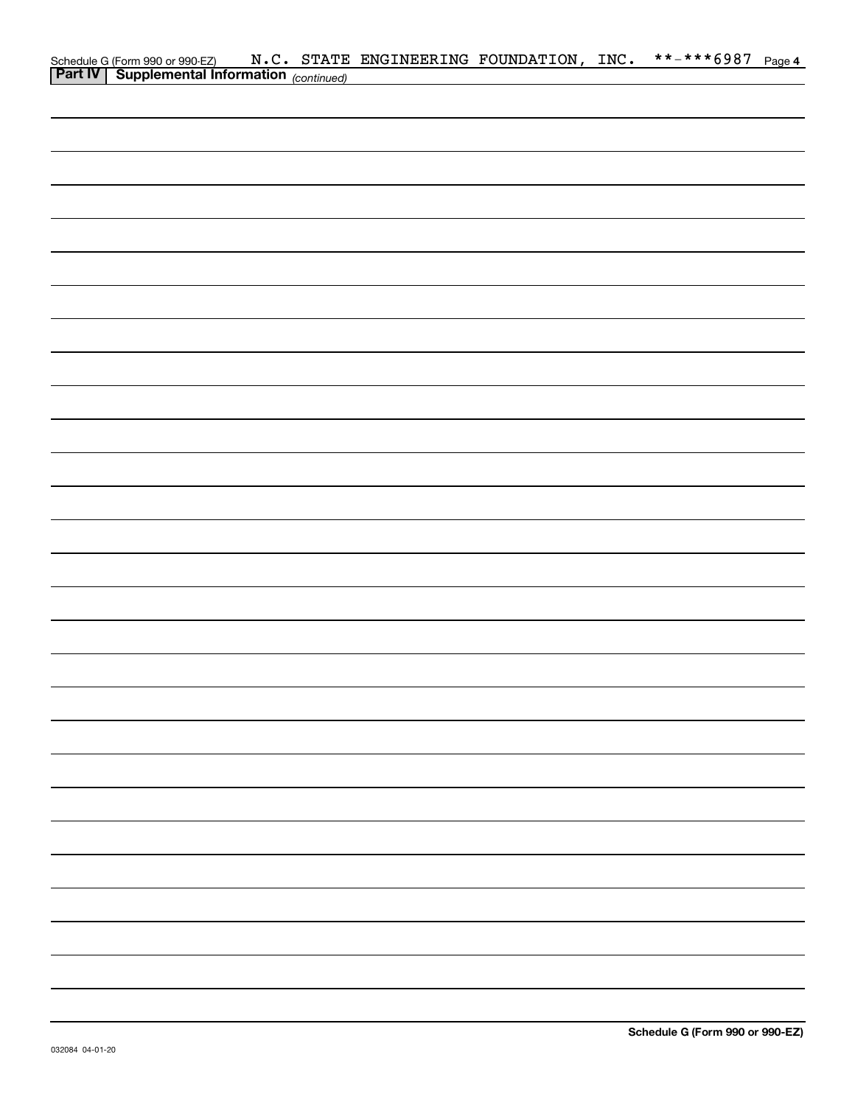|                                                                                            |  | N.C. STATE ENGINEERING FOUNDATION, INC. |  | **-***6987 Page 4 |  |
|--------------------------------------------------------------------------------------------|--|-----------------------------------------|--|-------------------|--|
| Schedule G (Form 990 or 990-EZ) N.C. STATE<br>Part IV Supplemental Information (continued) |  |                                         |  |                   |  |
|                                                                                            |  |                                         |  |                   |  |
|                                                                                            |  |                                         |  |                   |  |
|                                                                                            |  |                                         |  |                   |  |
|                                                                                            |  |                                         |  |                   |  |
|                                                                                            |  |                                         |  |                   |  |
|                                                                                            |  |                                         |  |                   |  |
|                                                                                            |  |                                         |  |                   |  |
|                                                                                            |  |                                         |  |                   |  |
|                                                                                            |  |                                         |  |                   |  |
|                                                                                            |  |                                         |  |                   |  |
|                                                                                            |  |                                         |  |                   |  |
|                                                                                            |  |                                         |  |                   |  |
|                                                                                            |  |                                         |  |                   |  |
|                                                                                            |  |                                         |  |                   |  |
|                                                                                            |  |                                         |  |                   |  |
|                                                                                            |  |                                         |  |                   |  |
|                                                                                            |  |                                         |  |                   |  |
|                                                                                            |  |                                         |  |                   |  |
|                                                                                            |  |                                         |  |                   |  |
|                                                                                            |  |                                         |  |                   |  |
|                                                                                            |  |                                         |  |                   |  |
|                                                                                            |  |                                         |  |                   |  |
|                                                                                            |  |                                         |  |                   |  |
|                                                                                            |  |                                         |  |                   |  |
|                                                                                            |  |                                         |  |                   |  |
|                                                                                            |  |                                         |  |                   |  |
|                                                                                            |  |                                         |  |                   |  |
|                                                                                            |  |                                         |  |                   |  |
|                                                                                            |  |                                         |  |                   |  |
|                                                                                            |  |                                         |  |                   |  |
|                                                                                            |  |                                         |  |                   |  |
|                                                                                            |  |                                         |  |                   |  |
|                                                                                            |  |                                         |  |                   |  |
|                                                                                            |  |                                         |  |                   |  |
|                                                                                            |  |                                         |  |                   |  |
|                                                                                            |  |                                         |  |                   |  |
|                                                                                            |  |                                         |  |                   |  |
|                                                                                            |  |                                         |  |                   |  |
|                                                                                            |  |                                         |  |                   |  |
|                                                                                            |  |                                         |  |                   |  |
|                                                                                            |  |                                         |  |                   |  |
|                                                                                            |  |                                         |  |                   |  |
|                                                                                            |  |                                         |  |                   |  |
|                                                                                            |  |                                         |  |                   |  |
|                                                                                            |  |                                         |  |                   |  |
|                                                                                            |  |                                         |  |                   |  |
|                                                                                            |  |                                         |  |                   |  |
|                                                                                            |  |                                         |  |                   |  |
|                                                                                            |  |                                         |  |                   |  |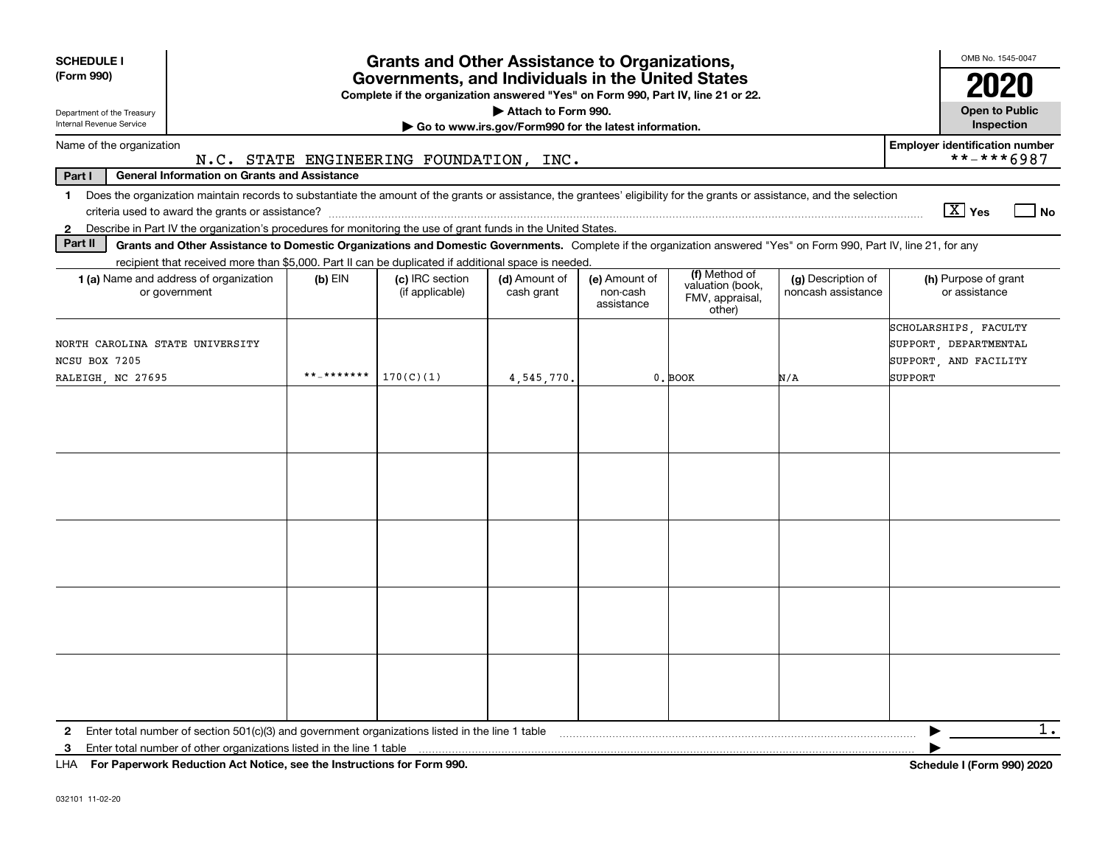| <b>SCHEDULE I</b>                                                                                                                                                                                                                                                         |                                                                              | <b>Grants and Other Assistance to Organizations,</b>                                                                                  |                             |                                         |                                                                |                                          | OMB No. 1545-0047                                                                  |  |  |  |  |  |  |
|---------------------------------------------------------------------------------------------------------------------------------------------------------------------------------------------------------------------------------------------------------------------------|------------------------------------------------------------------------------|---------------------------------------------------------------------------------------------------------------------------------------|-----------------------------|-----------------------------------------|----------------------------------------------------------------|------------------------------------------|------------------------------------------------------------------------------------|--|--|--|--|--|--|
| (Form 990)                                                                                                                                                                                                                                                                |                                                                              | Governments, and Individuals in the United States<br>Complete if the organization answered "Yes" on Form 990, Part IV, line 21 or 22. |                             |                                         |                                                                |                                          | 2020                                                                               |  |  |  |  |  |  |
| Department of the Treasury<br>Internal Revenue Service                                                                                                                                                                                                                    | Attach to Form 990.<br>Go to www.irs.gov/Form990 for the latest information. |                                                                                                                                       |                             |                                         |                                                                |                                          |                                                                                    |  |  |  |  |  |  |
| <b>Employer identification number</b><br>Name of the organization<br>N.C. STATE ENGINEERING FOUNDATION, INC.                                                                                                                                                              |                                                                              |                                                                                                                                       |                             |                                         |                                                                |                                          |                                                                                    |  |  |  |  |  |  |
| Part I<br><b>General Information on Grants and Assistance</b>                                                                                                                                                                                                             |                                                                              |                                                                                                                                       |                             |                                         |                                                                |                                          | **-***6987                                                                         |  |  |  |  |  |  |
| Does the organization maintain records to substantiate the amount of the grants or assistance, the grantees' eligibility for the grants or assistance, and the selection<br>$\mathbf 1$                                                                                   |                                                                              |                                                                                                                                       |                             |                                         |                                                                |                                          | $\boxed{\text{X}}$ Yes<br>$ $ No                                                   |  |  |  |  |  |  |
| Describe in Part IV the organization's procedures for monitoring the use of grant funds in the United States.<br>$\mathbf{2}$<br>Part II                                                                                                                                  |                                                                              |                                                                                                                                       |                             |                                         |                                                                |                                          |                                                                                    |  |  |  |  |  |  |
| Grants and Other Assistance to Domestic Organizations and Domestic Governments. Complete if the organization answered "Yes" on Form 990, Part IV, line 21, for any<br>recipient that received more than \$5,000. Part II can be duplicated if additional space is needed. |                                                                              |                                                                                                                                       |                             |                                         |                                                                |                                          |                                                                                    |  |  |  |  |  |  |
| <b>1 (a)</b> Name and address of organization<br>or government                                                                                                                                                                                                            | $(b)$ EIN                                                                    | (c) IRC section<br>(if applicable)                                                                                                    | (d) Amount of<br>cash grant | (e) Amount of<br>non-cash<br>assistance | (f) Method of<br>valuation (book,<br>FMV, appraisal,<br>other) | (g) Description of<br>noncash assistance | (h) Purpose of grant<br>or assistance                                              |  |  |  |  |  |  |
| NORTH CAROLINA STATE UNIVERSITY<br>NCSU BOX 7205<br>RALEIGH, NC 27695                                                                                                                                                                                                     | **_*******                                                                   | 170(C)(1)                                                                                                                             | 4,545,770.                  |                                         | 0. BOOK                                                        | N/A                                      | SCHOLARSHIPS, FACULTY<br>SUPPORT, DEPARTMENTAL<br>SUPPORT, AND FACILITY<br>SUPPORT |  |  |  |  |  |  |
|                                                                                                                                                                                                                                                                           |                                                                              |                                                                                                                                       |                             |                                         |                                                                |                                          |                                                                                    |  |  |  |  |  |  |
|                                                                                                                                                                                                                                                                           |                                                                              |                                                                                                                                       |                             |                                         |                                                                |                                          |                                                                                    |  |  |  |  |  |  |
| $\mathbf{2}$                                                                                                                                                                                                                                                              |                                                                              |                                                                                                                                       |                             |                                         |                                                                |                                          | 1.                                                                                 |  |  |  |  |  |  |
| Enter total number of other organizations listed in the line 1 table<br>3<br>LHA For Paperwork Reduction Act Notice, see the Instructions for Form 990.                                                                                                                   |                                                                              |                                                                                                                                       |                             |                                         |                                                                |                                          | Schedule I (Form 990) 2020                                                         |  |  |  |  |  |  |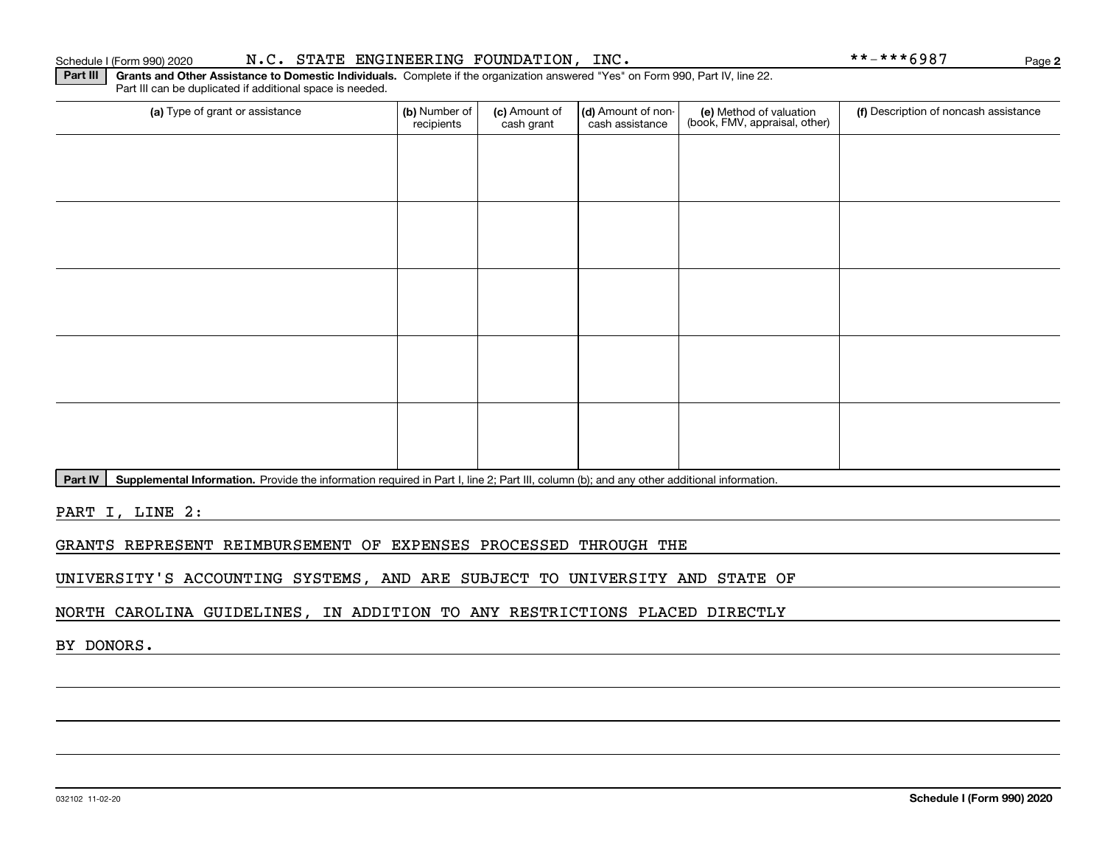**Part III | Grants and Other Assistance to Domestic Individuals. Complete if the organization answered "Yes" on Form 990, Part IV, line 22.** Part III can be duplicated if additional space is needed.

| (a) Type of grant or assistance | (b) Number of<br>recipients | (c) Amount of<br>cash grant | (d) Amount of non-<br>cash assistance | (e) Method of valuation<br>(book, FMV, appraisal, other) | (f) Description of noncash assistance |
|---------------------------------|-----------------------------|-----------------------------|---------------------------------------|----------------------------------------------------------|---------------------------------------|
|                                 |                             |                             |                                       |                                                          |                                       |
|                                 |                             |                             |                                       |                                                          |                                       |
|                                 |                             |                             |                                       |                                                          |                                       |
|                                 |                             |                             |                                       |                                                          |                                       |
|                                 |                             |                             |                                       |                                                          |                                       |
|                                 |                             |                             |                                       |                                                          |                                       |
|                                 |                             |                             |                                       |                                                          |                                       |
|                                 |                             |                             |                                       |                                                          |                                       |
|                                 |                             |                             |                                       |                                                          |                                       |
|                                 |                             |                             |                                       |                                                          |                                       |

Part IV | Supplemental Information. Provide the information required in Part I, line 2; Part III, column (b); and any other additional information.

PART I, LINE 2:

GRANTS REPRESENT REIMBURSEMENT OF EXPENSES PROCESSED THROUGH THE

UNIVERSITY'S ACCOUNTING SYSTEMS, AND ARE SUBJECT TO UNIVERSITY AND STATE OF

NORTH CAROLINA GUIDELINES, IN ADDITION TO ANY RESTRICTIONS PLACED DIRECTLY

BY DONORS.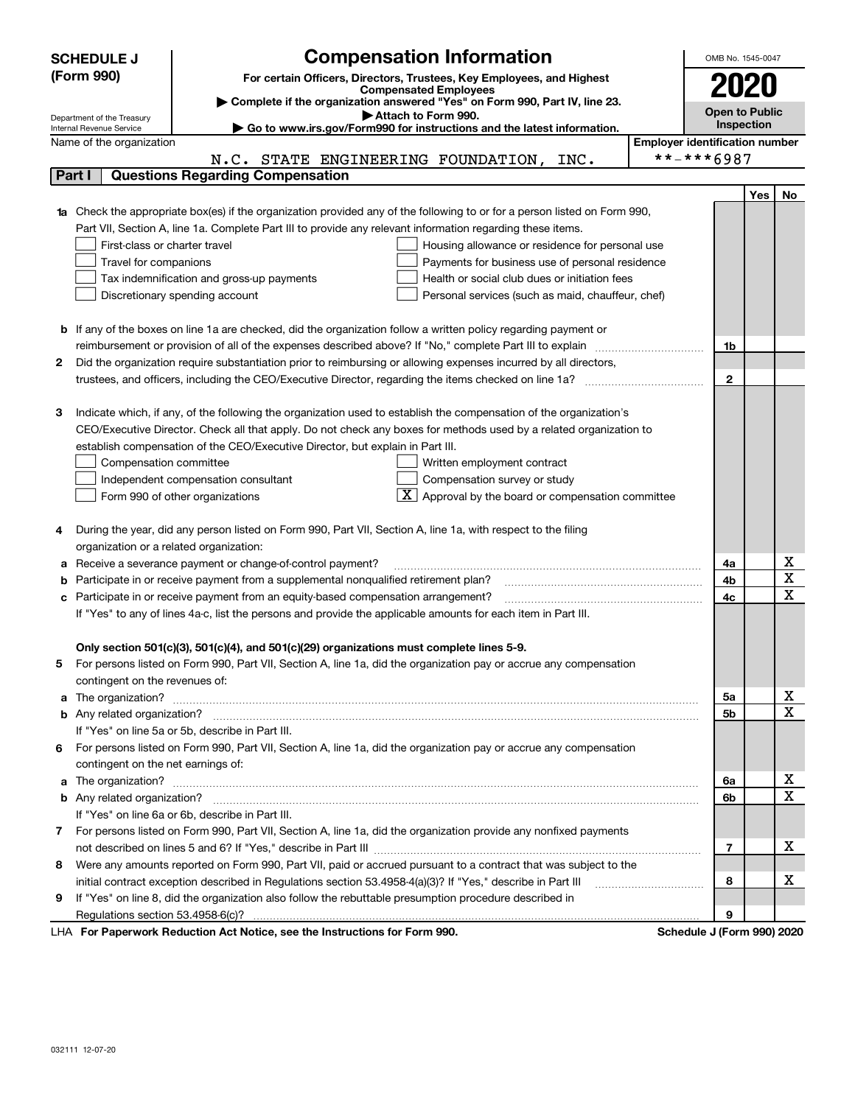|        | <b>Compensation Information</b><br><b>SCHEDULE J</b>                                                                            | OMB No. 1545-0047     |     |             |  |  |
|--------|---------------------------------------------------------------------------------------------------------------------------------|-----------------------|-----|-------------|--|--|
|        | (Form 990)<br>For certain Officers, Directors, Trustees, Key Employees, and Highest                                             | 2020                  |     |             |  |  |
|        | <b>Compensated Employees</b>                                                                                                    |                       |     |             |  |  |
|        | Complete if the organization answered "Yes" on Form 990, Part IV, line 23.<br>Attach to Form 990.<br>Department of the Treasury | <b>Open to Public</b> |     |             |  |  |
|        | ► Go to www.irs.gov/Form990 for instructions and the latest information.<br>Internal Revenue Service                            | Inspection            |     |             |  |  |
|        | <b>Employer identification number</b><br>Name of the organization                                                               |                       |     |             |  |  |
|        | N.C. STATE ENGINEERING FOUNDATION, INC.                                                                                         | **-***6987            |     |             |  |  |
| Part I | <b>Questions Regarding Compensation</b>                                                                                         |                       |     |             |  |  |
|        |                                                                                                                                 |                       | Yes | No          |  |  |
|        | Check the appropriate box(es) if the organization provided any of the following to or for a person listed on Form 990,          |                       |     |             |  |  |
|        | Part VII, Section A, line 1a. Complete Part III to provide any relevant information regarding these items.                      |                       |     |             |  |  |
|        | First-class or charter travel<br>Housing allowance or residence for personal use                                                |                       |     |             |  |  |
|        | Travel for companions<br>Payments for business use of personal residence                                                        |                       |     |             |  |  |
|        | Health or social club dues or initiation fees<br>Tax indemnification and gross-up payments                                      |                       |     |             |  |  |
|        | Discretionary spending account<br>Personal services (such as maid, chauffeur, chef)                                             |                       |     |             |  |  |
| b      | If any of the boxes on line 1a are checked, did the organization follow a written policy regarding payment or                   |                       |     |             |  |  |
|        | reimbursement or provision of all of the expenses described above? If "No," complete Part III to explain                        | 1b                    |     |             |  |  |
| 2      | Did the organization require substantiation prior to reimbursing or allowing expenses incurred by all directors,                |                       |     |             |  |  |
|        |                                                                                                                                 | $\mathbf{2}$          |     |             |  |  |
|        |                                                                                                                                 |                       |     |             |  |  |
| з      | Indicate which, if any, of the following the organization used to establish the compensation of the organization's              |                       |     |             |  |  |
|        | CEO/Executive Director. Check all that apply. Do not check any boxes for methods used by a related organization to              |                       |     |             |  |  |
|        | establish compensation of the CEO/Executive Director, but explain in Part III.                                                  |                       |     |             |  |  |
|        | Compensation committee<br>Written employment contract                                                                           |                       |     |             |  |  |
|        | Compensation survey or study<br>Independent compensation consultant                                                             |                       |     |             |  |  |
|        | $\boxed{\textbf{X}}$ Approval by the board or compensation committee<br>Form 990 of other organizations                         |                       |     |             |  |  |
|        |                                                                                                                                 |                       |     |             |  |  |
| 4      | During the year, did any person listed on Form 990, Part VII, Section A, line 1a, with respect to the filing                    |                       |     |             |  |  |
|        | organization or a related organization:                                                                                         |                       |     |             |  |  |
| а      | Receive a severance payment or change-of-control payment?                                                                       | 4a                    |     | х           |  |  |
| b      | Participate in or receive payment from a supplemental nonqualified retirement plan?                                             | 4b                    |     | X           |  |  |
| с      | Participate in or receive payment from an equity-based compensation arrangement?                                                | 4с                    |     | х           |  |  |
|        | If "Yes" to any of lines 4a-c, list the persons and provide the applicable amounts for each item in Part III.                   |                       |     |             |  |  |
|        | Only section 501(c)(3), 501(c)(4), and 501(c)(29) organizations must complete lines 5-9.                                        |                       |     |             |  |  |
| 5      | For persons listed on Form 990, Part VII, Section A, line 1a, did the organization pay or accrue any compensation               |                       |     |             |  |  |
|        | contingent on the revenues of:                                                                                                  |                       |     |             |  |  |
| a      |                                                                                                                                 | 5a                    |     | х           |  |  |
|        |                                                                                                                                 | 5b                    |     | х           |  |  |
|        | If "Yes" on line 5a or 5b, describe in Part III.                                                                                |                       |     |             |  |  |
|        | 6 For persons listed on Form 990, Part VII, Section A, line 1a, did the organization pay or accrue any compensation             |                       |     |             |  |  |
|        | contingent on the net earnings of:                                                                                              |                       |     |             |  |  |
| a      |                                                                                                                                 | 6a                    |     | X           |  |  |
|        |                                                                                                                                 | 6b                    |     | $\mathbf X$ |  |  |
|        | If "Yes" on line 6a or 6b, describe in Part III.                                                                                |                       |     |             |  |  |
| 7.     | For persons listed on Form 990, Part VII, Section A, line 1a, did the organization provide any nonfixed payments                |                       |     |             |  |  |
|        |                                                                                                                                 | 7                     |     | x           |  |  |
| 8      | Were any amounts reported on Form 990, Part VII, paid or accrued pursuant to a contract that was subject to the                 |                       |     |             |  |  |
|        | initial contract exception described in Regulations section 53.4958-4(a)(3)? If "Yes," describe in Part III                     | 8                     |     | x           |  |  |
| 9      | If "Yes" on line 8, did the organization also follow the rebuttable presumption procedure described in                          |                       |     |             |  |  |
|        |                                                                                                                                 | 9<br>$\overline{1}$   |     |             |  |  |

LHA For Paperwork Reduction Act Notice, see the Instructions for Form 990. Schedule J (Form 990) 2020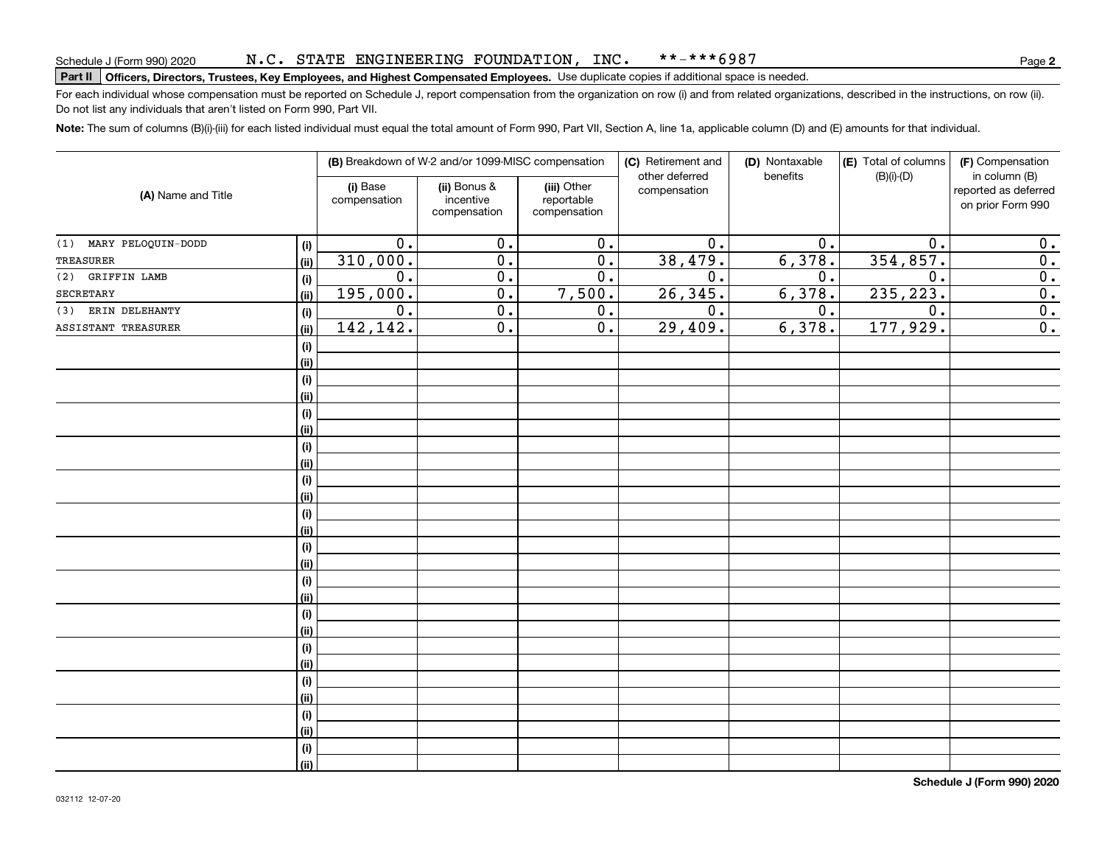#### N.C. STATE ENGINEERING FOUNDATION, INC. \*\*-\*\*\*6987

# Schedule J (Form 990) 2020 N • C • S'L'A'L'E ENGLNEERLNG F'OUNDA'L'LON , LNC • <sup>★ ★</sup> ~ \* \* \* 6 9 8 /<br>Part II Officers, Directors, Trustees, Key Employees, and Highest Compensated Emp

For each individual whose compensation must be reported on Schedule J, report compensation from the organization on row (i) and from related organizations, described in the instructions, on row (ii). Do not list any individuals that aren't listed on Form 990, Part VII.

**Note:**  The sum of columns (B)(i)-(iii) for each listed individual must equal the total amount of Form 990, Part VII, Section A, line 1a, applicable column (D) and (E) amounts for that individual.

|                        |      | (B) Breakdown of W-2 and/or 1099-MISC compensation |                                           | (C) Retirement and                        | (D) Nontaxable                 | (E) Total of columns | (F) Compensation |                                                            |
|------------------------|------|----------------------------------------------------|-------------------------------------------|-------------------------------------------|--------------------------------|----------------------|------------------|------------------------------------------------------------|
| (A) Name and Title     |      | (i) Base<br>compensation                           | (ii) Bonus &<br>incentive<br>compensation | (iii) Other<br>reportable<br>compensation | other deferred<br>compensation | benefits             | $(B)(i)-(D)$     | in column (B)<br>reported as deferred<br>on prior Form 990 |
| (1) MARY PELOQUIN-DODD | (i)  | 0.                                                 | 0.                                        | 0.                                        | 0.                             | 0.                   | 0.               | 0.                                                         |
| <b>TREASURER</b>       | (ii) | 310,000.                                           | $\overline{0}$ .                          | $\overline{0}$ .                          | 38,479.                        | 6,378.               | 354,857.         | $\overline{0}$ .                                           |
| GRIFFIN LAMB<br>(2)    | (i)  | 0.                                                 | $\overline{0}$ .                          | 0.                                        | $\overline{0}$ .               | 0.                   | 0.               | $\overline{0}$ .                                           |
| SECRETARY              | (ii) | 195,000.                                           | $\overline{0}$ .                          | 7,500.                                    | 26, 345.                       | 6,378.               | 235, 223.        | $\overline{0}$ .                                           |
| ERIN DELEHANTY<br>(3)  | (i)  | $\overline{0}$ .                                   | $\overline{0}$ .                          | $\overline{0}$ .                          | $\overline{0}$ .               | $\overline{0}$ .     | $\overline{0}$ . | $\overline{0}$ .                                           |
| ASSISTANT TREASURER    | (ii) | 142, 142.                                          | $\overline{0}$ .                          | $\overline{0}$ .                          | 29,409.                        | 6,378.               | 177,929.         | $\overline{0}$ .                                           |
|                        | (i)  |                                                    |                                           |                                           |                                |                      |                  |                                                            |
|                        | (ii) |                                                    |                                           |                                           |                                |                      |                  |                                                            |
|                        | (i)  |                                                    |                                           |                                           |                                |                      |                  |                                                            |
|                        | (ii) |                                                    |                                           |                                           |                                |                      |                  |                                                            |
|                        | (i)  |                                                    |                                           |                                           |                                |                      |                  |                                                            |
|                        | (ii) |                                                    |                                           |                                           |                                |                      |                  |                                                            |
|                        | (i)  |                                                    |                                           |                                           |                                |                      |                  |                                                            |
|                        | (ii) |                                                    |                                           |                                           |                                |                      |                  |                                                            |
|                        | (i)  |                                                    |                                           |                                           |                                |                      |                  |                                                            |
|                        | (ii) |                                                    |                                           |                                           |                                |                      |                  |                                                            |
|                        | (i)  |                                                    |                                           |                                           |                                |                      |                  |                                                            |
|                        | (ii) |                                                    |                                           |                                           |                                |                      |                  |                                                            |
|                        | (i)  |                                                    |                                           |                                           |                                |                      |                  |                                                            |
|                        | (ii) |                                                    |                                           |                                           |                                |                      |                  |                                                            |
|                        | (i)  |                                                    |                                           |                                           |                                |                      |                  |                                                            |
|                        | (ii) |                                                    |                                           |                                           |                                |                      |                  |                                                            |
|                        | (i)  |                                                    |                                           |                                           |                                |                      |                  |                                                            |
|                        | (ii) |                                                    |                                           |                                           |                                |                      |                  |                                                            |
|                        | (i)  |                                                    |                                           |                                           |                                |                      |                  |                                                            |
|                        | (ii) |                                                    |                                           |                                           |                                |                      |                  |                                                            |
|                        | (i)  |                                                    |                                           |                                           |                                |                      |                  |                                                            |
|                        | (ii) |                                                    |                                           |                                           |                                |                      |                  |                                                            |
|                        | (i)  |                                                    |                                           |                                           |                                |                      |                  |                                                            |
|                        | (ii) |                                                    |                                           |                                           |                                |                      |                  |                                                            |
|                        | (i)  |                                                    |                                           |                                           |                                |                      |                  |                                                            |
|                        | (ii) |                                                    |                                           |                                           |                                |                      |                  |                                                            |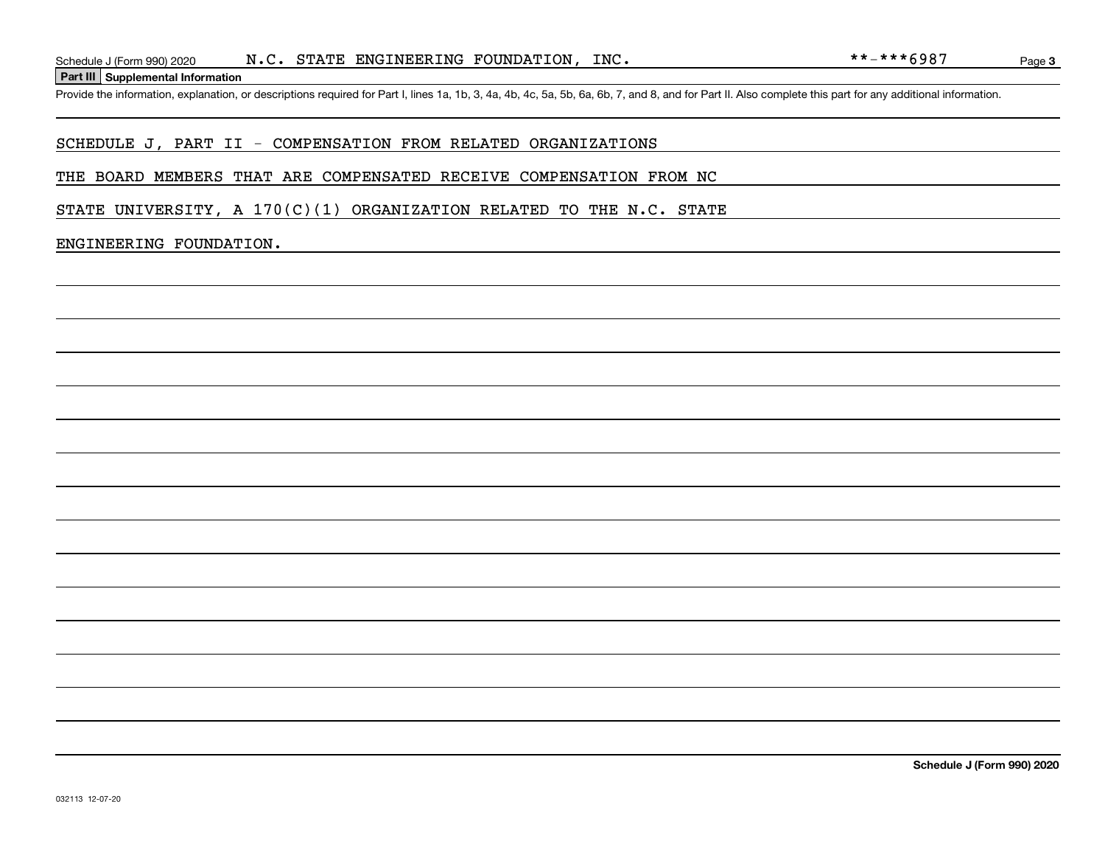**Part III Supplemental Information**

Schedule J (Form 990) 2020  $N.C. STATE ENGINEERING FOUNDATION, INC.$ <br> **Part III** Supplemental Information<br>
Provide the information, explanation, or descriptions required for Part I, lines 1a, 1b, 3, 4a, 4b, 4c, 5a, 5b, 6a, 6b, 7, and 8, and for

### SCHEDULE J, PART II - COMPENSATION FROM RELATED ORGANIZATIONS

### THE BOARD MEMBERS THAT ARE COMPENSATED RECEIVE COMPENSATION FROM NC

STATE UNIVERSITY, A  $170(C)(1)$  ORGANIZATION RELATED TO THE N.C. STATE

### ENGINEERING FOUNDATION.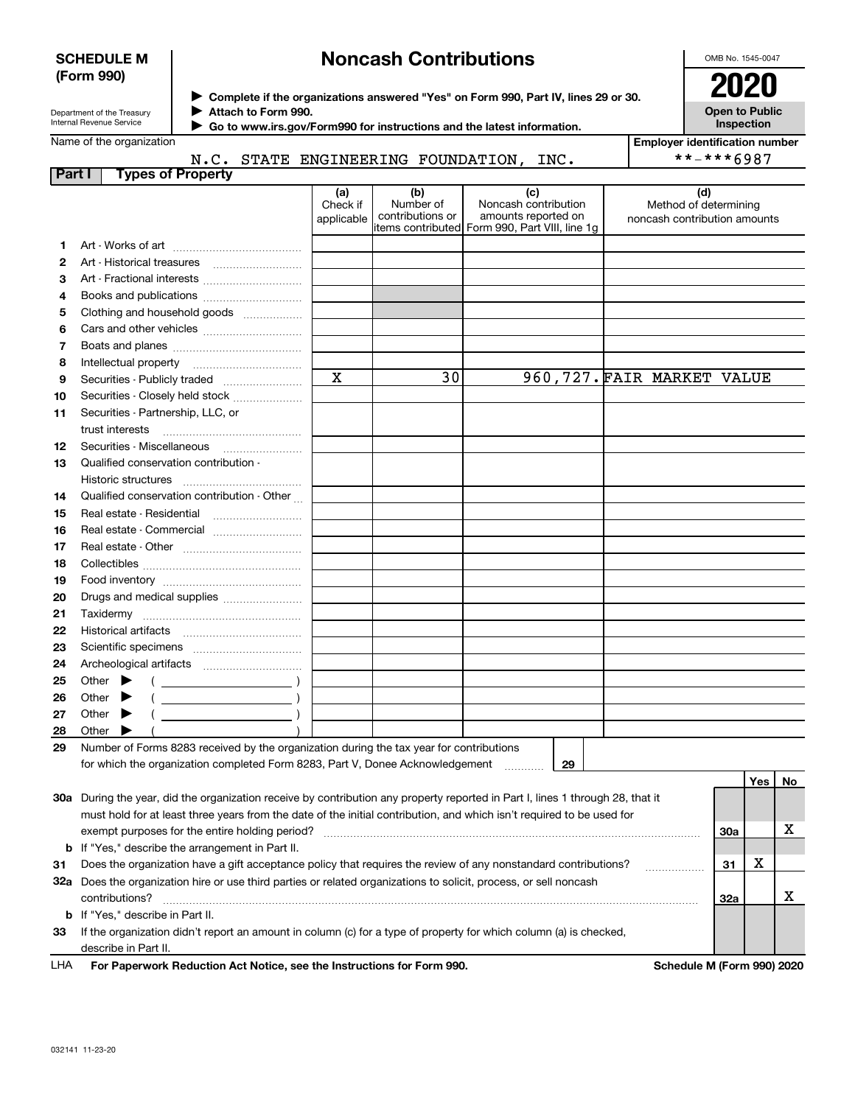### **SCHEDULE M (Form 990)**

# **Noncash Contributions**

OMB No. 1545-0047

| Department of the Treasury      |  |
|---------------------------------|--|
| <b>Internal Revenue Service</b> |  |

**Complete if the organizations answered "Yes" on Form 990, Part IV, lines 29 or 30.** <sup>J</sup>**2020 Attach to Form 990.** J

**Open to Public Inspection**

| Name of the organization |  |
|--------------------------|--|
|--------------------------|--|

N.C. STATE ENGINEERING FOUNDATION, INC.

 **Go to www.irs.gov/Form990 for instructions and the latest information.** J

| <b>Employer identification number</b> |
|---------------------------------------|
| **-***6987                            |

| Part I |                             |                       | <b>Types of Property</b>                                                                                                       |                               |                                      |                                                                                                       |                              |                              |     |    |
|--------|-----------------------------|-----------------------|--------------------------------------------------------------------------------------------------------------------------------|-------------------------------|--------------------------------------|-------------------------------------------------------------------------------------------------------|------------------------------|------------------------------|-----|----|
|        |                             |                       |                                                                                                                                | (a)<br>Check if<br>applicable | (b)<br>Number of<br>contributions or | (c)<br>Noncash contribution<br>amounts reported on<br>litems contributed Form 990, Part VIII, line 1g | noncash contribution amounts | (d)<br>Method of determining |     |    |
| 1.     |                             |                       |                                                                                                                                |                               |                                      |                                                                                                       |                              |                              |     |    |
| 2      |                             |                       |                                                                                                                                |                               |                                      |                                                                                                       |                              |                              |     |    |
| з      |                             |                       |                                                                                                                                |                               |                                      |                                                                                                       |                              |                              |     |    |
| 4      |                             |                       | Books and publications                                                                                                         |                               |                                      |                                                                                                       |                              |                              |     |    |
| 5      |                             |                       | Clothing and household goods                                                                                                   |                               |                                      |                                                                                                       |                              |                              |     |    |
| 6      |                             |                       |                                                                                                                                |                               |                                      |                                                                                                       |                              |                              |     |    |
| 7      |                             |                       |                                                                                                                                |                               |                                      |                                                                                                       |                              |                              |     |    |
| 8      |                             | Intellectual property |                                                                                                                                |                               |                                      |                                                                                                       |                              |                              |     |    |
| 9      |                             |                       |                                                                                                                                | $\mathbf x$                   | 30                                   |                                                                                                       | 960, 727. FAIR MARKET VALUE  |                              |     |    |
| 10     |                             |                       | Securities - Closely held stock                                                                                                |                               |                                      |                                                                                                       |                              |                              |     |    |
| 11     |                             |                       | Securities - Partnership, LLC, or                                                                                              |                               |                                      |                                                                                                       |                              |                              |     |    |
|        |                             | trust interests       |                                                                                                                                |                               |                                      |                                                                                                       |                              |                              |     |    |
| 12     |                             |                       |                                                                                                                                |                               |                                      |                                                                                                       |                              |                              |     |    |
| 13     |                             |                       | Qualified conservation contribution -                                                                                          |                               |                                      |                                                                                                       |                              |                              |     |    |
|        |                             |                       |                                                                                                                                |                               |                                      |                                                                                                       |                              |                              |     |    |
| 14     |                             |                       | Qualified conservation contribution - Other                                                                                    |                               |                                      |                                                                                                       |                              |                              |     |    |
| 15     |                             |                       | Real estate - Residential                                                                                                      |                               |                                      |                                                                                                       |                              |                              |     |    |
| 16     |                             |                       | Real estate - Commercial                                                                                                       |                               |                                      |                                                                                                       |                              |                              |     |    |
| 17     |                             |                       |                                                                                                                                |                               |                                      |                                                                                                       |                              |                              |     |    |
| 18     |                             |                       |                                                                                                                                |                               |                                      |                                                                                                       |                              |                              |     |    |
| 19     |                             |                       |                                                                                                                                |                               |                                      |                                                                                                       |                              |                              |     |    |
| 20     |                             |                       | Drugs and medical supplies                                                                                                     |                               |                                      |                                                                                                       |                              |                              |     |    |
| 21     |                             | Taxidermy             |                                                                                                                                |                               |                                      |                                                                                                       |                              |                              |     |    |
| 22     |                             |                       |                                                                                                                                |                               |                                      |                                                                                                       |                              |                              |     |    |
| 23     |                             |                       |                                                                                                                                |                               |                                      |                                                                                                       |                              |                              |     |    |
| 24     |                             |                       |                                                                                                                                |                               |                                      |                                                                                                       |                              |                              |     |    |
| 25     | Other $\blacktriangleright$ |                       |                                                                                                                                |                               |                                      |                                                                                                       |                              |                              |     |    |
| 26     | Other                       |                       |                                                                                                                                |                               |                                      |                                                                                                       |                              |                              |     |    |
| 27     | Other                       |                       |                                                                                                                                |                               |                                      |                                                                                                       |                              |                              |     |    |
| 28     | Other                       |                       |                                                                                                                                |                               |                                      |                                                                                                       |                              |                              |     |    |
| 29     |                             |                       | Number of Forms 8283 received by the organization during the tax year for contributions                                        |                               |                                      |                                                                                                       |                              |                              |     |    |
|        |                             |                       | for which the organization completed Form 8283, Part V, Donee Acknowledgement                                                  |                               |                                      | 29                                                                                                    |                              |                              |     |    |
|        |                             |                       |                                                                                                                                |                               |                                      |                                                                                                       |                              |                              | Yes | No |
|        |                             |                       | 30a During the year, did the organization receive by contribution any property reported in Part I, lines 1 through 28, that it |                               |                                      |                                                                                                       |                              |                              |     |    |
|        |                             |                       | must hold for at least three years from the date of the initial contribution, and which isn't required to be used for          |                               |                                      |                                                                                                       |                              |                              |     |    |
|        |                             |                       | exempt purposes for the entire holding period?                                                                                 |                               |                                      |                                                                                                       |                              | 30a                          |     | х  |
|        |                             |                       | <b>b</b> If "Yes," describe the arrangement in Part II.                                                                        |                               |                                      |                                                                                                       |                              |                              |     |    |
| 31     |                             |                       | Does the organization have a gift acceptance policy that requires the review of any nonstandard contributions?                 |                               |                                      |                                                                                                       |                              | 31                           | x   |    |
|        |                             |                       | 32a Does the organization hire or use third parties or related organizations to solicit, process, or sell noncash              |                               |                                      |                                                                                                       |                              |                              |     |    |
|        |                             | contributions?        |                                                                                                                                |                               |                                      |                                                                                                       |                              | 32a                          |     | x  |
|        |                             |                       | <b>b</b> If "Yes," describe in Part II.                                                                                        |                               |                                      |                                                                                                       |                              |                              |     |    |
| 33     |                             |                       | If the organization didn't report an amount in column (c) for a type of property for which column (a) is checked,              |                               |                                      |                                                                                                       |                              |                              |     |    |
|        |                             | describe in Part II.  |                                                                                                                                |                               |                                      |                                                                                                       |                              |                              |     |    |

For Paperwork Reduction Act Notice, see the Instructions for Form 990. **Schedule M (Form 990) 2020** LHA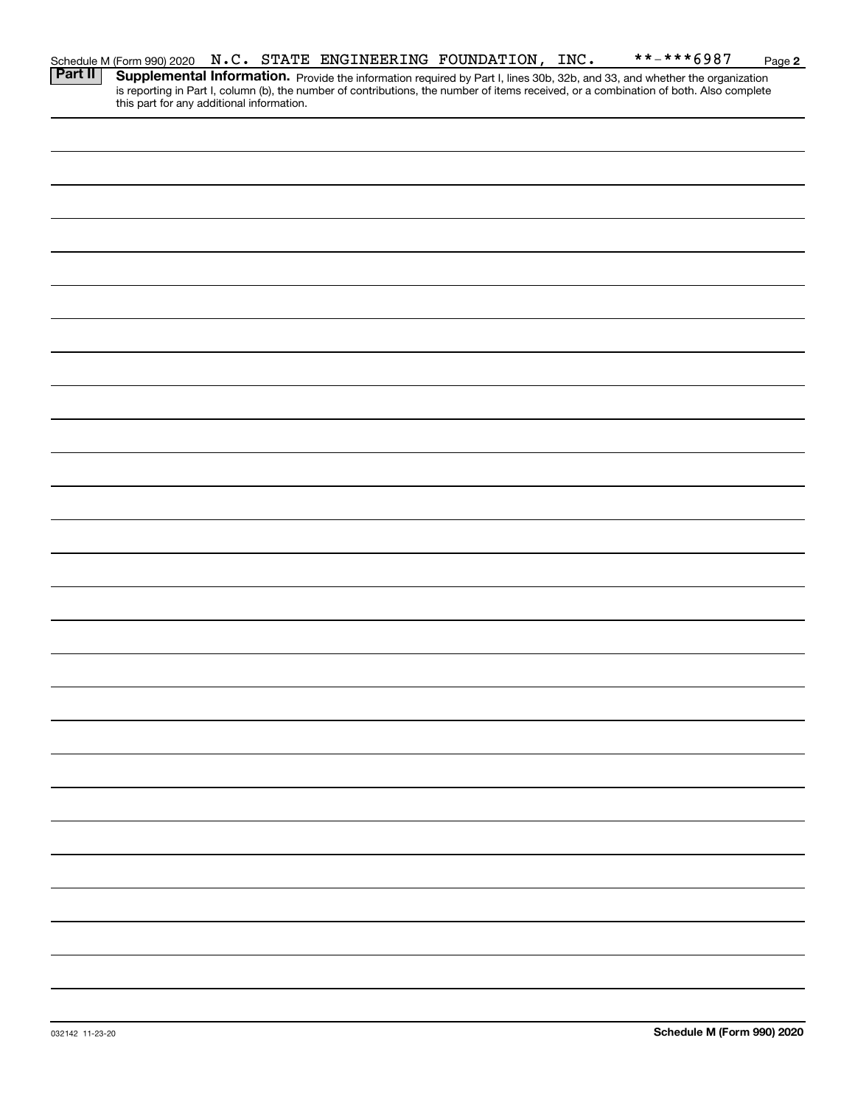|         | Schedule M (Form 990) 2020 N.C. STATE ENGINEERING FOUNDATION, INC. |  |  |  | **-***6987                                                                                                                                                                                                                          | Page 2 |
|---------|--------------------------------------------------------------------|--|--|--|-------------------------------------------------------------------------------------------------------------------------------------------------------------------------------------------------------------------------------------|--------|
| Part II | this part for any additional information.                          |  |  |  | <b>Supplemental Information.</b> Provide the information required by Part I, lines 30b, 32b, and 33, and whether the organization is reporting in Part I, column (b), the number of contributions, the number of items received, or |        |
|         |                                                                    |  |  |  |                                                                                                                                                                                                                                     |        |
|         |                                                                    |  |  |  |                                                                                                                                                                                                                                     |        |
|         |                                                                    |  |  |  |                                                                                                                                                                                                                                     |        |
|         |                                                                    |  |  |  |                                                                                                                                                                                                                                     |        |
|         |                                                                    |  |  |  |                                                                                                                                                                                                                                     |        |
|         |                                                                    |  |  |  |                                                                                                                                                                                                                                     |        |
|         |                                                                    |  |  |  |                                                                                                                                                                                                                                     |        |
|         |                                                                    |  |  |  |                                                                                                                                                                                                                                     |        |
|         |                                                                    |  |  |  |                                                                                                                                                                                                                                     |        |
|         |                                                                    |  |  |  |                                                                                                                                                                                                                                     |        |
|         |                                                                    |  |  |  |                                                                                                                                                                                                                                     |        |
|         |                                                                    |  |  |  |                                                                                                                                                                                                                                     |        |
|         |                                                                    |  |  |  |                                                                                                                                                                                                                                     |        |
|         |                                                                    |  |  |  |                                                                                                                                                                                                                                     |        |
|         |                                                                    |  |  |  |                                                                                                                                                                                                                                     |        |
|         |                                                                    |  |  |  |                                                                                                                                                                                                                                     |        |
|         |                                                                    |  |  |  |                                                                                                                                                                                                                                     |        |
|         |                                                                    |  |  |  |                                                                                                                                                                                                                                     |        |
|         |                                                                    |  |  |  |                                                                                                                                                                                                                                     |        |
|         |                                                                    |  |  |  |                                                                                                                                                                                                                                     |        |
|         |                                                                    |  |  |  |                                                                                                                                                                                                                                     |        |
|         |                                                                    |  |  |  |                                                                                                                                                                                                                                     |        |
|         |                                                                    |  |  |  |                                                                                                                                                                                                                                     |        |
|         |                                                                    |  |  |  |                                                                                                                                                                                                                                     |        |
|         |                                                                    |  |  |  |                                                                                                                                                                                                                                     |        |
|         |                                                                    |  |  |  |                                                                                                                                                                                                                                     |        |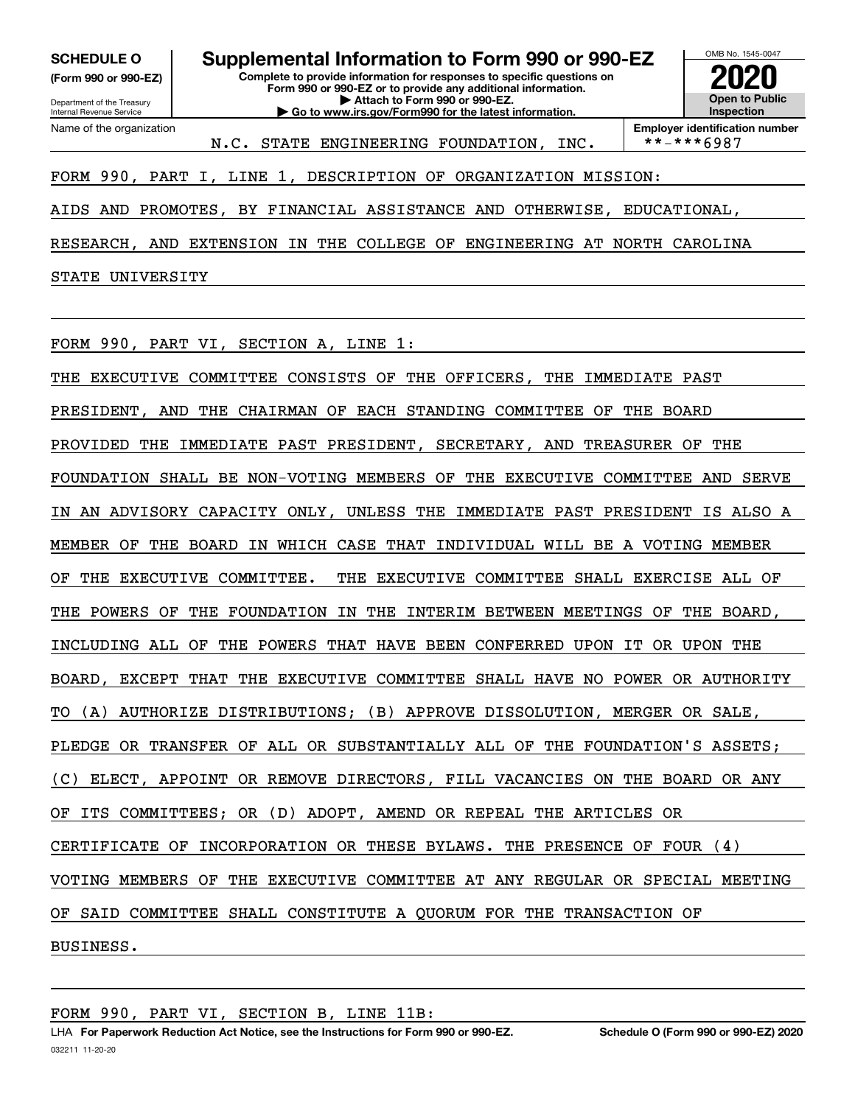**(Form 990 or 990-EZ)**

Department of the Treasury Internal Revenue Service Name of the organization

**Complete to provide information for responses to specific questions on Form 990 or 990-EZ or to provide any additional information. | Attach to Form 990 or 990-EZ. | Go to www.irs.gov/Form990 for the latest information. SCHEDULE O Supplemental Information to Form 990 or 990-EZ**



**Employer identification number**<br>\*\*-\*\*\*6987

### FORM 990, PART I, LINE 1, DESCRIPTION OF ORGANIZATION MISSION:

AIDS AND PROMOTES, BY FINANCIAL ASSISTANCE AND OTHERWISE, EDUCATIONAL,

N.C. STATE ENGINEERING FOUNDATION, INC.

RESEARCH, AND EXTENSION IN THE COLLEGE OF ENGINEERING AT NORTH CAROLINA

STATE UNIVERSITY

FORM 990, PART VI, SECTION A, LINE 1:

THE EXECUTIVE COMMITTEE CONSISTS OF THE OFFICERS, THE IMMEDIATE PAST PRESIDENT, AND THE CHAIRMAN OF EACH STANDING COMMITTEE OF THE BOARD PROVIDED THE IMMEDIATE PAST PRESIDENT, SECRETARY, AND TREASURER OF THE FOUNDATION SHALL BE NON-VOTING MEMBERS OF THE EXECUTIVE COMMITTEE AND SERVE IN AN ADVISORY CAPACITY ONLY, UNLESS THE IMMEDIATE PAST PRESIDENT IS ALSO A MEMBER OF THE BOARD IN WHICH CASE THAT INDIVIDUAL WILL BE A VOTING MEMBER OF THE EXECUTIVE COMMITTEE. THE EXECUTIVE COMMITTEE SHALL EXERCISE ALL OF THE POWERS OF THE FOUNDATION IN THE INTERIM BETWEEN MEETINGS OF THE BOARD, INCLUDING ALL OF THE POWERS THAT HAVE BEEN CONFERRED UPON IT OR UPON THE BOARD, EXCEPT THAT THE EXECUTIVE COMMITTEE SHALL HAVE NO POWER OR AUTHORITY TO (A) AUTHORIZE DISTRIBUTIONS; (B) APPROVE DISSOLUTION, MERGER OR SALE, PLEDGE OR TRANSFER OF ALL OR SUBSTANTIALLY ALL OF THE FOUNDATION'S ASSETS; (C) ELECT, APPOINT OR REMOVE DIRECTORS, FILL VACANCIES ON THE BOARD OR ANY OF ITS COMMITTEES; OR (D) ADOPT, AMEND OR REPEAL THE ARTICLES OR CERTIFICATE OF INCORPORATION OR THESE BYLAWS. THE PRESENCE OF FOUR (4) VOTING MEMBERS OF THE EXECUTIVE COMMITTEE AT ANY REGULAR OR SPECIAL MEETING OF SAID COMMITTEE SHALL CONSTITUTE A QUORUM FOR THE TRANSACTION OF BUSINESS.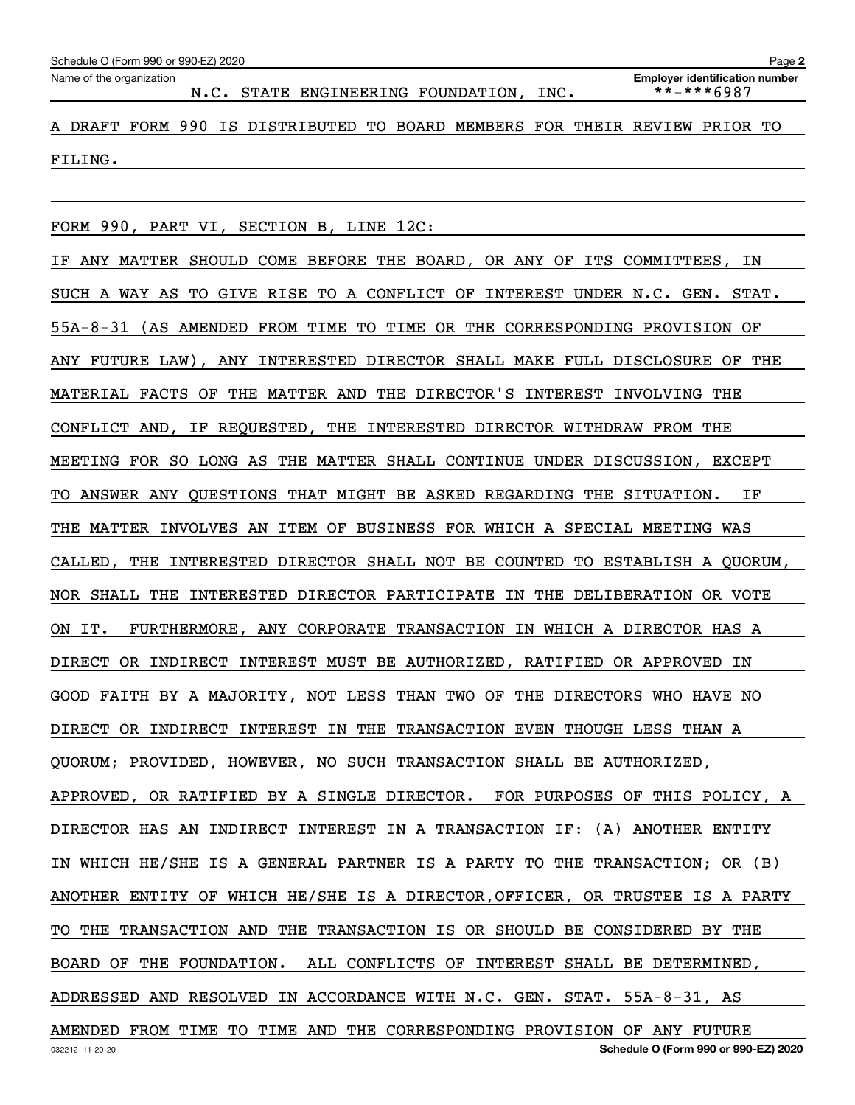Echedule O (Form 990 or 990-EZ) 2020<br>Name of the organization **number** Name of the organization **number** 

A DRAFT FORM 990 IS DISTRIBUTED TO BOARD MEMBERS FOR THEIR REVIEW PRIOR TO FILING.

FORM 990, PART VI, SECTION B, LINE 12C:

IF ANY MATTER SHOULD COME BEFORE THE BOARD, OR ANY OF ITS COMMITTEES, IN SUCH A WAY AS TO GIVE RISE TO A CONFLICT OF INTEREST UNDER N.C. GEN. STAT. 55A-8-31 (AS AMENDED FROM TIME TO TIME OR THE CORRESPONDING PROVISION OF ANY FUTURE LAW), ANY INTERESTED DIRECTOR SHALL MAKE FULL DISCLOSURE OF THE MATERIAL FACTS OF THE MATTER AND THE DIRECTOR'S INTEREST INVOLVING THE CONFLICT AND, IF REQUESTED, THE INTERESTED DIRECTOR WITHDRAW FROM THE MEETING FOR SO LONG AS THE MATTER SHALL CONTINUE UNDER DISCUSSION, EXCEPT TO ANSWER ANY QUESTIONS THAT MIGHT BE ASKED REGARDING THE SITUATION. IF THE MATTER INVOLVES AN ITEM OF BUSINESS FOR WHICH A SPECIAL MEETING WAS CALLED, THE INTERESTED DIRECTOR SHALL NOT BE COUNTED TO ESTABLISH A QUORUM, NOR SHALL THE INTERESTED DIRECTOR PARTICIPATE IN THE DELIBERATION OR VOTE ON IT. FURTHERMORE, ANY CORPORATE TRANSACTION IN WHICH A DIRECTOR HAS A DIRECT OR INDIRECT INTEREST MUST BE AUTHORIZED, RATIFIED OR APPROVED IN GOOD FAITH BY A MAJORITY, NOT LESS THAN TWO OF THE DIRECTORS WHO HAVE NO DIRECT OR INDIRECT INTEREST IN THE TRANSACTION EVEN THOUGH LESS THAN A QUORUM; PROVIDED, HOWEVER, NO SUCH TRANSACTION SHALL BE AUTHORIZED, APPROVED, OR RATIFIED BY A SINGLE DIRECTOR. FOR PURPOSES OF THIS POLICY, A DIRECTOR HAS AN INDIRECT INTEREST IN A TRANSACTION IF: (A) ANOTHER ENTITY IN WHICH HE/SHE IS A GENERAL PARTNER IS A PARTY TO THE TRANSACTION; OR (B) ANOTHER ENTITY OF WHICH HE/SHE IS A DIRECTOR,OFFICER, OR TRUSTEE IS A PARTY TO THE TRANSACTION AND THE TRANSACTION IS OR SHOULD BE CONSIDERED BY THE BOARD OF THE FOUNDATION. ALL CONFLICTS OF INTEREST SHALL BE DETERMINED, ADDRESSED AND RESOLVED IN ACCORDANCE WITH N.C. GEN. STAT. 55A-8-31, AS AMENDED FROM TIME TO TIME AND THE CORRESPONDING PROVISION OF ANY FUTURE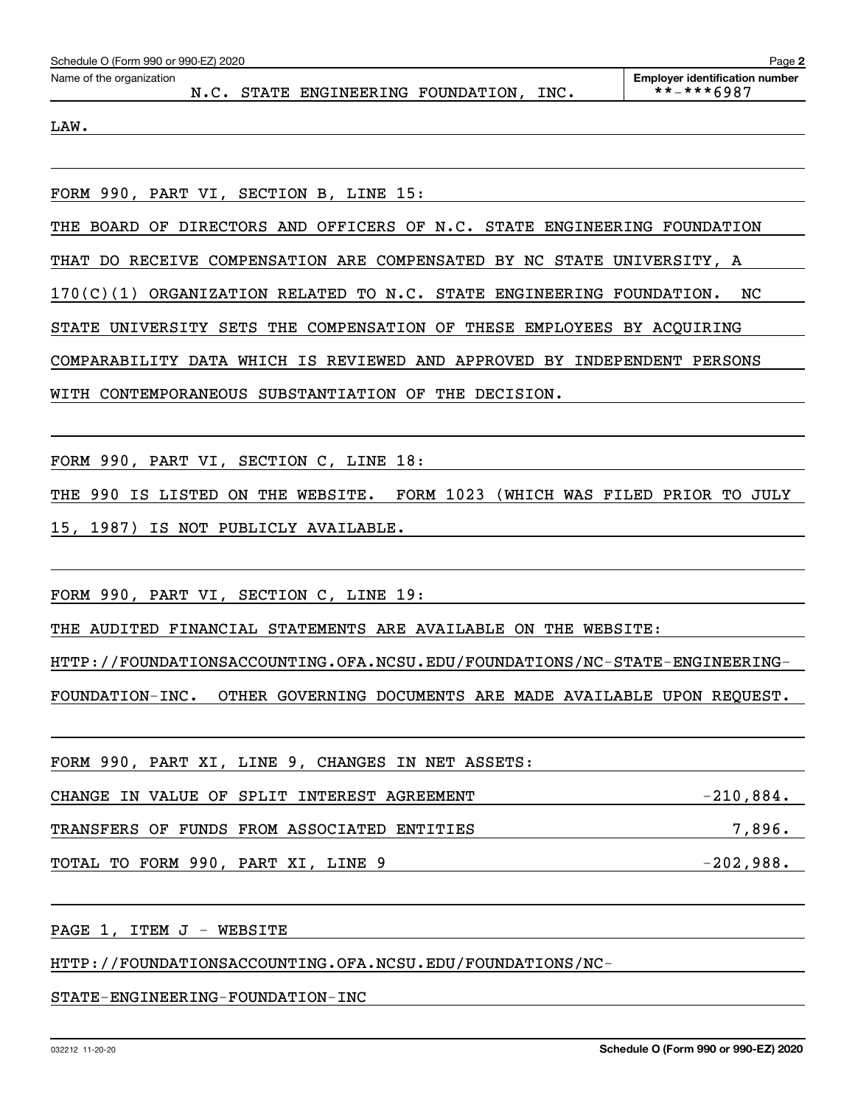| Schedule O (Form 990 or 990-EZ) 2020<br>Page 2 |  |  |                                    |  |      |                                                     |  |  |  |
|------------------------------------------------|--|--|------------------------------------|--|------|-----------------------------------------------------|--|--|--|
| Name of the organization                       |  |  | N.C. STATE ENGINEERING FOUNDATION, |  | INC. | <b>Employer identification number</b><br>**-***6987 |  |  |  |
| LAW.                                           |  |  |                                    |  |      |                                                     |  |  |  |

FORM 990, PART VI, SECTION B, LINE 15:

THE BOARD OF DIRECTORS AND OFFICERS OF N.C. STATE ENGINEERING FOUNDATION

THAT DO RECEIVE COMPENSATION ARE COMPENSATED BY NC STATE UNIVERSITY, A

170(C)(1) ORGANIZATION RELATED TO N.C. STATE ENGINEERING FOUNDATION. NC

STATE UNIVERSITY SETS THE COMPENSATION OF THESE EMPLOYEES BY ACQUIRING

COMPARABILITY DATA WHICH IS REVIEWED AND APPROVED BY INDEPENDENT PERSONS

WITH CONTEMPORANEOUS SUBSTANTIATION OF THE DECISION.

FORM 990, PART VI, SECTION C, LINE 18:

THE 990 IS LISTED ON THE WEBSITE. FORM 1023 (WHICH WAS FILED PRIOR TO JULY 15, 1987) IS NOT PUBLICLY AVAILABLE.

FORM 990, PART VI, SECTION C, LINE 19:

THE AUDITED FINANCIAL STATEMENTS ARE AVAILABLE ON THE WEBSITE:

HTTP://FOUNDATIONSACCOUNTING.OFA.NCSU.EDU/FOUNDATIONS/NC-STATE-ENGINEERING-

FOUNDATION-INC. OTHER GOVERNING DOCUMENTS ARE MADE AVAILABLE UPON REQUEST.

| FORM 990, PART XI, LINE 9, CHANGES IN NET ASSETS: |             |
|---------------------------------------------------|-------------|
| CHANGE IN VALUE OF SPLIT INTEREST AGREEMENT       | $-210,884.$ |
| TRANSFERS OF FUNDS FROM ASSOCIATED ENTITIES       | 7,896.      |
| TOTAL TO FORM 990, PART XI, LINE 9                | $-202,988.$ |

PAGE 1, ITEM J - WEBSITE

HTTP://FOUNDATIONSACCOUNTING.OFA.NCSU.EDU/FOUNDATIONS/NC-

STATE-ENGINEERING-FOUNDATION-INC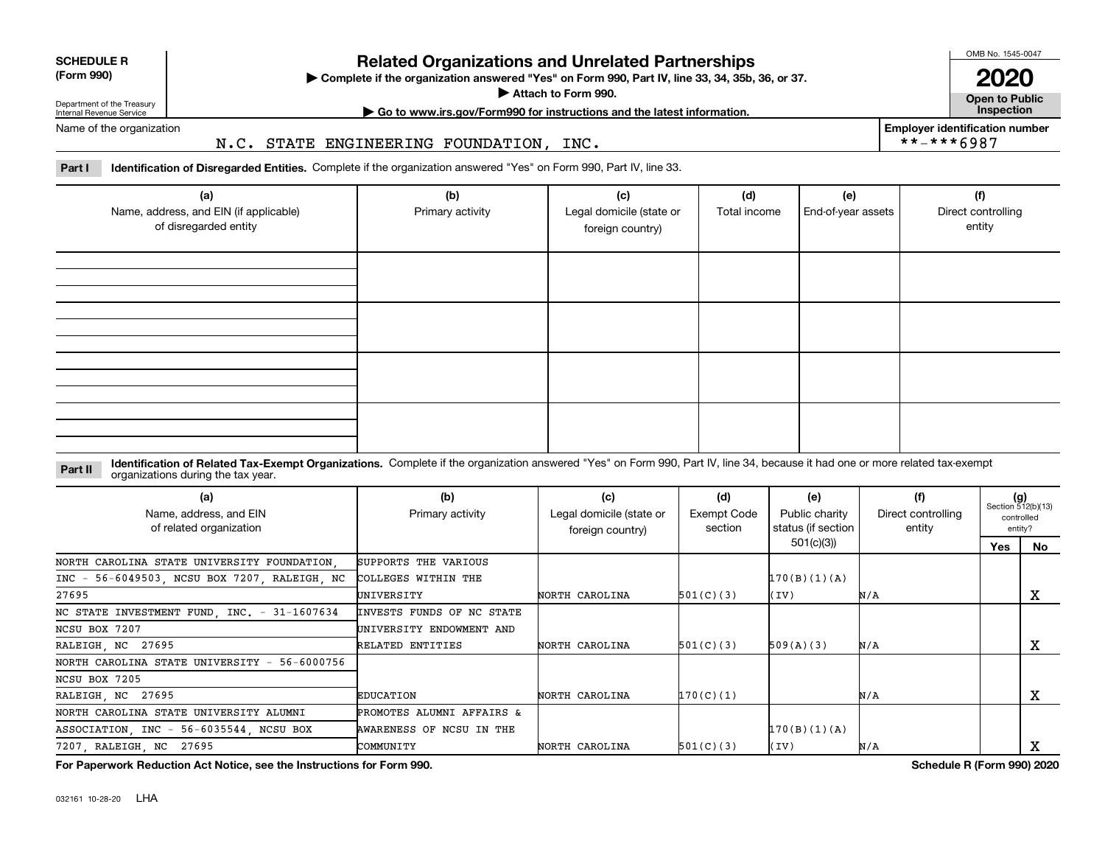| <b>SCHEDULE R</b>         |  |
|---------------------------|--|
| $\sim$ 0.00<br>$\sqrt{2}$ |  |

**(Form 990)**

### **Related Organizations and Unrelated Partnerships**

**Complete if the organization answered "Yes" on Form 990, Part IV, line 33, 34, 35b, 36, or 37.** |

**Attach to Form 990.**  |

OMB No. 1545-0047

**Open to Public 2020**

**Employer identification number**

 $***$  \*\* \*\* 6987

Department of the Treasury Internal Revenue Service

### **| Go to www.irs.gov/Form990 for instructions and the latest information. Inspection**

Name of the organization

### N.C. STATE ENGINEERING FOUNDATION, INC.

**Part I Identification of Disregarded Entities.**  Complete if the organization answered "Yes" on Form 990, Part IV, line 33.

| (a)<br>Name, address, and EIN (if applicable)<br>of disregarded entity | (b)<br>Primary activity | (c)<br>Legal domicile (state or<br>foreign country) | (d)<br>Total income | (e)<br>End-of-year assets | (f)<br>Direct controlling<br>entity |
|------------------------------------------------------------------------|-------------------------|-----------------------------------------------------|---------------------|---------------------------|-------------------------------------|
|                                                                        |                         |                                                     |                     |                           |                                     |
|                                                                        |                         |                                                     |                     |                           |                                     |
|                                                                        |                         |                                                     |                     |                           |                                     |
|                                                                        |                         |                                                     |                     |                           |                                     |

#### **Identification of Related Tax-Exempt Organizations.** Complete if the organization answered "Yes" on Form 990, Part IV, line 34, because it had one or more related tax-exempt **Part II** organizations during the tax year.

| (a)<br>Name, address, and EIN<br>of related organization | (b)<br>Primary activity   | (c)<br>Legal domicile (state or<br>foreign country) | (d)<br>Exempt Code<br>section | (e)<br>Public charity<br>status (if section | (f)<br>Direct controlling<br>entity | $(g)$<br>Section 512(b)(13) | controlled<br>entity? |
|----------------------------------------------------------|---------------------------|-----------------------------------------------------|-------------------------------|---------------------------------------------|-------------------------------------|-----------------------------|-----------------------|
|                                                          |                           |                                                     |                               | 501(c)(3))                                  |                                     | Yes                         | No                    |
| NORTH CAROLINA STATE UNIVERSITY FOUNDATION.              | SUPPORTS THE VARIOUS      |                                                     |                               |                                             |                                     |                             |                       |
| INC - 56-6049503, NCSU BOX 7207, RALEIGH, NC             | COLLEGES WITHIN THE       |                                                     |                               | 170(B)(1)(A)                                |                                     |                             |                       |
| 27695                                                    | UNIVERSITY                | NORTH CAROLINA                                      | 501(C)(3)                     | (IV)                                        | N/A                                 |                             | A                     |
| NC STATE INVESTMENT FUND, INC. - 31-1607634              | INVESTS FUNDS OF NC STATE |                                                     |                               |                                             |                                     |                             |                       |
| NCSU BOX 7207                                            | UNIVERSITY ENDOWMENT AND  |                                                     |                               |                                             |                                     |                             |                       |
| RALEIGH, NC 27695                                        | RELATED ENTITIES          | NORTH CAROLINA                                      | 501(C)(3)                     | 509(A)(3)                                   | N/A                                 |                             | x                     |
| NORTH CAROLINA STATE UNIVERSITY - 56-6000756             |                           |                                                     |                               |                                             |                                     |                             |                       |
| NCSU BOX 7205                                            |                           |                                                     |                               |                                             |                                     |                             |                       |
| RALEIGH, NC 27695                                        | EDUCATION                 | NORTH CAROLINA                                      | 170(C)(1)                     |                                             | N/A                                 |                             | х                     |
| NORTH CAROLINA STATE UNIVERSITY ALUMNI                   | PROMOTES ALUMNI AFFAIRS & |                                                     |                               |                                             |                                     |                             |                       |
| ASSOCIATION INC - 56-6035544 NCSU BOX                    | AWARENESS OF NCSU IN THE  |                                                     |                               | 170(B)(1)(A)                                |                                     |                             |                       |
| 7207, RALEIGH, NC 27695                                  | COMMUNITY                 | NORTH CAROLINA                                      | 501(C)(3)                     | (IV)                                        | N/A                                 |                             | A                     |

**For Paperwork Reduction Act Notice, see the Instructions for Form 990. Schedule R (Form 990) 2020**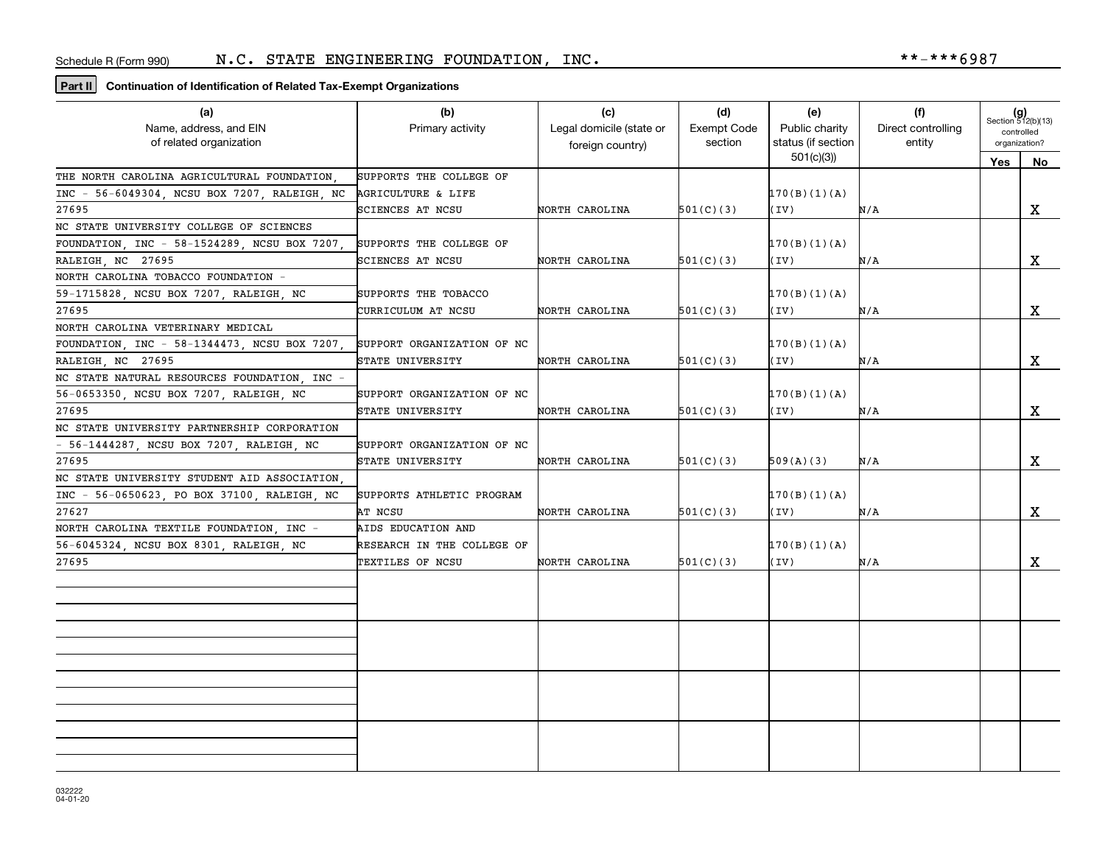### **Part II Continuation of Identification of Related Tax-Exempt Organizations**

| (a)                                          | (b)                        | (c)                      | (d)                | (e)                | (f)                | $(g)$<br>Section 512(b)(13) |    |
|----------------------------------------------|----------------------------|--------------------------|--------------------|--------------------|--------------------|-----------------------------|----|
| Name, address, and EIN                       | Primary activity           | Legal domicile (state or | <b>Exempt Code</b> | Public charity     | Direct controlling | controlled                  |    |
| of related organization                      |                            | foreign country)         | section            | status (if section | entity             | organization?               |    |
|                                              |                            |                          |                    | 501(c)(3)          |                    | Yes                         | No |
| THE NORTH CAROLINA AGRICULTURAL FOUNDATION   | SUPPORTS THE COLLEGE OF    |                          |                    |                    |                    |                             |    |
| INC - 56-6049304, NCSU BOX 7207, RALEIGH, NC | AGRICULTURE & LIFE         |                          |                    | 170(B)(1)(A)       |                    |                             |    |
| 27695                                        | SCIENCES AT NCSU           | NORTH CAROLINA           | 501(C)(3)          | (IV)               | N/A                |                             | X  |
| NC STATE UNIVERSITY COLLEGE OF SCIENCES      |                            |                          |                    |                    |                    |                             |    |
| FOUNDATION, INC - 58-1524289, NCSU BOX 7207, | SUPPORTS THE COLLEGE OF    |                          |                    | 170(B)(1)(A)       |                    |                             |    |
| RALEIGH NC 27695                             | SCIENCES AT NCSU           | NORTH CAROLINA           | 501(C)(3)          | (IV)               | N/A                |                             | x  |
| NORTH CAROLINA TOBACCO FOUNDATION -          |                            |                          |                    |                    |                    |                             |    |
| 59-1715828, NCSU BOX 7207, RALEIGH, NC       | SUPPORTS THE TOBACCO       |                          |                    | 170(B)(1)(A)       |                    |                             |    |
| 27695                                        | CURRICULUM AT NCSU         | NORTH CAROLINA           | 501(C)(3)          | (IV)               | N/A                |                             | X  |
| NORTH CAROLINA VETERINARY MEDICAL            |                            |                          |                    |                    |                    |                             |    |
| FOUNDATION, INC - 58-1344473, NCSU BOX 7207, | SUPPORT ORGANIZATION OF NC |                          |                    | 170(B)(1)(A)       |                    |                             |    |
| RALEIGH, NC 27695                            | STATE UNIVERSITY           | NORTH CAROLINA           | 501(C)(3)          | (IV)               | N/A                |                             | X  |
| NC STATE NATURAL RESOURCES FOUNDATION, INC - |                            |                          |                    |                    |                    |                             |    |
| 56-0653350, NCSU BOX 7207, RALEIGH, NC       | SUPPORT ORGANIZATION OF NC |                          |                    | 170(B)(1)(A)       |                    |                             |    |
| 27695                                        | STATE UNIVERSITY           | NORTH CAROLINA           | 501(C)(3)          | (IV)               | N/A                |                             | X  |
| NC STATE UNIVERSITY PARTNERSHIP CORPORATION  |                            |                          |                    |                    |                    |                             |    |
| - 56-1444287, NCSU BOX 7207, RALEIGH, NC     | SUPPORT ORGANIZATION OF NC |                          |                    |                    |                    |                             |    |
| 27695                                        | STATE UNIVERSITY           | NORTH CAROLINA           | 501(C)(3)          | 509(A)(3)          | N/A                |                             | X  |
| NC STATE UNIVERSITY STUDENT AID ASSOCIATION. |                            |                          |                    |                    |                    |                             |    |
| INC - 56-0650623, PO BOX 37100, RALEIGH, NC  | SUPPORTS ATHLETIC PROGRAM  |                          |                    | 170(B)(1)(A)       |                    |                             |    |
| 27627                                        | AT NCSU                    | NORTH CAROLINA           | 501(C)(3)          | (IV)               | N/A                |                             | X  |
| NORTH CAROLINA TEXTILE FOUNDATION, INC -     | AIDS EDUCATION AND         |                          |                    |                    |                    |                             |    |
| 56-6045324, NCSU BOX 8301, RALEIGH, NC       | RESEARCH IN THE COLLEGE OF |                          |                    | 170(B)(1)(A)       |                    |                             |    |
| 27695                                        | TEXTILES OF NCSU           | NORTH CAROLINA           | 501(C)(3)          | (IV)               | N/A                |                             | X  |
|                                              |                            |                          |                    |                    |                    |                             |    |
|                                              |                            |                          |                    |                    |                    |                             |    |
|                                              |                            |                          |                    |                    |                    |                             |    |
|                                              |                            |                          |                    |                    |                    |                             |    |
|                                              |                            |                          |                    |                    |                    |                             |    |
|                                              |                            |                          |                    |                    |                    |                             |    |
|                                              |                            |                          |                    |                    |                    |                             |    |
|                                              |                            |                          |                    |                    |                    |                             |    |
|                                              |                            |                          |                    |                    |                    |                             |    |
|                                              |                            |                          |                    |                    |                    |                             |    |
|                                              |                            |                          |                    |                    |                    |                             |    |
|                                              |                            |                          |                    |                    |                    |                             |    |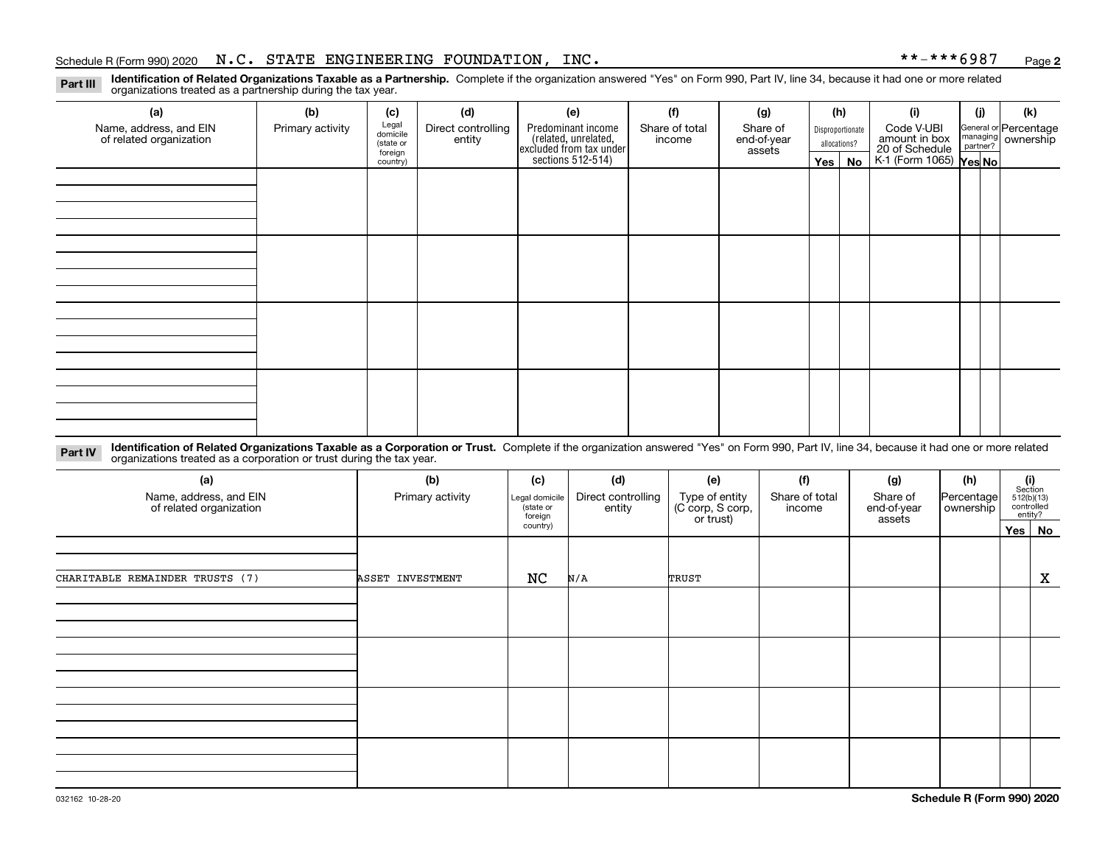### Schedule R (Form 990) 2020 Page N.C. STATE ENGINEERING FOUNDATION, INC. \*\*-\*\*\*6987

**2**

**Identification of Related Organizations Taxable as a Partnership.** Complete if the organization answered "Yes" on Form 990, Part IV, line 34, because it had one or more related **Part III** organizations treated as a partnership during the tax year.

| (a)                     | (b)              | (c)                                                                                                                                                                 | (d)    | (e)              | (f)    | (g)         |               | (h)                                                       | (i)                                                              | (j) | (k) |
|-------------------------|------------------|---------------------------------------------------------------------------------------------------------------------------------------------------------------------|--------|------------------|--------|-------------|---------------|-----------------------------------------------------------|------------------------------------------------------------------|-----|-----|
| Name, address, and EIN  | Primary activity | Legal<br>domicile<br>Predominant income<br>(related, unrelated,<br>excluded from tax under<br>sections 512-514)<br>Direct controlling<br>Share of total<br>Share of |        | Disproportionate |        | Code V-UBI  |               | General or Percentage<br>managing<br>partner?<br>partner? |                                                                  |     |     |
| of related organization |                  | (state or                                                                                                                                                           | entity |                  | income | end-of-year |               | allocations?                                              | amount in box<br>20 of Schedule<br>K-1 (Form 1065) <b>Yes No</b> |     |     |
|                         |                  | foreign<br>country)                                                                                                                                                 |        |                  |        | assets      | Yes $ $<br>No |                                                           |                                                                  |     |     |
|                         |                  |                                                                                                                                                                     |        |                  |        |             |               |                                                           |                                                                  |     |     |
|                         |                  |                                                                                                                                                                     |        |                  |        |             |               |                                                           |                                                                  |     |     |
|                         |                  |                                                                                                                                                                     |        |                  |        |             |               |                                                           |                                                                  |     |     |
|                         |                  |                                                                                                                                                                     |        |                  |        |             |               |                                                           |                                                                  |     |     |
|                         |                  |                                                                                                                                                                     |        |                  |        |             |               |                                                           |                                                                  |     |     |
|                         |                  |                                                                                                                                                                     |        |                  |        |             |               |                                                           |                                                                  |     |     |
|                         |                  |                                                                                                                                                                     |        |                  |        |             |               |                                                           |                                                                  |     |     |
|                         |                  |                                                                                                                                                                     |        |                  |        |             |               |                                                           |                                                                  |     |     |
|                         |                  |                                                                                                                                                                     |        |                  |        |             |               |                                                           |                                                                  |     |     |
|                         |                  |                                                                                                                                                                     |        |                  |        |             |               |                                                           |                                                                  |     |     |
|                         |                  |                                                                                                                                                                     |        |                  |        |             |               |                                                           |                                                                  |     |     |
|                         |                  |                                                                                                                                                                     |        |                  |        |             |               |                                                           |                                                                  |     |     |
|                         |                  |                                                                                                                                                                     |        |                  |        |             |               |                                                           |                                                                  |     |     |
|                         |                  |                                                                                                                                                                     |        |                  |        |             |               |                                                           |                                                                  |     |     |
|                         |                  |                                                                                                                                                                     |        |                  |        |             |               |                                                           |                                                                  |     |     |
|                         |                  |                                                                                                                                                                     |        |                  |        |             |               |                                                           |                                                                  |     |     |
|                         |                  |                                                                                                                                                                     |        |                  |        |             |               |                                                           |                                                                  |     |     |
|                         |                  |                                                                                                                                                                     |        |                  |        |             |               |                                                           |                                                                  |     |     |
|                         |                  |                                                                                                                                                                     |        |                  |        |             |               |                                                           |                                                                  |     |     |
|                         |                  |                                                                                                                                                                     |        |                  |        |             |               |                                                           |                                                                  |     |     |

**Identification of Related Organizations Taxable as a Corporation or Trust.** Complete if the organization answered "Yes" on Form 990, Part IV, line 34, because it had one or more related **Part IV** organizations treated as a corporation or trust during the tax year.

| (a)<br>Name, address, and EIN<br>of related organization | (b)<br>Primary activity | (c)<br>Legal domicile<br>(state or<br>foreign | (d)<br>Direct controlling<br>entity | (f)<br>(e)<br>Share of total<br>Type of entity<br>(C corp, S corp,<br>income<br>or trust) |  | (g)<br>Share of<br>end-of-year<br>assets | (h)<br>Percentage<br>ownership | (i)<br>Section<br>512(b)(13)<br>controlled<br>entity? |
|----------------------------------------------------------|-------------------------|-----------------------------------------------|-------------------------------------|-------------------------------------------------------------------------------------------|--|------------------------------------------|--------------------------------|-------------------------------------------------------|
|                                                          |                         | country)                                      |                                     |                                                                                           |  |                                          |                                | Yes No                                                |
|                                                          |                         |                                               |                                     |                                                                                           |  |                                          |                                |                                                       |
| CHARITABLE REMAINDER TRUSTS (7)                          | ASSET INVESTMENT        | NC                                            | N/A                                 | TRUST                                                                                     |  |                                          |                                | X                                                     |
|                                                          |                         |                                               |                                     |                                                                                           |  |                                          |                                |                                                       |
|                                                          |                         |                                               |                                     |                                                                                           |  |                                          |                                |                                                       |
|                                                          |                         |                                               |                                     |                                                                                           |  |                                          |                                |                                                       |
|                                                          |                         |                                               |                                     |                                                                                           |  |                                          |                                |                                                       |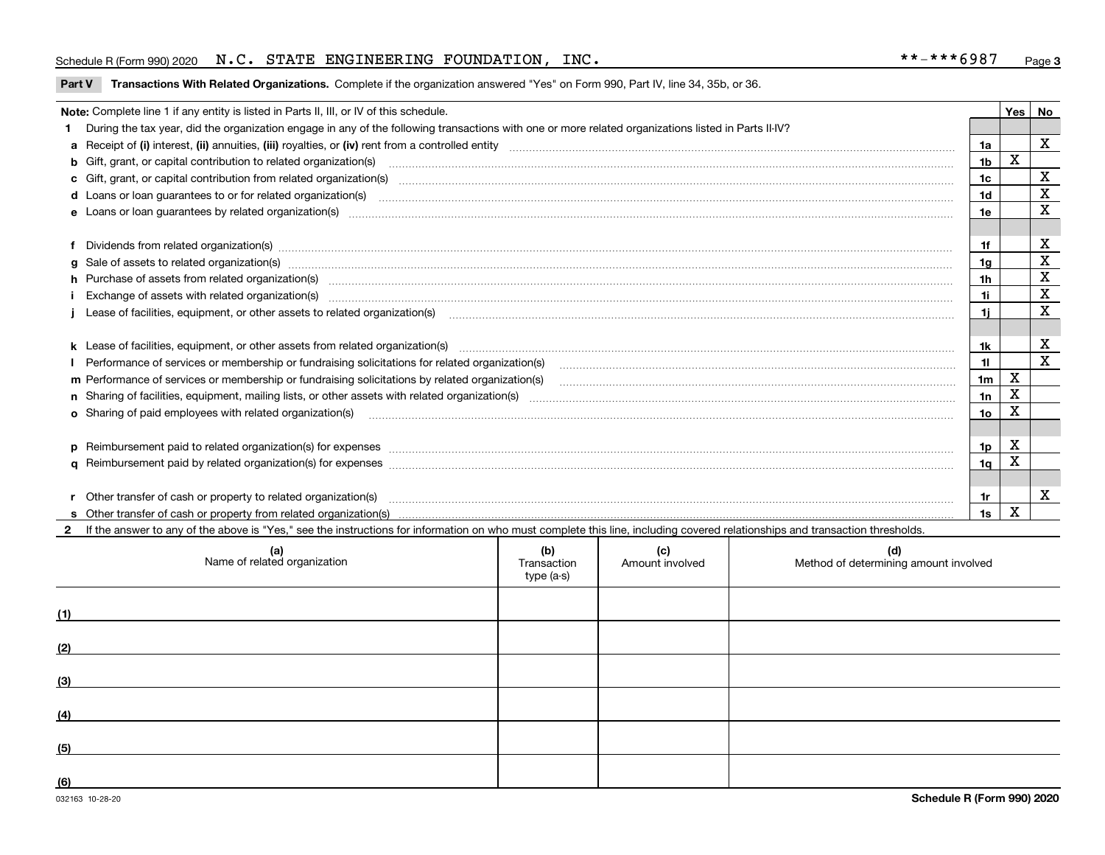### Schedule R (Form 990) 2020 Page N.C. STATE ENGINEERING FOUNDATION, INC. \*\*-\*\*\*6987

**Part V** T**ransactions With Related Organizations.** Complete if the organization answered "Yes" on Form 990, Part IV, line 34, 35b, or 36.

| Note: Complete line 1 if any entity is listed in Parts II, III, or IV of this schedule. |                                                                                                                                                                                                                                |                |   |             |  |  |  |
|-----------------------------------------------------------------------------------------|--------------------------------------------------------------------------------------------------------------------------------------------------------------------------------------------------------------------------------|----------------|---|-------------|--|--|--|
|                                                                                         | During the tax year, did the organization engage in any of the following transactions with one or more related organizations listed in Parts II-IV?                                                                            |                |   |             |  |  |  |
|                                                                                         |                                                                                                                                                                                                                                | 1a             |   | X           |  |  |  |
|                                                                                         | b Gift, grant, or capital contribution to related organization(s) manufaction contracts and contribution to related organization(s)                                                                                            | 1 <sub>b</sub> | X |             |  |  |  |
|                                                                                         | c Gift, grant, or capital contribution from related organization(s) mature material contract contribution from related organization(s) matured contents of mature material contribution from related organization(s) material  | 1 <sub>c</sub> |   | $\mathbf X$ |  |  |  |
|                                                                                         |                                                                                                                                                                                                                                | 1 <sub>d</sub> |   | X           |  |  |  |
|                                                                                         |                                                                                                                                                                                                                                | 1e             |   | $\mathbf X$ |  |  |  |
|                                                                                         |                                                                                                                                                                                                                                |                |   |             |  |  |  |
|                                                                                         | Dividends from related organization(s) Entertainment and the contract of the contract of the contract of the contract of the contract of the contract of the contract of the contract of the contract of the contract of the c | 1f             |   | х           |  |  |  |
| a                                                                                       |                                                                                                                                                                                                                                | 1a             |   | $\mathbf X$ |  |  |  |
|                                                                                         | h Purchase of assets from related organization(s) manufactured and content to the content of the content of the content of the content of the content of the content of the content of the content of the content of the conte | 1 <sub>h</sub> |   | $\mathbf X$ |  |  |  |
|                                                                                         |                                                                                                                                                                                                                                | 1i             |   | X           |  |  |  |
|                                                                                         | Lease of facilities, equipment, or other assets to related organization(s) manufactured content to the set of facilities, equipment, or other assets to related organization(s) manufactured content to the set of the set of  | 11             |   | X           |  |  |  |
|                                                                                         |                                                                                                                                                                                                                                |                |   |             |  |  |  |
|                                                                                         | k Lease of facilities, equipment, or other assets from related organization(s) manufaction content and content to content and an analyzing content and an analyzing content and an analyzing content and content and content a | 1k             |   | X           |  |  |  |
|                                                                                         |                                                                                                                                                                                                                                | 11             |   | X           |  |  |  |
|                                                                                         | m Performance of services or membership or fundraising solicitations by related organization(s)                                                                                                                                | 1 <sub>m</sub> | X |             |  |  |  |
|                                                                                         |                                                                                                                                                                                                                                | 1n             | X |             |  |  |  |
|                                                                                         | <b>o</b> Sharing of paid employees with related organization(s)                                                                                                                                                                | 1o             | Χ |             |  |  |  |
|                                                                                         |                                                                                                                                                                                                                                |                |   |             |  |  |  |
|                                                                                         |                                                                                                                                                                                                                                | 1p             | X |             |  |  |  |
|                                                                                         |                                                                                                                                                                                                                                | 1 <sub>q</sub> | x |             |  |  |  |
|                                                                                         |                                                                                                                                                                                                                                |                |   |             |  |  |  |
|                                                                                         | r Other transfer of cash or property to related organization(s)                                                                                                                                                                | 1r             |   | X           |  |  |  |
|                                                                                         |                                                                                                                                                                                                                                | 1s             | X |             |  |  |  |
|                                                                                         | 2 If the answer to any of the above is "Yes," see the instructions for information on who must complete this line, including covered relationships and transaction thresholds.                                                 |                |   |             |  |  |  |

|     | (a)<br>Name of related organization | (b)<br>Transaction<br>type (a-s) | (c)<br>Amount involved | (d)<br>Method of determining amount involved |
|-----|-------------------------------------|----------------------------------|------------------------|----------------------------------------------|
| (1) |                                     |                                  |                        |                                              |
| (2) |                                     |                                  |                        |                                              |
| (3) |                                     |                                  |                        |                                              |
| (4) |                                     |                                  |                        |                                              |
| (5) |                                     |                                  |                        |                                              |
| (6) |                                     |                                  |                        |                                              |

 $\overline{\phantom{a}}$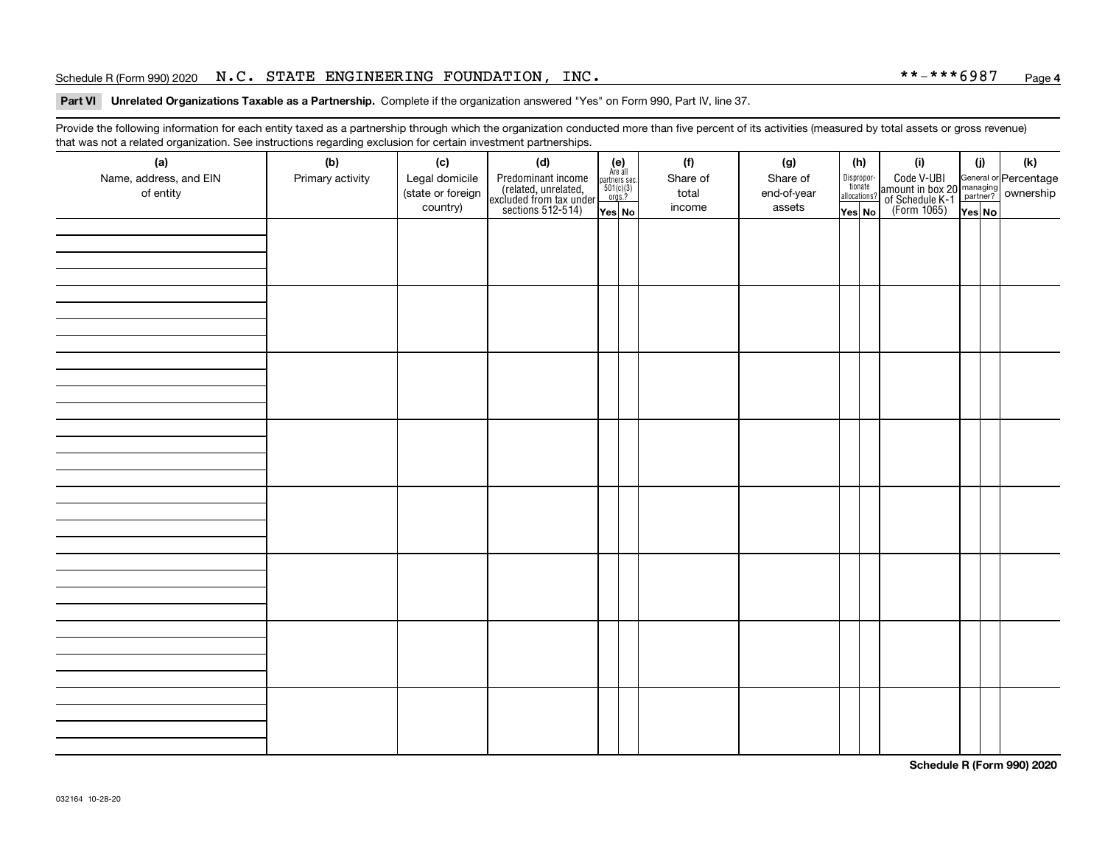### Schedule R (Form 990) 2020 Page N.C. STATE ENGINEERING FOUNDATION, INC. \*\*-\*\*\*6987

#### **4**

#### **Part VI Unrelated Organizations Taxable as a Partnership. Complete if the organization answered "Yes" on Form 990, Part IV, line 37.**

Provide the following information for each entity taxed as a partnership through which the organization conducted more than five percent of its activities (measured by total assets or gross revenue) that was not a related organization. See instructions regarding exclusion for certain investment partnerships.

| (a)<br>Name, address, and EIN<br>of entity | ັ<br>(b)<br>Primary activity | (c)<br>Legal domicile<br>(state or foreign<br>country) | (d)<br>Predominant income<br>(related, unrelated,<br>excluded from tax under<br>sections 512-514) | $(e)$<br>Are all<br>$\begin{array}{c}\n\text{partners} \sec.\n\\ \n501(c)(3)\n\\ \n0rgs.?\n\end{array}$<br>Yes No | (f)<br>Share of<br>total<br>income | (g)<br>Share of<br>end-of-year<br>assets | (h)<br>Dispropor-<br>tionate<br>allocations?<br>Yes No | (i)<br>Code V-UBI<br>amount in box 20 managing<br>of Schedule K-1<br>(Form 1065)<br>$\overline{Yes}$ No | (i)<br>Yes No | $(\mathsf{k})$ |
|--------------------------------------------|------------------------------|--------------------------------------------------------|---------------------------------------------------------------------------------------------------|-------------------------------------------------------------------------------------------------------------------|------------------------------------|------------------------------------------|--------------------------------------------------------|---------------------------------------------------------------------------------------------------------|---------------|----------------|
|                                            |                              |                                                        |                                                                                                   |                                                                                                                   |                                    |                                          |                                                        |                                                                                                         |               |                |
|                                            |                              |                                                        |                                                                                                   |                                                                                                                   |                                    |                                          |                                                        |                                                                                                         |               |                |
|                                            |                              |                                                        |                                                                                                   |                                                                                                                   |                                    |                                          |                                                        |                                                                                                         |               |                |
|                                            |                              |                                                        |                                                                                                   |                                                                                                                   |                                    |                                          |                                                        |                                                                                                         |               |                |
|                                            |                              |                                                        |                                                                                                   |                                                                                                                   |                                    |                                          |                                                        |                                                                                                         |               |                |
|                                            |                              |                                                        |                                                                                                   |                                                                                                                   |                                    |                                          |                                                        |                                                                                                         |               |                |
|                                            |                              |                                                        |                                                                                                   |                                                                                                                   |                                    |                                          |                                                        |                                                                                                         |               |                |
|                                            |                              |                                                        |                                                                                                   |                                                                                                                   |                                    |                                          |                                                        |                                                                                                         |               |                |

**Schedule R (Form 990) 2020**